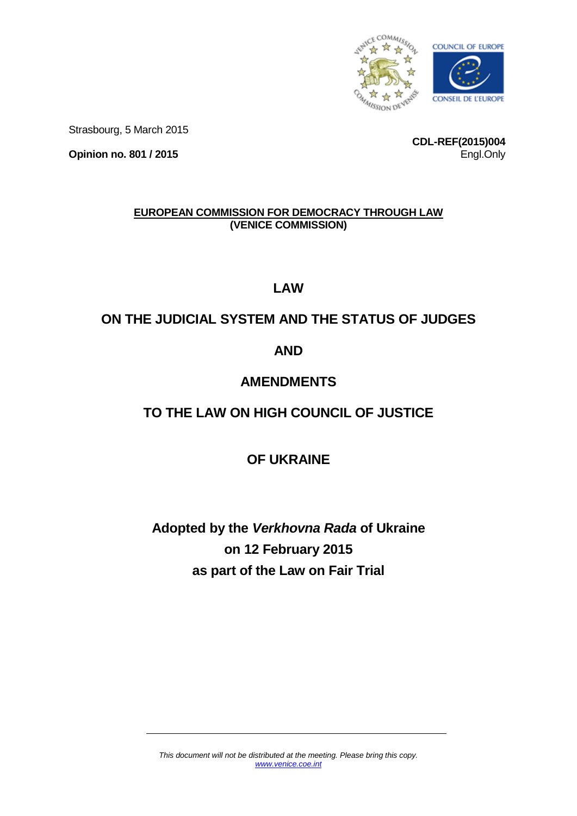

Strasbourg, 5 March 2015

**Opinion no. 801 / 2015**

**CDL-REF(2015)004** Engl.Only

# **EUROPEAN COMMISSION FOR DEMOCRACY THROUGH LAW (VENICE COMMISSION)**

**LAW**

# **ON THE JUDICIAL SYSTEM AND THE STATUS OF JUDGES**

# **AND**

# **AMENDMENTS**

# **TO THE LAW ON HIGH COUNCIL OF JUSTICE**

# **OF UKRAINE**

# **Adopted by the** *Verkhovna Rada* **of Ukraine on 12 February 2015 as part of the Law on Fair Trial**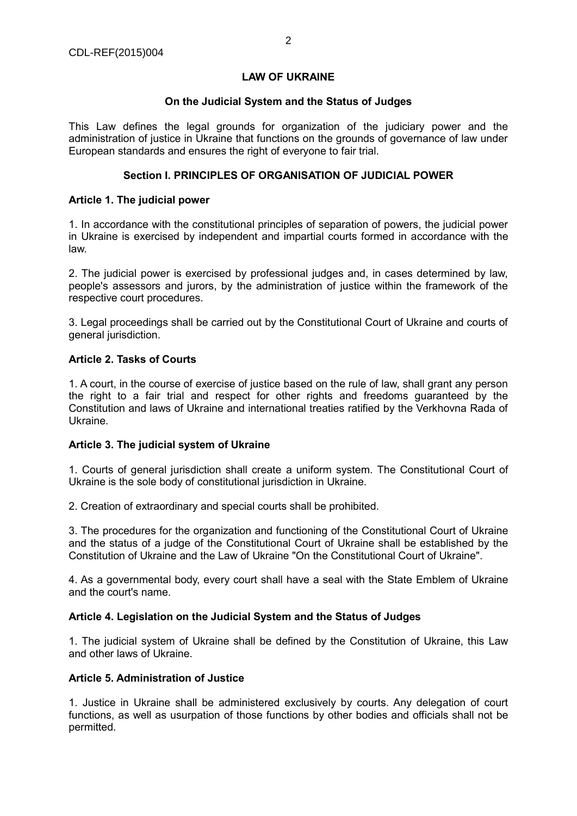## **LAW OF UKRAINE**

#### **On the Judicial System and the Status of Judges**

This Law defines the legal grounds for organization of the judiciary power and the administration of justice in Ukraine that functions on the grounds of governance of law under European standards and ensures the right of everyone to fair trial.

#### **Section I. PRINCIPLES OF ORGANISATION OF JUDICIAL POWER**

#### **Article 1. The judicial power**

1. In accordance with the constitutional principles of separation of powers, the judicial power in Ukraine is exercised by independent and impartial courts formed in accordance with the law.

2. The judicial power is exercised by professional judges and, in cases determined by law, people's assessors and jurors, by the administration of justice within the framework of the respective court procedures.

3. Legal proceedings shall be carried out by the Constitutional Court of Ukraine and courts of general jurisdiction.

# **Article 2. Tasks of Courts**

1. A court, in the course of exercise of justice based on the rule of law, shall grant any person the right to a fair trial and respect for other rights and freedoms guaranteed by the Constitution and laws of Ukraine and international treaties ratified by the Verkhovna Rada of Ukraine.

# **Article 3. The judicial system of Ukraine**

1. Courts of general jurisdiction shall create a uniform system. The Constitutional Court of Ukraine is the sole body of constitutional jurisdiction in Ukraine.

2. Creation of extraordinary and special courts shall be prohibited.

3. The procedures for the organization and functioning of the Constitutional Court of Ukraine and the status of a judge of the Constitutional Court of Ukraine shall be established by the Constitution of Ukraine and the Law of Ukraine "On the Constitutional Court of Ukraine".

4. As a governmental body, every court shall have a seal with the State Emblem of Ukraine and the court's name.

#### **Article 4. Legislation on the Judicial System and the Status of Judges**

1. The judicial system of Ukraine shall be defined by the Constitution of Ukraine, this Law and other laws of Ukraine.

# **Article 5. Administration of Justice**

1. Justice in Ukraine shall be administered exclusively by courts. Any delegation of court functions, as well as usurpation of those functions by other bodies and officials shall not be permitted.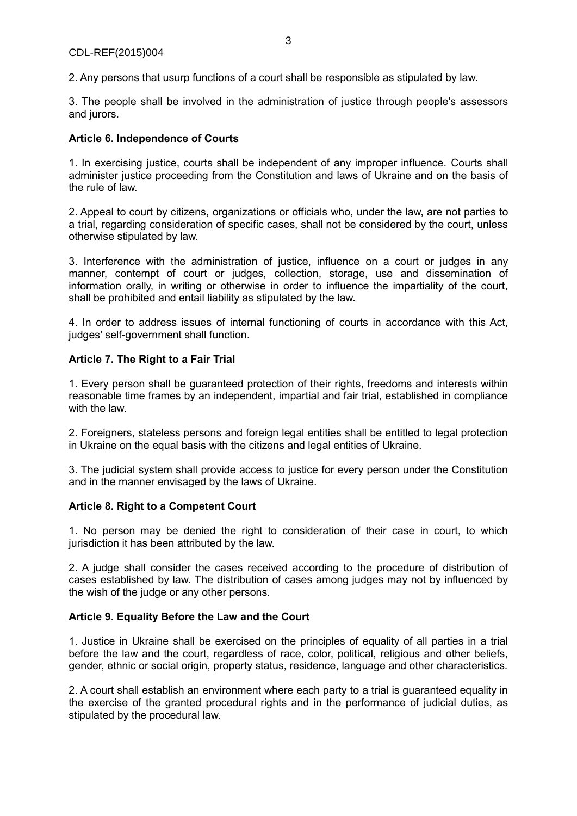2. Any persons that usurp functions of a court shall be responsible as stipulated by law.

3. The people shall be involved in the administration of justice through people's assessors and jurors.

# **Article 6. Independence of Courts**

1. In exercising justice, courts shall be independent of any improper influence. Courts shall administer justice proceeding from the Constitution and laws of Ukraine and on the basis of the rule of law.

2. Appeal to court by citizens, organizations or officials who, under the law, are not parties to a trial, regarding consideration of specific cases, shall not be considered by the court, unless otherwise stipulated by law.

3. Interference with the administration of justice, influence on a court or judges in any manner, contempt of court or judges, collection, storage, use and dissemination of information orally, in writing or otherwise in order to influence the impartiality of the court, shall be prohibited and entail liability as stipulated by the law.

4. In order to address issues of internal functioning of courts in accordance with this Act, judges' self-government shall function.

# **Article 7. The Right to a Fair Trial**

1. Every person shall be guaranteed protection of their rights, freedoms and interests within reasonable time frames by an independent, impartial and fair trial, established in compliance with the law.

2. Foreigners, stateless persons and foreign legal entities shall be entitled to legal protection in Ukraine on the equal basis with the citizens and legal entities of Ukraine.

3. The judicial system shall provide access to justice for every person under the Constitution and in the manner envisaged by the laws of Ukraine.

# **Article 8. Right to a Competent Court**

1. No person may be denied the right to consideration of their case in court, to which jurisdiction it has been attributed by the law.

2. A judge shall consider the cases received according to the procedure of distribution of cases established by law. The distribution of cases among judges may not by influenced by the wish of the judge or any other persons.

# **Article 9. Equality Before the Law and the Court**

1. Justice in Ukraine shall be exercised on the principles of equality of all parties in a trial before the law and the court, regardless of race, color, political, religious and other beliefs, gender, ethnic or social origin, property status, residence, language and other characteristics.

2. A court shall establish an environment where each party to a trial is guaranteed equality in the exercise of the granted procedural rights and in the performance of judicial duties, as stipulated by the procedural law.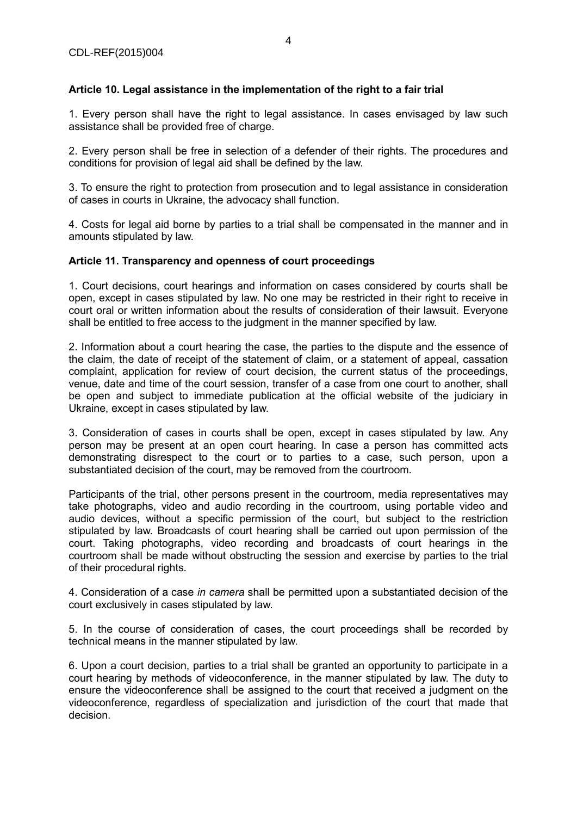# **Article 10. Legal assistance in the implementation of the right to a fair trial**

1. Every person shall have the right to legal assistance. In cases envisaged by law such assistance shall be provided free of charge.

2. Every person shall be free in selection of a defender of their rights. The procedures and conditions for provision of legal aid shall be defined by the law.

3. To ensure the right to protection from prosecution and to legal assistance in consideration of cases in courts in Ukraine, the advocacy shall function.

4. Costs for legal aid borne by parties to a trial shall be compensated in the manner and in amounts stipulated by law.

#### **Article 11. Transparency and openness of court proceedings**

1. Court decisions, court hearings and information on cases considered by courts shall be open, except in cases stipulated by law. No one may be restricted in their right to receive in court oral or written information about the results of consideration of their lawsuit. Everyone shall be entitled to free access to the judgment in the manner specified by law.

2. Information about a court hearing the case, the parties to the dispute and the essence of the claim, the date of receipt of the statement of claim, or a statement of appeal, cassation complaint, application for review of court decision, the current status of the proceedings, venue, date and time of the court session, transfer of a case from one court to another, shall be open and subject to immediate publication at the official website of the judiciary in Ukraine, except in cases stipulated by law.

3. Consideration of cases in courts shall be open, except in cases stipulated by law. Any person may be present at an open court hearing. In case a person has committed acts demonstrating disrespect to the court or to parties to a case, such person, upon a substantiated decision of the court, may be removed from the courtroom.

Participants of the trial, other persons present in the courtroom, media representatives may take photographs, video and audio recording in the courtroom, using portable video and audio devices, without a specific permission of the court, but subject to the restriction stipulated by law. Broadcasts of court hearing shall be carried out upon permission of the court. Taking photographs, video recording and broadcasts of court hearings in the courtroom shall be made without obstructing the session and exercise by parties to the trial of their procedural rights.

4. Consideration of a case *in camera* shall be permitted upon a substantiated decision of the court exclusively in cases stipulated by law.

5. In the course of consideration of cases, the court proceedings shall be recorded by technical means in the manner stipulated by law.

6. Upon a court decision, parties to a trial shall be granted an opportunity to participate in a court hearing by methods of videoconference, in the manner stipulated by law. The duty to ensure the videoconference shall be assigned to the court that received a judgment on the videoconference, regardless of specialization and jurisdiction of the court that made that decision.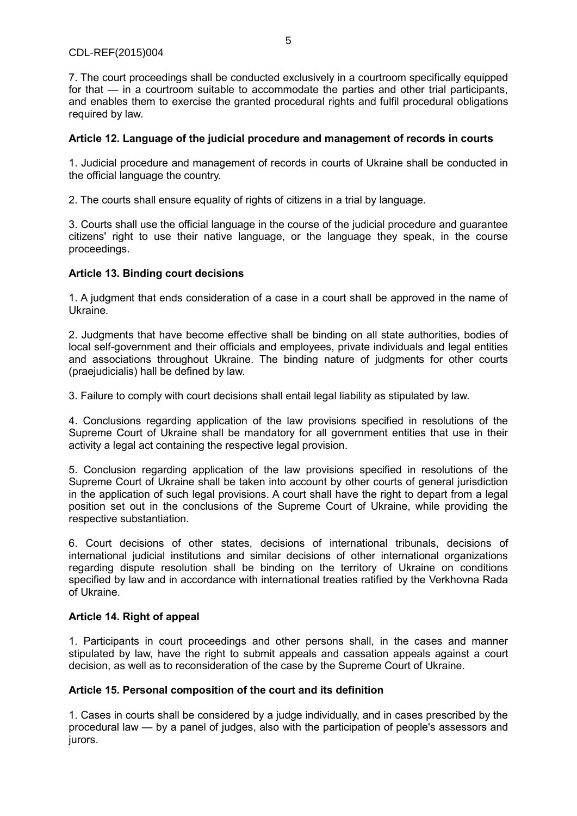# CDL-REF(2015)004

7. The court proceedings shall be conducted exclusively in a courtroom specifically equipped for that — in a courtroom suitable to accommodate the parties and other trial participants, and enables them to exercise the granted procedural rights and fulfil procedural obligations required by law.

# **Article 12. Language of the judicial procedure and management of records in courts**

1. Judicial procedure and management of records in courts of Ukraine shall be conducted in the official language the country.

2. The courts shall ensure equality of rights of citizens in a trial by language.

3. Courts shall use the official language in the course of the judicial procedure and guarantee citizens' right to use their native language, or the language they speak, in the course proceedings.

# **Article 13. Binding court decisions**

1. A judgment that ends consideration of a case in a court shall be approved in the name of Ukraine.

2. Judgments that have become effective shall be binding on all state authorities, bodies of local self-government and their officials and employees, private individuals and legal entities and associations throughout Ukraine. The binding nature of judgments for other courts (praejudicialis) hall be defined by law.

3. Failure to comply with court decisions shall entail legal liability as stipulated by law.

4. Conclusions regarding application of the law provisions specified in resolutions of the Supreme Court of Ukraine shall be mandatory for all government entities that use in their activity a legal act containing the respective legal provision.

5. Conclusion regarding application of the law provisions specified in resolutions of the Supreme Court of Ukraine shall be taken into account by other courts of general jurisdiction in the application of such legal provisions. A court shall have the right to depart from a legal position set out in the conclusions of the Supreme Court of Ukraine, while providing the respective substantiation.

6. Court decisions of other states, decisions of international tribunals, decisions of international judicial institutions and similar decisions of other international organizations regarding dispute resolution shall be binding on the territory of Ukraine on conditions specified by law and in accordance with international treaties ratified by the Verkhovna Rada of Ukraine.

# **Article 14. Right of appeal**

1. Participants in court proceedings and other persons shall, in the cases and manner stipulated by law, have the right to submit appeals and cassation appeals against a court decision, as well as to reconsideration of the case by the Supreme Court of Ukraine.

# **Article 15. Personal composition of the court and its definition**

1. Cases in courts shall be considered by a judge individually, and in cases prescribed by the procedural law — by a panel of judges, also with the participation of people's assessors and jurors.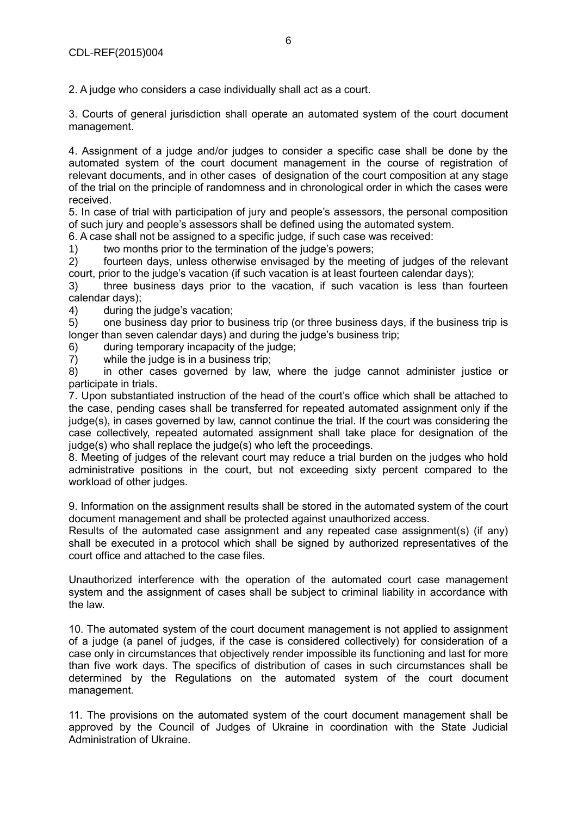2. A judge who considers a case individually shall act as a court.

3. Courts of general jurisdiction shall operate an automated system of the court document management.

4. Assignment of a judge and/or judges to consider a specific case shall be done by the automated system of the court document management in the course of registration of relevant documents, and in other cases of designation of the court composition at any stage of the trial on the principle of randomness and in chronological order in which the cases were received.

5. In case of trial with participation of jury and people's assessors, the personal composition of such jury and people's assessors shall be defined using the automated system.

6. A case shall not be assigned to a specific judge, if such case was received:

1) two months prior to the termination of the judge's powers;

2) fourteen days, unless otherwise envisaged by the meeting of judges of the relevant court, prior to the judge's vacation (if such vacation is at least fourteen calendar days);

3) three business days prior to the vacation, if such vacation is less than fourteen calendar days);

4) during the judge's vacation;

5) one business day prior to business trip (or three business days, if the business trip is longer than seven calendar days) and during the judge's business trip;

6) during temporary incapacity of the judge;

7) while the judge is in a business trip;

8) in other cases governed by law, where the judge cannot administer justice or participate in trials.

7. Upon substantiated instruction of the head of the court's office which shall be attached to the case, pending cases shall be transferred for repeated automated assignment only if the judge(s), in cases governed by law, cannot continue the trial. If the court was considering the case collectively, repeated automated assignment shall take place for designation of the judge(s) who shall replace the judge(s) who left the proceedings.

8. Meeting of judges of the relevant court may reduce a trial burden on the judges who hold administrative positions in the court, but not exceeding sixty percent compared to the workload of other judges.

9. Information on the assignment results shall be stored in the automated system of the court document management and shall be protected against unauthorized access.

Results of the automated case assignment and any repeated case assignment(s) (if any) shall be executed in a protocol which shall be signed by authorized representatives of the court office and attached to the case files.

Unauthorized interference with the operation of the automated court case management system and the assignment of cases shall be subject to criminal liability in accordance with the law.

10. The automated system of the court document management is not applied to assignment of a judge (a panel of judges, if the case is considered collectively) for consideration of a case only in circumstances that objectively render impossible its functioning and last for more than five work days. The specifics of distribution of cases in such circumstances shall be determined by the Regulations on the automated system of the court document management.

11. The provisions on the automated system of the court document management shall be approved by the Council of Judges of Ukraine in coordination with the State Judicial Administration of Ukraine.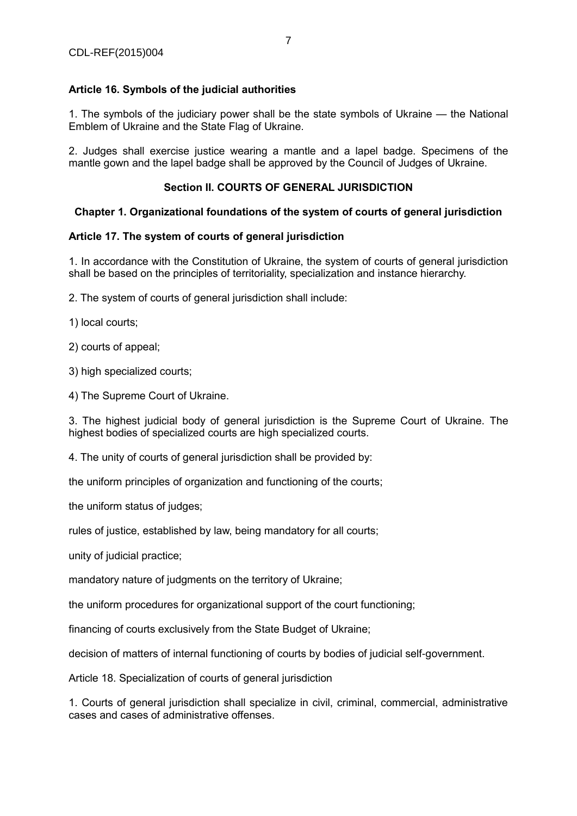# **Article 16. Symbols of the judicial authorities**

1. The symbols of the judiciary power shall be the state symbols of Ukraine — the National Emblem of Ukraine and the State Flag of Ukraine.

2. Judges shall exercise justice wearing a mantle and a lapel badge. Specimens of the mantle gown and the lapel badge shall be approved by the Council of Judges of Ukraine.

# **Section II. COURTS OF GENERAL JURISDICTION**

# **Chapter 1. Organizational foundations of the system of courts of general jurisdiction**

# **Article 17. The system of courts of general jurisdiction**

1. In accordance with the Constitution of Ukraine, the system of courts of general jurisdiction shall be based on the principles of territoriality, specialization and instance hierarchy.

2. The system of courts of general jurisdiction shall include:

1) local courts;

2) courts of appeal;

3) high specialized courts;

4) The Supreme Court of Ukraine.

3. The highest judicial body of general jurisdiction is the Supreme Court of Ukraine. The highest bodies of specialized courts are high specialized courts.

4. The unity of courts of general jurisdiction shall be provided by:

the uniform principles of organization and functioning of the courts;

the uniform status of judges;

rules of justice, established by law, being mandatory for all courts;

unity of judicial practice;

mandatory nature of judgments on the territory of Ukraine;

the uniform procedures for organizational support of the court functioning;

financing of courts exclusively from the State Budget of Ukraine;

decision of matters of internal functioning of courts by bodies of judicial self-government.

Article 18. Specialization of courts of general jurisdiction

1. Courts of general jurisdiction shall specialize in civil, criminal, commercial, administrative cases and cases of administrative offenses.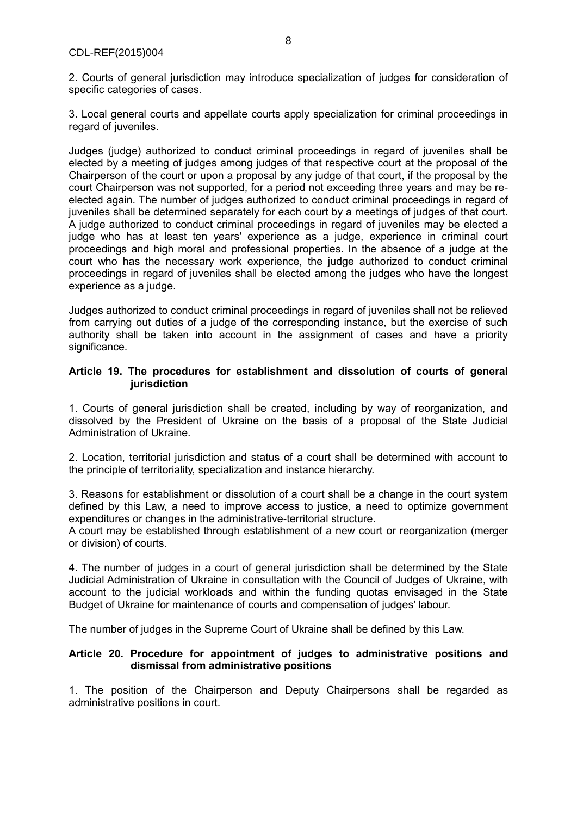2. Courts of general jurisdiction may introduce specialization of judges for consideration of specific categories of cases.

3. Local general courts and appellate courts apply specialization for criminal proceedings in regard of juveniles.

Judges (judge) authorized to conduct criminal proceedings in regard of juveniles shall be elected by a meeting of judges among judges of that respective court at the proposal of the Chairperson of the court or upon a proposal by any judge of that court, if the proposal by the court Chairperson was not supported, for a period not exceeding three years and may be reelected again. The number of judges authorized to conduct criminal proceedings in regard of juveniles shall be determined separately for each court by a meetings of judges of that court. A judge authorized to conduct criminal proceedings in regard of juveniles may be elected a judge who has at least ten years' experience as a judge, experience in criminal court proceedings and high moral and professional properties. In the absence of a judge at the court who has the necessary work experience, the judge authorized to conduct criminal proceedings in regard of juveniles shall be elected among the judges who have the longest experience as a judge.

Judges authorized to conduct criminal proceedings in regard of juveniles shall not be relieved from carrying out duties of a judge of the corresponding instance, but the exercise of such authority shall be taken into account in the assignment of cases and have a priority significance.

# **Article 19. The procedures for establishment and dissolution of courts of general jurisdiction**

1. Courts of general jurisdiction shall be created, including by way of reorganization, and dissolved by the President of Ukraine on the basis of a proposal of the State Judicial Administration of Ukraine.

2. Location, territorial jurisdiction and status of a court shall be determined with account to the principle of territoriality, specialization and instance hierarchy.

3. Reasons for establishment or dissolution of a court shall be a change in the court system defined by this Law, a need to improve access to justice, a need to optimize government expenditures or changes in the administrative-territorial structure.

A court may be established through establishment of a new court or reorganization (merger or division) of courts.

4. The number of judges in a court of general jurisdiction shall be determined by the State Judicial Administration of Ukraine in consultation with the Council of Judges of Ukraine, with account to the judicial workloads and within the funding quotas envisaged in the State Budget of Ukraine for maintenance of courts and compensation of judges' labour.

The number of judges in the Supreme Court of Ukraine shall be defined by this Law.

#### **Article 20. Procedure for appointment of judges to administrative positions and dismissal from administrative positions**

1. The position of the Chairperson and Deputy Chairpersons shall be regarded as administrative positions in court.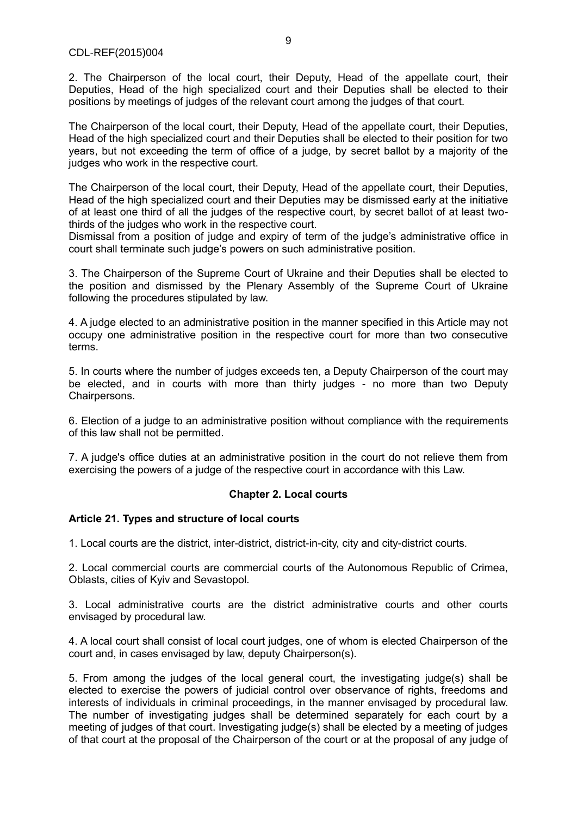2. The Chairperson of the local court, their Deputy, Head of the appellate court, their Deputies, Head of the high specialized court and their Deputies shall be elected to their positions by meetings of judges of the relevant court among the judges of that court.

The Chairperson of the local court, their Deputy, Head of the appellate court, their Deputies, Head of the high specialized court and their Deputies shall be elected to their position for two years, but not exceeding the term of office of a judge, by secret ballot by a majority of the judges who work in the respective court.

The Chairperson of the local court, their Deputy, Head of the appellate court, their Deputies, Head of the high specialized court and their Deputies may be dismissed early at the initiative of at least one third of all the judges of the respective court, by secret ballot of at least twothirds of the judges who work in the respective court.

Dismissal from a position of judge and expiry of term of the judge's administrative office in court shall terminate such judge's powers on such administrative position.

3. The Chairperson of the Supreme Court of Ukraine and their Deputies shall be elected to the position and dismissed by the Plenary Assembly of the Supreme Court of Ukraine following the procedures stipulated by law.

4. A judge elected to an administrative position in the manner specified in this Article may not occupy one administrative position in the respective court for more than two consecutive terms.

5. In courts where the number of judges exceeds ten, a Deputy Chairperson of the court may be elected, and in courts with more than thirty judges - no more than two Deputy Chairpersons.

6. Election of a judge to an administrative position without compliance with the requirements of this law shall not be permitted.

7. A judge's office duties at an administrative position in the court do not relieve them from exercising the powers of a judge of the respective court in accordance with this Law.

#### **Chapter 2. Local courts**

# **Article 21. Types and structure of local courts**

1. Local courts are the district, inter-district, district-in-city, city and city-district courts.

2. Local commercial courts are commercial courts of the Autonomous Republic of Crimea, Oblasts, cities of Kyiv and Sevastopol.

3. Local administrative courts are the district administrative courts and other courts envisaged by procedural law.

4. A local court shall consist of local court judges, one of whom is elected Chairperson of the court and, in cases envisaged by law, deputy Chairperson(s).

5. From among the judges of the local general court, the investigating judge(s) shall be elected to exercise the powers of judicial control over observance of rights, freedoms and interests of individuals in criminal proceedings, in the manner envisaged by procedural law. The number of investigating judges shall be determined separately for each court by a meeting of judges of that court. Investigating judge(s) shall be elected by a meeting of judges of that court at the proposal of the Chairperson of the court or at the proposal of any judge of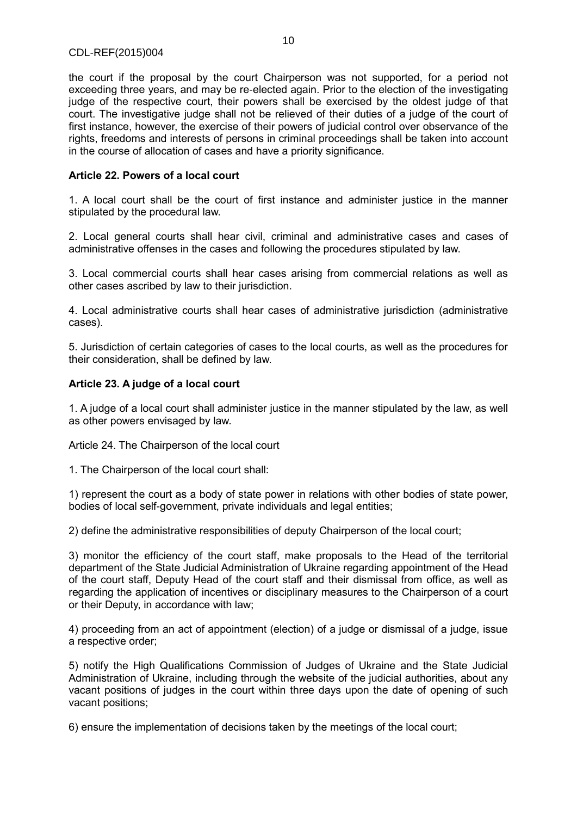the court if the proposal by the court Chairperson was not supported, for a period not exceeding three years, and may be re-elected again. Prior to the election of the investigating judge of the respective court, their powers shall be exercised by the oldest judge of that court. The investigative judge shall not be relieved of their duties of a judge of the court of first instance, however, the exercise of their powers of judicial control over observance of the rights, freedoms and interests of persons in criminal proceedings shall be taken into account in the course of allocation of cases and have a priority significance.

# **Article 22. Powers of a local court**

1. A local court shall be the court of first instance and administer justice in the manner stipulated by the procedural law.

2. Local general courts shall hear civil, criminal and administrative cases and cases of administrative offenses in the cases and following the procedures stipulated by law.

3. Local commercial courts shall hear cases arising from commercial relations as well as other cases ascribed by law to their jurisdiction.

4. Local administrative courts shall hear cases of administrative jurisdiction (administrative cases).

5. Jurisdiction of certain categories of cases to the local courts, as well as the procedures for their consideration, shall be defined by law.

#### **Article 23. A judge of a local court**

1. A judge of a local court shall administer justice in the manner stipulated by the law, as well as other powers envisaged by law.

Article 24. The Chairperson of the local court

1. The Chairperson of the local court shall:

1) represent the court as a body of state power in relations with other bodies of state power, bodies of local self-government, private individuals and legal entities;

2) define the administrative responsibilities of deputy Chairperson of the local court;

3) monitor the efficiency of the court staff, make proposals to the Head of the territorial department of the State Judicial Administration of Ukraine regarding appointment of the Head of the court staff, Deputy Head of the court staff and their dismissal from office, as well as regarding the application of incentives or disciplinary measures to the Chairperson of a court or their Deputy, in accordance with law;

4) proceeding from an act of appointment (election) of a judge or dismissal of a judge, issue a respective order;

5) notify the High Qualifications Commission of Judges of Ukraine and the State Judicial Administration of Ukraine, including through the website of the judicial authorities, about any vacant positions of judges in the court within three days upon the date of opening of such vacant positions;

6) ensure the implementation of decisions taken by the meetings of the local court;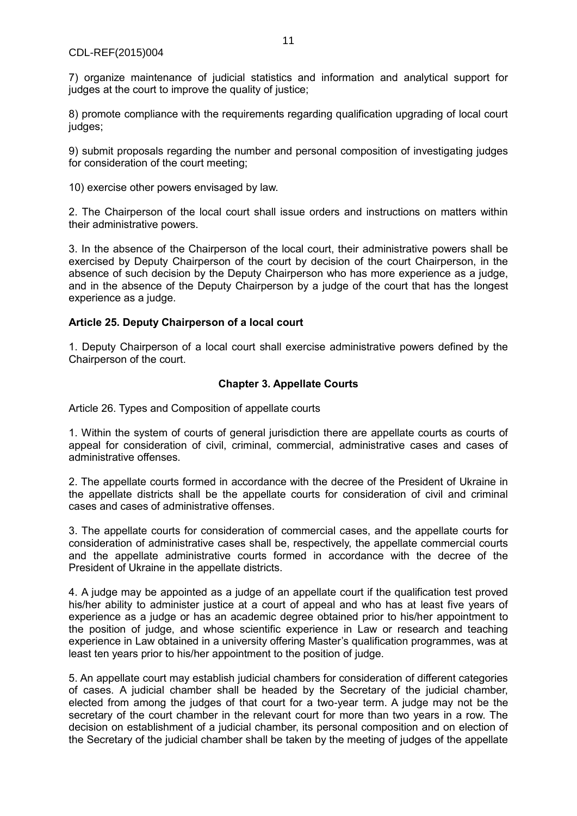7) organize maintenance of judicial statistics and information and analytical support for judges at the court to improve the quality of justice;

8) promote compliance with the requirements regarding qualification upgrading of local court judges;

9) submit proposals regarding the number and personal composition of investigating judges for consideration of the court meeting;

10) exercise other powers envisaged by law.

2. The Chairperson of the local court shall issue orders and instructions on matters within their administrative powers.

3. In the absence of the Chairperson of the local court, their administrative powers shall be exercised by Deputy Chairperson of the court by decision of the court Chairperson, in the absence of such decision by the Deputy Chairperson who has more experience as a judge, and in the absence of the Deputy Chairperson by a judge of the court that has the longest experience as a judge.

# **Article 25. Deputy Chairperson of a local court**

1. Deputy Chairperson of a local court shall exercise administrative powers defined by the Chairperson of the court.

#### **Chapter 3. Appellate Courts**

Article 26. Types and Composition of appellate courts

1. Within the system of courts of general jurisdiction there are appellate courts as courts of appeal for consideration of civil, criminal, commercial, administrative cases and cases of administrative offenses.

2. The appellate courts formed in accordance with the decree of the President of Ukraine in the appellate districts shall be the appellate courts for consideration of civil and criminal cases and cases of administrative offenses.

3. The appellate courts for consideration of commercial cases, and the appellate courts for consideration of administrative cases shall be, respectively, the appellate commercial courts and the appellate administrative courts formed in accordance with the decree of the President of Ukraine in the appellate districts.

4. A judge may be appointed as a judge of an appellate court if the qualification test proved his/her ability to administer justice at a court of appeal and who has at least five years of experience as a judge or has an academic degree obtained prior to his/her appointment to the position of judge, and whose scientific experience in Law or research and teaching experience in Law obtained in a university offering Master's qualification programmes, was at least ten years prior to his/her appointment to the position of judge.

5. An appellate court may establish judicial chambers for consideration of different categories of cases. A judicial chamber shall be headed by the Secretary of the judicial chamber, elected from among the judges of that court for a two-year term. A judge may not be the secretary of the court chamber in the relevant court for more than two years in a row. The decision on establishment of a judicial chamber, its personal composition and on election of the Secretary of the judicial chamber shall be taken by the meeting of judges of the appellate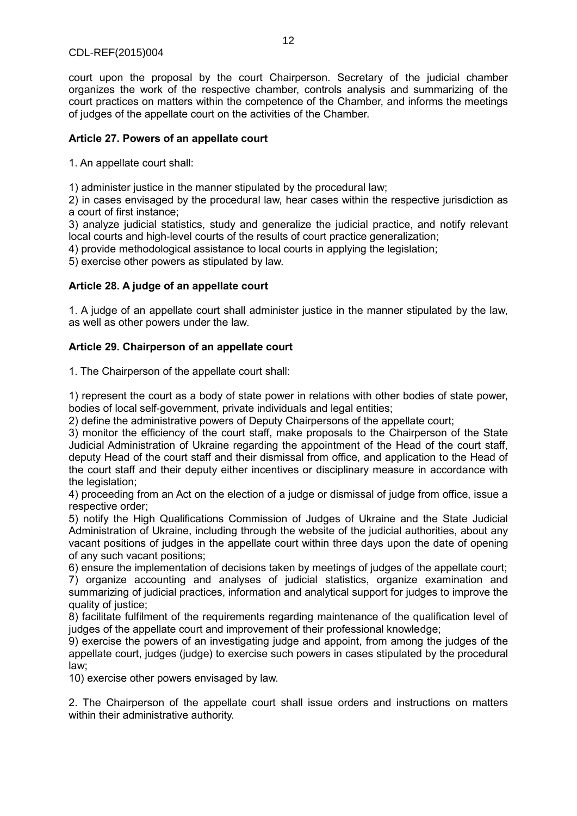court upon the proposal by the court Chairperson. Secretary of the judicial chamber organizes the work of the respective chamber, controls analysis and summarizing of the court practices on matters within the competence of the Chamber, and informs the meetings of judges of the appellate court on the activities of the Chamber.

# **Article 27. Powers of an appellate court**

1. An appellate court shall:

1) administer justice in the manner stipulated by the procedural law;

2) in cases envisaged by the procedural law, hear cases within the respective jurisdiction as a court of first instance;

3) analyze judicial statistics, study and generalize the judicial practice, and notify relevant local courts and high-level courts of the results of court practice generalization;

4) provide methodological assistance to local courts in applying the legislation;

5) exercise other powers as stipulated by law.

#### **Article 28. A judge of an appellate court**

1. A judge of an appellate court shall administer justice in the manner stipulated by the law, as well as other powers under the law.

#### **Article 29. Chairperson of an appellate court**

1. The Chairperson of the appellate court shall:

1) represent the court as a body of state power in relations with other bodies of state power, bodies of local self-government, private individuals and legal entities;

2) define the administrative powers of Deputy Chairpersons of the appellate court;

3) monitor the efficiency of the court staff, make proposals to the Chairperson of the State Judicial Administration of Ukraine regarding the appointment of the Head of the court staff, deputy Head of the court staff and their dismissal from office, and application to the Head of the court staff and their deputy either incentives or disciplinary measure in accordance with the legislation;

4) proceeding from an Act on the election of a judge or dismissal of judge from office, issue a respective order;

5) notify the High Qualifications Commission of Judges of Ukraine and the State Judicial Administration of Ukraine, including through the website of the judicial authorities, about any vacant positions of judges in the appellate court within three days upon the date of opening of any such vacant positions;

6) ensure the implementation of decisions taken by meetings of judges of the appellate court;

7) organize accounting and analyses of judicial statistics, organize examination and summarizing of judicial practices, information and analytical support for judges to improve the quality of justice;

8) facilitate fulfilment of the requirements regarding maintenance of the qualification level of judges of the appellate court and improvement of their professional knowledge;

9) exercise the powers of an investigating judge and appoint, from among the judges of the appellate court, judges (judge) to exercise such powers in cases stipulated by the procedural law;

10) exercise other powers envisaged by law.

2. The Chairperson of the appellate court shall issue orders and instructions on matters within their administrative authority.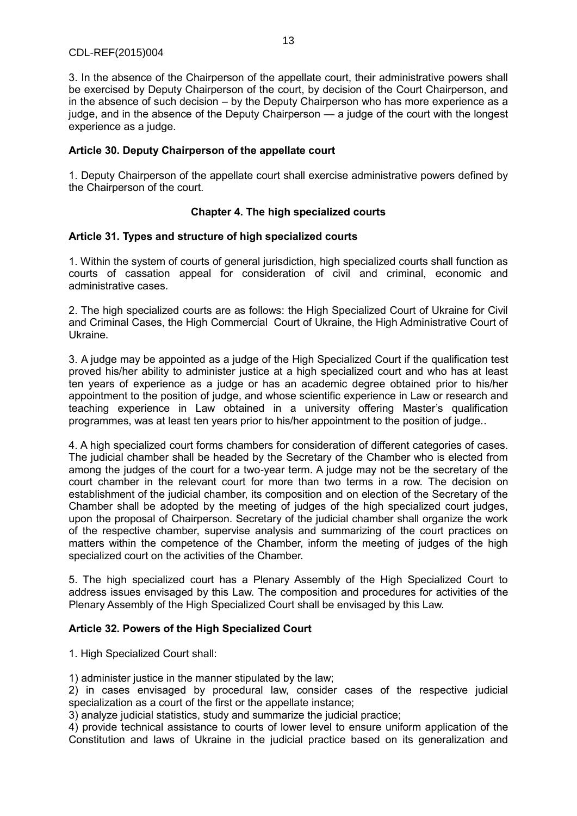# CDL-REF(2015)004

3. In the absence of the Chairperson of the appellate court, their administrative powers shall be exercised by Deputy Chairperson of the court, by decision of the Court Chairperson, and in the absence of such decision – by the Deputy Chairperson who has more experience as a judge, and in the absence of the Deputy Chairperson — a judge of the court with the longest experience as a judge.

# **Article 30. Deputy Chairperson of the appellate court**

1. Deputy Chairperson of the appellate court shall exercise administrative powers defined by the Chairperson of the court.

#### **Chapter 4. The high specialized courts**

#### **Article 31. Types and structure of high specialized courts**

1. Within the system of courts of general jurisdiction, high specialized courts shall function as courts of cassation appeal for consideration of civil and criminal, economic and administrative cases.

2. The high specialized courts are as follows: the High Specialized Court of Ukraine for Civil and Criminal Cases, the High Commercial Court of Ukraine, the High Administrative Court of Ukraine.

3. A judge may be appointed as a judge of the High Specialized Court if the qualification test proved his/her ability to administer justice at a high specialized court and who has at least ten years of experience as a judge or has an academic degree obtained prior to his/her appointment to the position of judge, and whose scientific experience in Law or research and teaching experience in Law obtained in a university offering Master's qualification programmes, was at least ten years prior to his/her appointment to the position of judge..

4. A high specialized court forms chambers for consideration of different categories of cases. The judicial chamber shall be headed by the Secretary of the Chamber who is elected from among the judges of the court for a two-year term. A judge may not be the secretary of the court chamber in the relevant court for more than two terms in a row. The decision on establishment of the judicial chamber, its composition and on election of the Secretary of the Chamber shall be adopted by the meeting of judges of the high specialized court judges, upon the proposal of Chairperson. Secretary of the judicial chamber shall organize the work of the respective chamber, supervise analysis and summarizing of the court practices on matters within the competence of the Chamber, inform the meeting of judges of the high specialized court on the activities of the Chamber.

5. The high specialized court has a Plenary Assembly of the High Specialized Court to address issues envisaged by this Law. The composition and procedures for activities of the Plenary Assembly of the High Specialized Court shall be envisaged by this Law.

# **Article 32. Powers of the High Specialized Court**

1. High Specialized Court shall:

1) administer justice in the manner stipulated by the law;

2) in cases envisaged by procedural law, consider cases of the respective judicial specialization as a court of the first or the appellate instance;

3) analyze judicial statistics, study and summarize the judicial practice;

4) provide technical assistance to courts of lower level to ensure uniform application of the Constitution and laws of Ukraine in the judicial practice based on its generalization and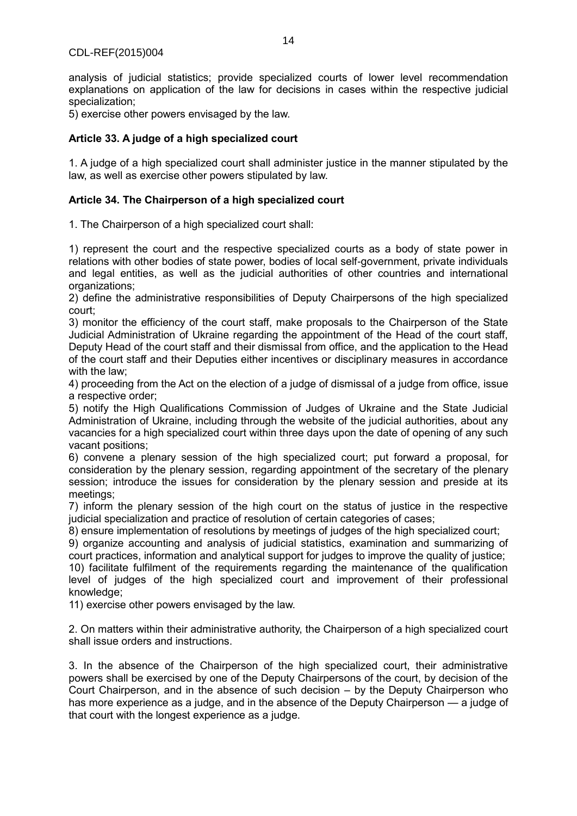analysis of judicial statistics; provide specialized courts of lower level recommendation explanations on application of the law for decisions in cases within the respective judicial specialization;

5) exercise other powers envisaged by the law.

# **Article 33. A judge of a high specialized court**

1. A judge of a high specialized court shall administer justice in the manner stipulated by the law, as well as exercise other powers stipulated by law.

# **Article 34. The Chairperson of a high specialized court**

1. The Chairperson of a high specialized court shall:

1) represent the court and the respective specialized courts as a body of state power in relations with other bodies of state power, bodies of local self-government, private individuals and legal entities, as well as the judicial authorities of other countries and international organizations;

2) define the administrative responsibilities of Deputy Chairpersons of the high specialized court;

3) monitor the efficiency of the court staff, make proposals to the Chairperson of the State Judicial Administration of Ukraine regarding the appointment of the Head of the court staff, Deputy Head of the court staff and their dismissal from office, and the application to the Head of the court staff and their Deputies either incentives or disciplinary measures in accordance with the law;

4) proceeding from the Act on the election of a judge of dismissal of a judge from office, issue a respective order;

5) notify the High Qualifications Commission of Judges of Ukraine and the State Judicial Administration of Ukraine, including through the website of the judicial authorities, about any vacancies for a high specialized court within three days upon the date of opening of any such vacant positions;

6) convene a plenary session of the high specialized court; put forward a proposal, for consideration by the plenary session, regarding appointment of the secretary of the plenary session; introduce the issues for consideration by the plenary session and preside at its meetings;

7) inform the plenary session of the high court on the status of justice in the respective judicial specialization and practice of resolution of certain categories of cases;

8) ensure implementation of resolutions by meetings of judges of the high specialized court;

9) organize accounting and analysis of judicial statistics, examination and summarizing of court practices, information and analytical support for judges to improve the quality of justice;

10) facilitate fulfilment of the requirements regarding the maintenance of the qualification level of judges of the high specialized court and improvement of their professional knowledge;

11) exercise other powers envisaged by the law.

2. On matters within their administrative authority, the Chairperson of a high specialized court shall issue orders and instructions.

3. In the absence of the Chairperson of the high specialized court, their administrative powers shall be exercised by one of the Deputy Chairpersons of the court, by decision of the Court Chairperson, and in the absence of such decision – by the Deputy Chairperson who has more experience as a judge, and in the absence of the Deputy Chairperson — a judge of that court with the longest experience as a judge.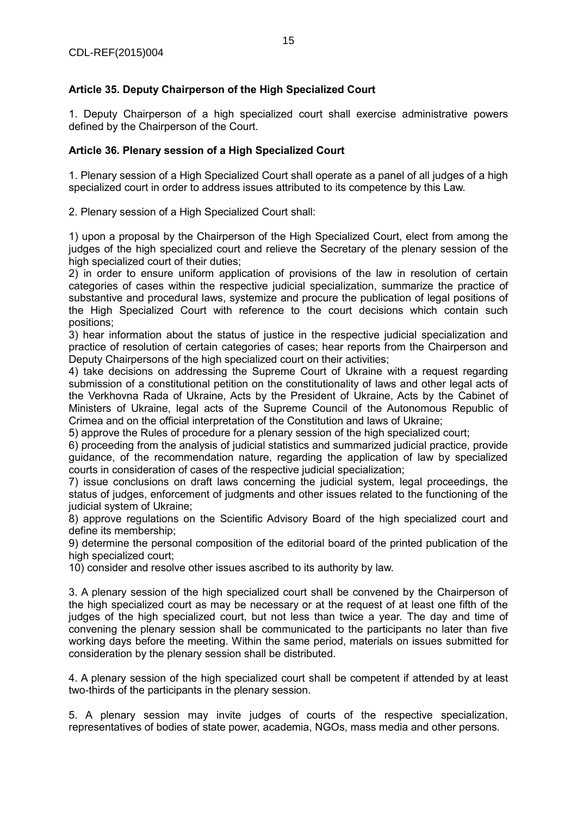# **Article 35. Deputy Chairperson of the High Specialized Court**

1. Deputy Chairperson of a high specialized court shall exercise administrative powers defined by the Chairperson of the Court.

# **Article 36. Plenary session of a High Specialized Court**

1. Plenary session of a High Specialized Court shall operate as a panel of all judges of a high specialized court in order to address issues attributed to its competence by this Law.

2. Plenary session of a High Specialized Court shall:

1) upon a proposal by the Chairperson of the High Specialized Court, elect from among the judges of the high specialized court and relieve the Secretary of the plenary session of the high specialized court of their duties:

2) in order to ensure uniform application of provisions of the law in resolution of certain categories of cases within the respective judicial specialization, summarize the practice of substantive and procedural laws, systemize and procure the publication of legal positions of the High Specialized Court with reference to the court decisions which contain such positions;

3) hear information about the status of justice in the respective judicial specialization and practice of resolution of certain categories of cases; hear reports from the Chairperson and Deputy Chairpersons of the high specialized court on their activities;

4) take decisions on addressing the Supreme Court of Ukraine with a request regarding submission of a constitutional petition on the constitutionality of laws and other legal acts of the Verkhovna Rada of Ukraine, Acts by the President of Ukraine, Acts by the Cabinet of Ministers of Ukraine, legal acts of the Supreme Council of the Autonomous Republic of Crimea and on the official interpretation of the Constitution and laws of Ukraine;

5) approve the Rules of procedure for a plenary session of the high specialized court;

6) proceeding from the analysis of judicial statistics and summarized judicial practice, provide guidance, of the recommendation nature, regarding the application of law by specialized courts in consideration of cases of the respective judicial specialization;

7) issue conclusions on draft laws concerning the judicial system, legal proceedings, the status of judges, enforcement of judgments and other issues related to the functioning of the judicial system of Ukraine;

8) approve regulations on the Scientific Advisory Board of the high specialized court and define its membership;

9) determine the personal composition of the editorial board of the printed publication of the high specialized court;

10) consider and resolve other issues ascribed to its authority by law.

3. A plenary session of the high specialized court shall be convened by the Chairperson of the high specialized court as may be necessary or at the request of at least one fifth of the judges of the high specialized court, but not less than twice a year. The day and time of convening the plenary session shall be communicated to the participants no later than five working days before the meeting. Within the same period, materials on issues submitted for consideration by the plenary session shall be distributed.

4. A plenary session of the high specialized court shall be competent if attended by at least two-thirds of the participants in the plenary session.

5. A plenary session may invite judges of courts of the respective specialization, representatives of bodies of state power, academia, NGOs, mass media and other persons.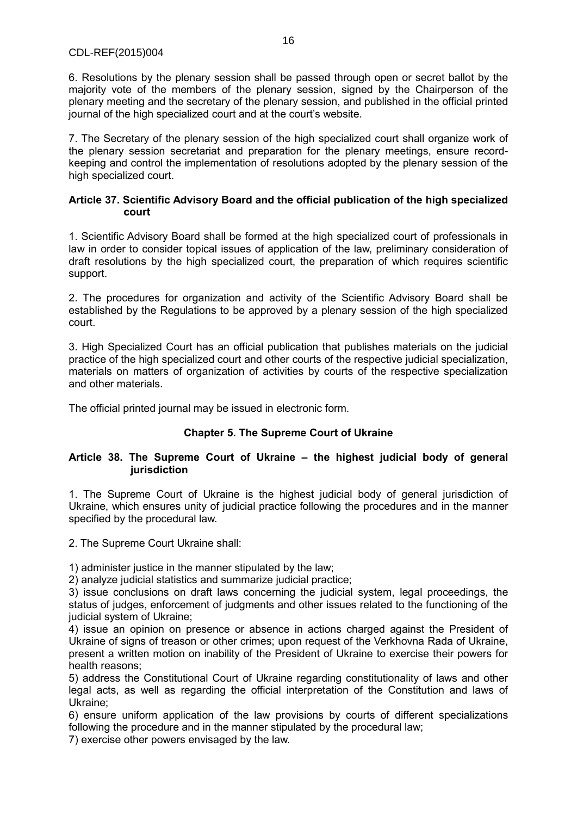6. Resolutions by the plenary session shall be passed through open or secret ballot by the majority vote of the members of the plenary session, signed by the Chairperson of the plenary meeting and the secretary of the plenary session, and published in the official printed journal of the high specialized court and at the court's website.

7. The Secretary of the plenary session of the high specialized court shall organize work of the plenary session secretariat and preparation for the plenary meetings, ensure recordkeeping and control the implementation of resolutions adopted by the plenary session of the high specialized court.

#### **Article 37. Scientific Advisory Board and the official publication of the high specialized court**

1. Scientific Advisory Board shall be formed at the high specialized court of professionals in law in order to consider topical issues of application of the law, preliminary consideration of draft resolutions by the high specialized court, the preparation of which requires scientific support.

2. The procedures for organization and activity of the Scientific Advisory Board shall be established by the Regulations to be approved by a plenary session of the high specialized court.

3. High Specialized Court has an official publication that publishes materials on the judicial practice of the high specialized court and other courts of the respective judicial specialization, materials on matters of organization of activities by courts of the respective specialization and other materials.

The official printed journal may be issued in electronic form.

# **Chapter 5. The Supreme Court of Ukraine**

#### **Article 38. The Supreme Court of Ukraine – the highest judicial body of general jurisdiction**

1. The Supreme Court of Ukraine is the highest judicial body of general jurisdiction of Ukraine, which ensures unity of judicial practice following the procedures and in the manner specified by the procedural law.

2. The Supreme Court Ukraine shall:

1) administer justice in the manner stipulated by the law;

2) analyze judicial statistics and summarize judicial practice;

3) issue conclusions on draft laws concerning the judicial system, legal proceedings, the status of judges, enforcement of judgments and other issues related to the functioning of the judicial system of Ukraine;

4) issue an opinion on presence or absence in actions charged against the President of Ukraine of signs of treason or other crimes; upon request of the Verkhovna Rada of Ukraine, present a written motion on inability of the President of Ukraine to exercise their powers for health reasons;

5) address the Constitutional Court of Ukraine regarding constitutionality of laws and other legal acts, as well as regarding the official interpretation of the Constitution and laws of Ukraine;

6) ensure uniform application of the law provisions by courts of different specializations following the procedure and in the manner stipulated by the procedural law;

7) exercise other powers envisaged by the law.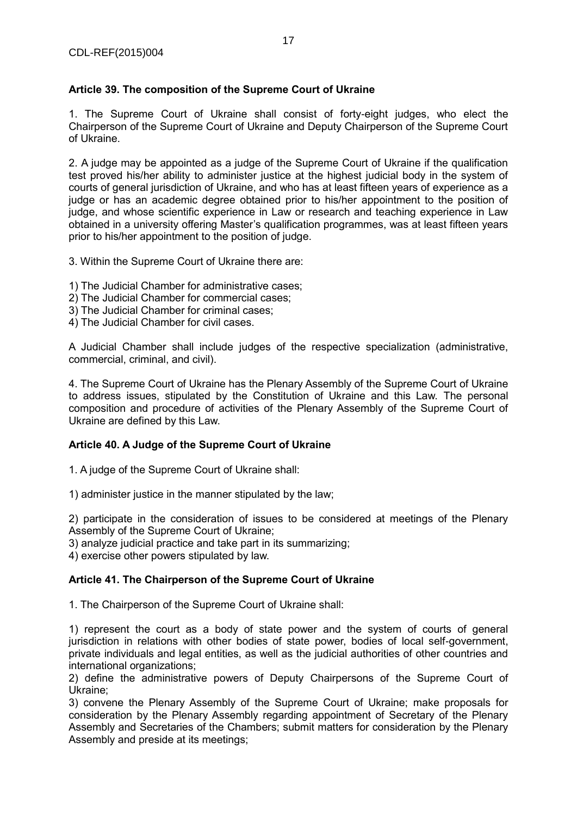# **Article 39. The composition of the Supreme Court of Ukraine**

1. The Supreme Court of Ukraine shall consist of forty-eight judges, who elect the Chairperson of the Supreme Court of Ukraine and Deputy Chairperson of the Supreme Court of Ukraine.

2. A judge may be appointed as a judge of the Supreme Court of Ukraine if the qualification test proved his/her ability to administer justice at the highest judicial body in the system of courts of general jurisdiction of Ukraine, and who has at least fifteen years of experience as a judge or has an academic degree obtained prior to his/her appointment to the position of judge, and whose scientific experience in Law or research and teaching experience in Law obtained in a university offering Master's qualification programmes, was at least fifteen years prior to his/her appointment to the position of judge.

3. Within the Supreme Court of Ukraine there are:

- 1) The Judicial Chamber for administrative cases;
- 2) The Judicial Chamber for commercial cases;
- 3) The Judicial Chamber for criminal cases;
- 4) The Judicial Chamber for civil cases.

A Judicial Chamber shall include judges of the respective specialization (administrative, commercial, criminal, and civil).

4. The Supreme Court of Ukraine has the Plenary Assembly of the Supreme Court of Ukraine to address issues, stipulated by the Constitution of Ukraine and this Law. The personal composition and procedure of activities of the Plenary Assembly of the Supreme Court of Ukraine are defined by this Law.

# **Article 40. A Judge of the Supreme Court of Ukraine**

1. A judge of the Supreme Court of Ukraine shall:

1) administer justice in the manner stipulated by the law;

2) participate in the consideration of issues to be considered at meetings of the Plenary Assembly of the Supreme Court of Ukraine;

3) analyze judicial practice and take part in its summarizing;

4) exercise other powers stipulated by law.

#### **Article 41. The Chairperson of the Supreme Court of Ukraine**

1. The Chairperson of the Supreme Court of Ukraine shall:

1) represent the court as a body of state power and the system of courts of general jurisdiction in relations with other bodies of state power, bodies of local self-government, private individuals and legal entities, as well as the judicial authorities of other countries and international organizations;

2) define the administrative powers of Deputy Chairpersons of the Supreme Court of Ukraine;

3) convene the Plenary Assembly of the Supreme Court of Ukraine; make proposals for consideration by the Plenary Assembly regarding appointment of Secretary of the Plenary Assembly and Secretaries of the Chambers; submit matters for consideration by the Plenary Assembly and preside at its meetings;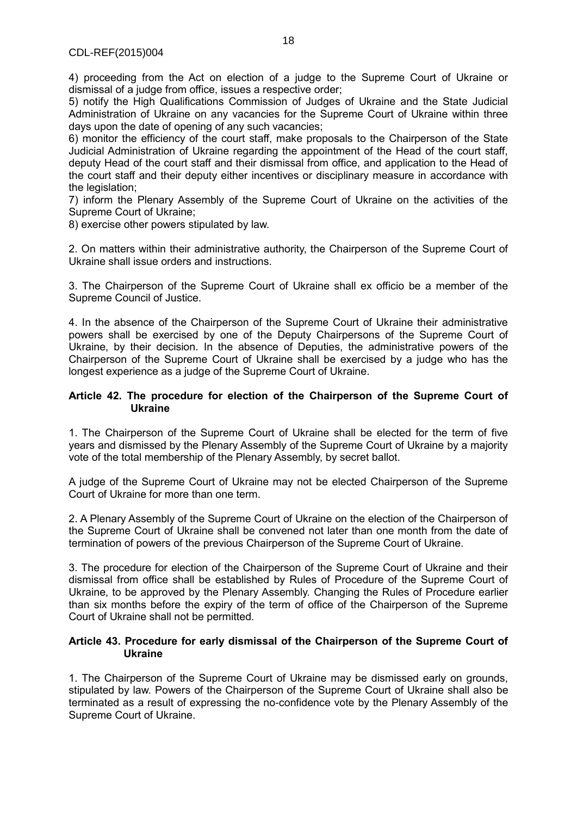4) proceeding from the Act on election of a judge to the Supreme Court of Ukraine or dismissal of a judge from office, issues a respective order;

5) notify the High Qualifications Commission of Judges of Ukraine and the State Judicial Administration of Ukraine on any vacancies for the Supreme Court of Ukraine within three days upon the date of opening of any such vacancies;

6) monitor the efficiency of the court staff, make proposals to the Chairperson of the State Judicial Administration of Ukraine regarding the appointment of the Head of the court staff, deputy Head of the court staff and their dismissal from office, and application to the Head of the court staff and their deputy either incentives or disciplinary measure in accordance with the legislation:

7) inform the Plenary Assembly of the Supreme Court of Ukraine on the activities of the Supreme Court of Ukraine;

8) exercise other powers stipulated by law.

2. On matters within their administrative authority, the Chairperson of the Supreme Court of Ukraine shall issue orders and instructions.

3. The Chairperson of the Supreme Court of Ukraine shall ex officio be a member of the Supreme Council of Justice.

4. In the absence of the Chairperson of the Supreme Court of Ukraine their administrative powers shall be exercised by one of the Deputy Chairpersons of the Supreme Court of Ukraine, by their decision. In the absence of Deputies, the administrative powers of the Chairperson of the Supreme Court of Ukraine shall be exercised by a judge who has the longest experience as a judge of the Supreme Court of Ukraine.

#### **Article 42. The procedure for election of the Chairperson of the Supreme Court of Ukraine**

1. The Chairperson of the Supreme Court of Ukraine shall be elected for the term of five years and dismissed by the Plenary Assembly of the Supreme Court of Ukraine by a majority vote of the total membership of the Plenary Assembly, by secret ballot.

A judge of the Supreme Court of Ukraine may not be elected Chairperson of the Supreme Court of Ukraine for more than one term.

2. A Plenary Assembly of the Supreme Court of Ukraine on the election of the Chairperson of the Supreme Court of Ukraine shall be convened not later than one month from the date of termination of powers of the previous Chairperson of the Supreme Court of Ukraine.

3. The procedure for election of the Chairperson of the Supreme Court of Ukraine and their dismissal from office shall be established by Rules of Procedure of the Supreme Court of Ukraine, to be approved by the Plenary Assembly. Changing the Rules of Procedure earlier than six months before the expiry of the term of office of the Chairperson of the Supreme Court of Ukraine shall not be permitted.

#### **Article 43. Procedure for early dismissal of the Chairperson of the Supreme Court of Ukraine**

1. The Chairperson of the Supreme Court of Ukraine may be dismissed early on grounds, stipulated by law. Powers of the Chairperson of the Supreme Court of Ukraine shall also be terminated as a result of expressing the no-confidence vote by the Plenary Assembly of the Supreme Court of Ukraine.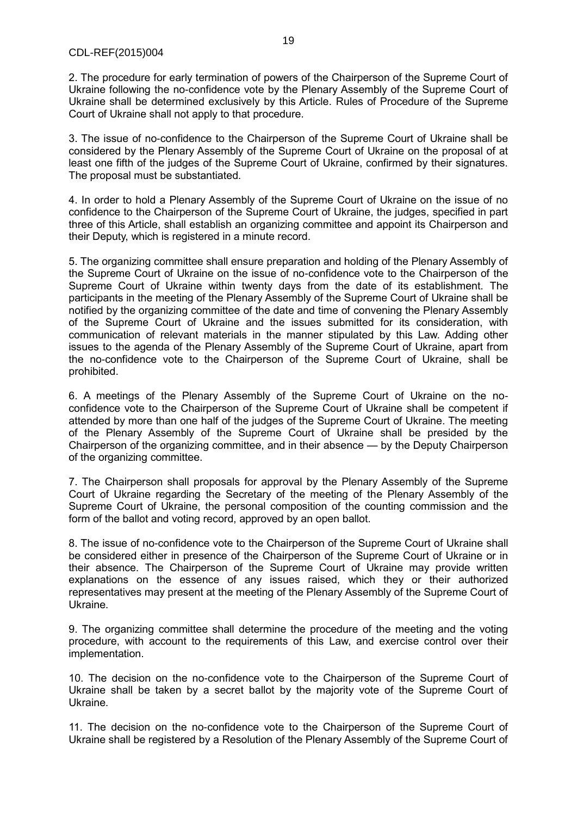2. The procedure for early termination of powers of the Chairperson of the Supreme Court of Ukraine following the no-confidence vote by the Plenary Assembly of the Supreme Court of Ukraine shall be determined exclusively by this Article. Rules of Procedure of the Supreme Court of Ukraine shall not apply to that procedure.

3. The issue of no-confidence to the Chairperson of the Supreme Court of Ukraine shall be considered by the Plenary Assembly of the Supreme Court of Ukraine on the proposal of at least one fifth of the judges of the Supreme Court of Ukraine, confirmed by their signatures. The proposal must be substantiated.

4. In order to hold a Plenary Assembly of the Supreme Court of Ukraine on the issue of no confidence to the Chairperson of the Supreme Court of Ukraine, the judges, specified in part three of this Article, shall establish an organizing committee and appoint its Chairperson and their Deputy, which is registered in a minute record.

5. The organizing committee shall ensure preparation and holding of the Plenary Assembly of the Supreme Court of Ukraine on the issue of no-confidence vote to the Chairperson of the Supreme Court of Ukraine within twenty days from the date of its establishment. The participants in the meeting of the Plenary Assembly of the Supreme Court of Ukraine shall be notified by the organizing committee of the date and time of convening the Plenary Assembly of the Supreme Court of Ukraine and the issues submitted for its consideration, with communication of relevant materials in the manner stipulated by this Law. Adding other issues to the agenda of the Plenary Assembly of the Supreme Court of Ukraine, apart from the no-confidence vote to the Chairperson of the Supreme Court of Ukraine, shall be prohibited.

6. A meetings of the Plenary Assembly of the Supreme Court of Ukraine on the noconfidence vote to the Chairperson of the Supreme Court of Ukraine shall be competent if attended by more than one half of the judges of the Supreme Court of Ukraine. The meeting of the Plenary Assembly of the Supreme Court of Ukraine shall be presided by the Chairperson of the organizing committee, and in their absence — by the Deputy Chairperson of the organizing committee.

7. The Chairperson shall proposals for approval by the Plenary Assembly of the Supreme Court of Ukraine regarding the Secretary of the meeting of the Plenary Assembly of the Supreme Court of Ukraine, the personal composition of the counting commission and the form of the ballot and voting record, approved by an open ballot.

8. The issue of no-confidence vote to the Chairperson of the Supreme Court of Ukraine shall be considered either in presence of the Chairperson of the Supreme Court of Ukraine or in their absence. The Chairperson of the Supreme Court of Ukraine may provide written explanations on the essence of any issues raised, which they or their authorized representatives may present at the meeting of the Plenary Assembly of the Supreme Court of Ukraine.

9. The organizing committee shall determine the procedure of the meeting and the voting procedure, with account to the requirements of this Law, and exercise control over their implementation.

10. The decision on the no-confidence vote to the Chairperson of the Supreme Court of Ukraine shall be taken by a secret ballot by the majority vote of the Supreme Court of Ukraine.

11. The decision on the no-confidence vote to the Chairperson of the Supreme Court of Ukraine shall be registered by a Resolution of the Plenary Assembly of the Supreme Court of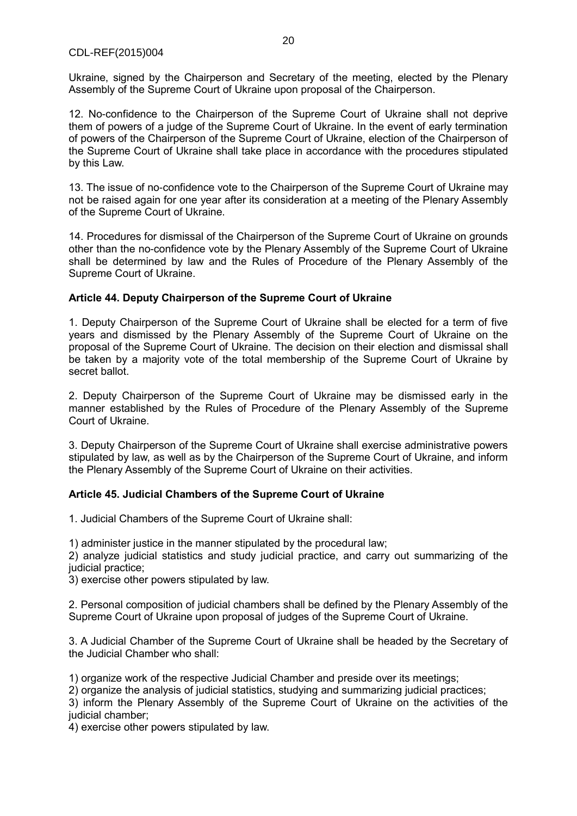Ukraine, signed by the Chairperson and Secretary of the meeting, elected by the Plenary Assembly of the Supreme Court of Ukraine upon proposal of the Chairperson.

12. No-confidence to the Chairperson of the Supreme Court of Ukraine shall not deprive them of powers of a judge of the Supreme Court of Ukraine. In the event of early termination of powers of the Chairperson of the Supreme Court of Ukraine, election of the Chairperson of the Supreme Court of Ukraine shall take place in accordance with the procedures stipulated by this Law.

13. The issue of no-confidence vote to the Chairperson of the Supreme Court of Ukraine may not be raised again for one year after its consideration at a meeting of the Plenary Assembly of the Supreme Court of Ukraine.

14. Procedures for dismissal of the Chairperson of the Supreme Court of Ukraine on grounds other than the no-confidence vote by the Plenary Assembly of the Supreme Court of Ukraine shall be determined by law and the Rules of Procedure of the Plenary Assembly of the Supreme Court of Ukraine.

# **Article 44. Deputy Chairperson of the Supreme Court of Ukraine**

1. Deputy Chairperson of the Supreme Court of Ukraine shall be elected for a term of five years and dismissed by the Plenary Assembly of the Supreme Court of Ukraine on the proposal of the Supreme Court of Ukraine. The decision on their election and dismissal shall be taken by a majority vote of the total membership of the Supreme Court of Ukraine by secret ballot.

2. Deputy Chairperson of the Supreme Court of Ukraine may be dismissed early in the manner established by the Rules of Procedure of the Plenary Assembly of the Supreme Court of Ukraine.

3. Deputy Chairperson of the Supreme Court of Ukraine shall exercise administrative powers stipulated by law, as well as by the Chairperson of the Supreme Court of Ukraine, and inform the Plenary Assembly of the Supreme Court of Ukraine on their activities.

# **Article 45. Judicial Chambers of the Supreme Court of Ukraine**

1. Judicial Chambers of the Supreme Court of Ukraine shall:

1) administer justice in the manner stipulated by the procedural law;

2) analyze judicial statistics and study judicial practice, and carry out summarizing of the judicial practice:

3) exercise other powers stipulated by law.

2. Personal composition of judicial chambers shall be defined by the Plenary Assembly of the Supreme Court of Ukraine upon proposal of judges of the Supreme Court of Ukraine.

3. A Judicial Chamber of the Supreme Court of Ukraine shall be headed by the Secretary of the Judicial Chamber who shall:

1) organize work of the respective Judicial Chamber and preside over its meetings;

2) organize the analysis of judicial statistics, studying and summarizing judicial practices;

3) inform the Plenary Assembly of the Supreme Court of Ukraine on the activities of the judicial chamber;

4) exercise other powers stipulated by law.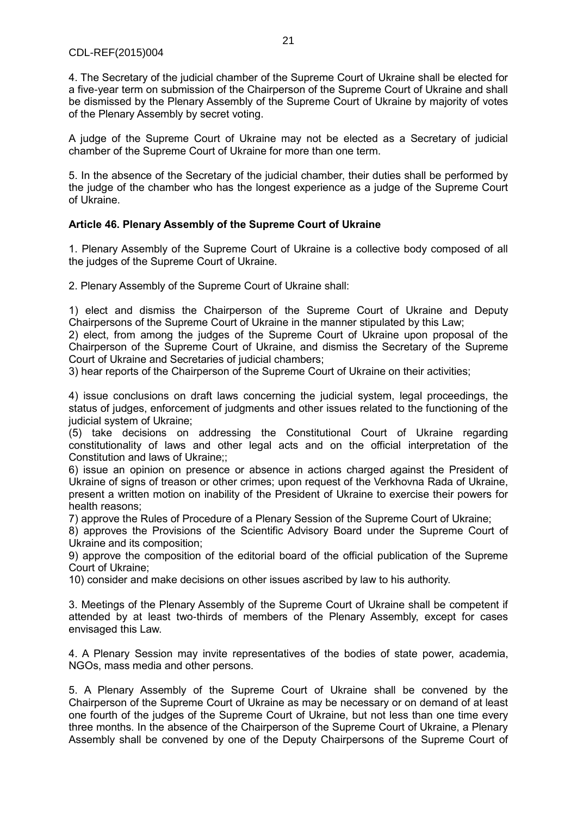4. The Secretary of the judicial chamber of the Supreme Court of Ukraine shall be elected for a five-year term on submission of the Chairperson of the Supreme Court of Ukraine and shall be dismissed by the Plenary Assembly of the Supreme Court of Ukraine by majority of votes of the Plenary Assembly by secret voting.

A judge of the Supreme Court of Ukraine may not be elected as a Secretary of judicial chamber of the Supreme Court of Ukraine for more than one term.

5. In the absence of the Secretary of the judicial chamber, their duties shall be performed by the judge of the chamber who has the longest experience as a judge of the Supreme Court of Ukraine.

# **Article 46. Plenary Assembly of the Supreme Court of Ukraine**

1. Plenary Assembly of the Supreme Court of Ukraine is a collective body composed of all the judges of the Supreme Court of Ukraine.

2. Plenary Assembly of the Supreme Court of Ukraine shall:

1) elect and dismiss the Chairperson of the Supreme Court of Ukraine and Deputy Chairpersons of the Supreme Court of Ukraine in the manner stipulated by this Law;

2) elect, from among the judges of the Supreme Court of Ukraine upon proposal of the Chairperson of the Supreme Court of Ukraine, and dismiss the Secretary of the Supreme Court of Ukraine and Secretaries of judicial chambers;

3) hear reports of the Chairperson of the Supreme Court of Ukraine on their activities;

4) issue conclusions on draft laws concerning the judicial system, legal proceedings, the status of judges, enforcement of judgments and other issues related to the functioning of the judicial system of Ukraine:

(5) take decisions on addressing the Constitutional Court of Ukraine regarding constitutionality of laws and other legal acts and on the official interpretation of the Constitution and laws of Ukraine;;

6) issue an opinion on presence or absence in actions charged against the President of Ukraine of signs of treason or other crimes; upon request of the Verkhovna Rada of Ukraine, present a written motion on inability of the President of Ukraine to exercise their powers for health reasons;

7) approve the Rules of Procedure of a Plenary Session of the Supreme Court of Ukraine;

8) approves the Provisions of the Scientific Advisory Board under the Supreme Court of Ukraine and its composition;

9) approve the composition of the editorial board of the official publication of the Supreme Court of Ukraine;

10) consider and make decisions on other issues ascribed by law to his authority.

3. Meetings of the Plenary Assembly of the Supreme Court of Ukraine shall be competent if attended by at least two-thirds of members of the Plenary Assembly, except for cases envisaged this Law.

4. A Plenary Session may invite representatives of the bodies of state power, academia, NGOs, mass media and other persons.

5. A Plenary Assembly of the Supreme Court of Ukraine shall be convened by the Chairperson of the Supreme Court of Ukraine as may be necessary or on demand of at least one fourth of the judges of the Supreme Court of Ukraine, but not less than one time every three months. In the absence of the Chairperson of the Supreme Court of Ukraine, a Plenary Assembly shall be convened by one of the Deputy Chairpersons of the Supreme Court of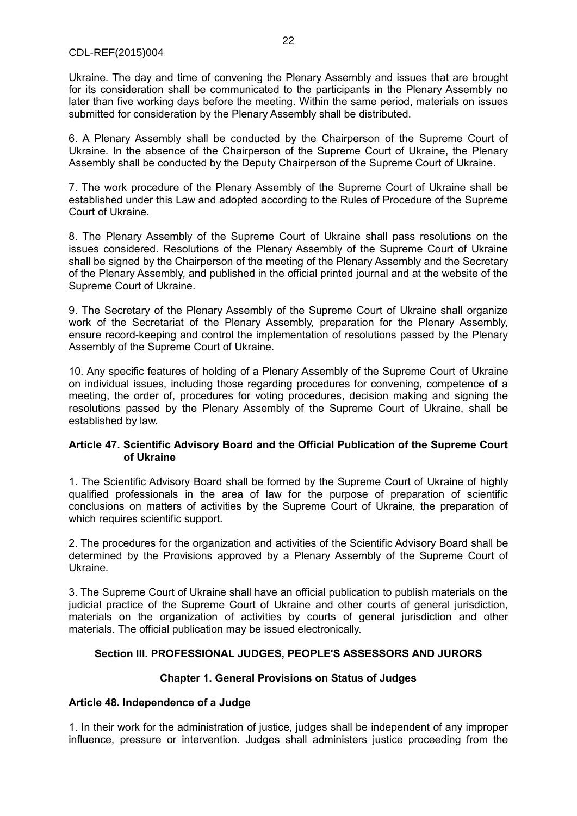Ukraine. The day and time of convening the Plenary Assembly and issues that are brought for its consideration shall be communicated to the participants in the Plenary Assembly no later than five working days before the meeting. Within the same period, materials on issues submitted for consideration by the Plenary Assembly shall be distributed.

6. A Plenary Assembly shall be conducted by the Chairperson of the Supreme Court of Ukraine. In the absence of the Chairperson of the Supreme Court of Ukraine, the Plenary Assembly shall be conducted by the Deputy Chairperson of the Supreme Court of Ukraine.

7. The work procedure of the Plenary Assembly of the Supreme Court of Ukraine shall be established under this Law and adopted according to the Rules of Procedure of the Supreme Court of Ukraine.

8. The Plenary Assembly of the Supreme Court of Ukraine shall pass resolutions on the issues considered. Resolutions of the Plenary Assembly of the Supreme Court of Ukraine shall be signed by the Chairperson of the meeting of the Plenary Assembly and the Secretary of the Plenary Assembly, and published in the official printed journal and at the website of the Supreme Court of Ukraine.

9. The Secretary of the Plenary Assembly of the Supreme Court of Ukraine shall organize work of the Secretariat of the Plenary Assembly, preparation for the Plenary Assembly, ensure record-keeping and control the implementation of resolutions passed by the Plenary Assembly of the Supreme Court of Ukraine.

10. Any specific features of holding of a Plenary Assembly of the Supreme Court of Ukraine on individual issues, including those regarding procedures for convening, competence of a meeting, the order of, procedures for voting procedures, decision making and signing the resolutions passed by the Plenary Assembly of the Supreme Court of Ukraine, shall be established by law.

#### **Article 47. Scientific Advisory Board and the Official Publication of the Supreme Court of Ukraine**

1. The Scientific Advisory Board shall be formed by the Supreme Court of Ukraine of highly qualified professionals in the area of law for the purpose of preparation of scientific conclusions on matters of activities by the Supreme Court of Ukraine, the preparation of which requires scientific support.

2. The procedures for the organization and activities of the Scientific Advisory Board shall be determined by the Provisions approved by a Plenary Assembly of the Supreme Court of Ukraine.

3. The Supreme Court of Ukraine shall have an official publication to publish materials on the judicial practice of the Supreme Court of Ukraine and other courts of general jurisdiction, materials on the organization of activities by courts of general jurisdiction and other materials. The official publication may be issued electronically.

# **Section III. PROFESSIONAL JUDGES, PEOPLE'S ASSESSORS AND JURORS**

# **Chapter 1. General Provisions on Status of Judges**

# **Article 48. Independence of a Judge**

1. In their work for the administration of justice, judges shall be independent of any improper influence, pressure or intervention. Judges shall administers justice proceeding from the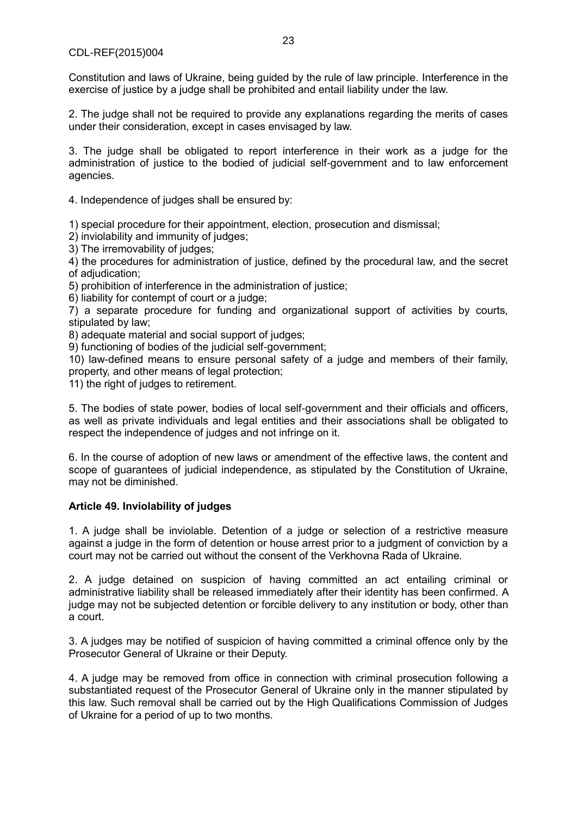Constitution and laws of Ukraine, being guided by the rule of law principle. Interference in the exercise of justice by a judge shall be prohibited and entail liability under the law.

2. The judge shall not be required to provide any explanations regarding the merits of cases under their consideration, except in cases envisaged by law.

3. The judge shall be obligated to report interference in their work as a judge for the administration of justice to the bodied of judicial self-government and to law enforcement agencies.

4. Independence of judges shall be ensured by:

1) special procedure for their appointment, election, prosecution and dismissal;

2) inviolability and immunity of judges;

3) The irremovability of judges;

4) the procedures for administration of justice, defined by the procedural law, and the secret of adjudication;

5) prohibition of interference in the administration of justice;

6) liability for contempt of court or a judge;

7) a separate procedure for funding and organizational support of activities by courts, stipulated by law;

8) adequate material and social support of judges;

9) functioning of bodies of the judicial self-government;

10) law-defined means to ensure personal safety of a judge and members of their family, property, and other means of legal protection;

11) the right of judges to retirement.

5. The bodies of state power, bodies of local self-government and their officials and officers, as well as private individuals and legal entities and their associations shall be obligated to respect the independence of judges and not infringe on it.

6. In the course of adoption of new laws or amendment of the effective laws, the content and scope of guarantees of judicial independence, as stipulated by the Constitution of Ukraine, may not be diminished.

# **Article 49. Inviolability of judges**

1. A judge shall be inviolable. Detention of a judge or selection of a restrictive measure against a judge in the form of detention or house arrest prior to a judgment of conviction by a court may not be carried out without the consent of the Verkhovna Rada of Ukraine.

2. A judge detained on suspicion of having committed an act entailing criminal or administrative liability shall be released immediately after their identity has been confirmed. A judge may not be subjected detention or forcible delivery to any institution or body, other than a court.

3. A judges may be notified of suspicion of having committed a criminal offence only by the Prosecutor General of Ukraine or their Deputy.

4. A judge may be removed from office in connection with criminal prosecution following a substantiated request of the Prosecutor General of Ukraine only in the manner stipulated by this law. Such removal shall be carried out by the High Qualifications Commission of Judges of Ukraine for a period of up to two months.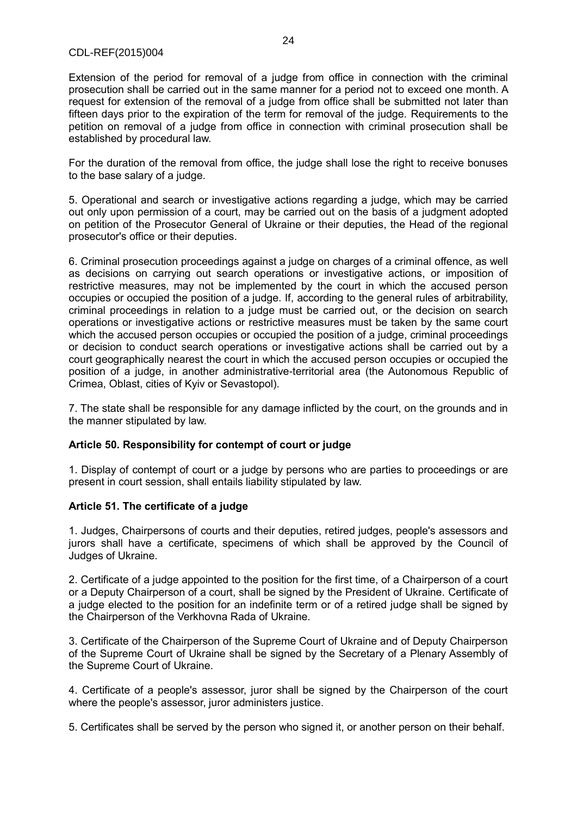#### CDL-REF(2015)004

Extension of the period for removal of a judge from office in connection with the criminal prosecution shall be carried out in the same manner for a period not to exceed one month. A request for extension of the removal of a judge from office shall be submitted not later than fifteen days prior to the expiration of the term for removal of the judge. Requirements to the petition on removal of a judge from office in connection with criminal prosecution shall be established by procedural law.

For the duration of the removal from office, the judge shall lose the right to receive bonuses to the base salary of a judge.

5. Operational and search or investigative actions regarding a judge, which may be carried out only upon permission of a court, may be carried out on the basis of a judgment adopted on petition of the Prosecutor General of Ukraine or their deputies, the Head of the regional prosecutor's office or their deputies.

6. Criminal prosecution proceedings against a judge on charges of a criminal offence, as well as decisions on carrying out search operations or investigative actions, or imposition of restrictive measures, may not be implemented by the court in which the accused person occupies or occupied the position of a judge. If, according to the general rules of arbitrability, criminal proceedings in relation to a judge must be carried out, or the decision on search operations or investigative actions or restrictive measures must be taken by the same court which the accused person occupies or occupied the position of a judge, criminal proceedings or decision to conduct search operations or investigative actions shall be carried out by a court geographically nearest the court in which the accused person occupies or occupied the position of a judge, in another administrative-territorial area (the Autonomous Republic of Crimea, Oblast, cities of Kyiv or Sevastopol).

7. The state shall be responsible for any damage inflicted by the court, on the grounds and in the manner stipulated by law.

# **Article 50. Responsibility for contempt of court or judge**

1. Display of contempt of court or a judge by persons who are parties to proceedings or are present in court session, shall entails liability stipulated by law.

#### **Article 51. The certificate of a judge**

1. Judges, Chairpersons of courts and their deputies, retired judges, people's assessors and jurors shall have a certificate, specimens of which shall be approved by the Council of Judges of Ukraine.

2. Certificate of a judge appointed to the position for the first time, of a Chairperson of a court or a Deputy Chairperson of a court, shall be signed by the President of Ukraine. Certificate of a judge elected to the position for an indefinite term or of a retired judge shall be signed by the Chairperson of the Verkhovna Rada of Ukraine.

3. Certificate of the Chairperson of the Supreme Court of Ukraine and of Deputy Chairperson of the Supreme Court of Ukraine shall be signed by the Secretary of a Plenary Assembly of the Supreme Court of Ukraine.

4. Certificate of a people's assessor, juror shall be signed by the Chairperson of the court where the people's assessor, juror administers justice.

5. Certificates shall be served by the person who signed it, or another person on their behalf.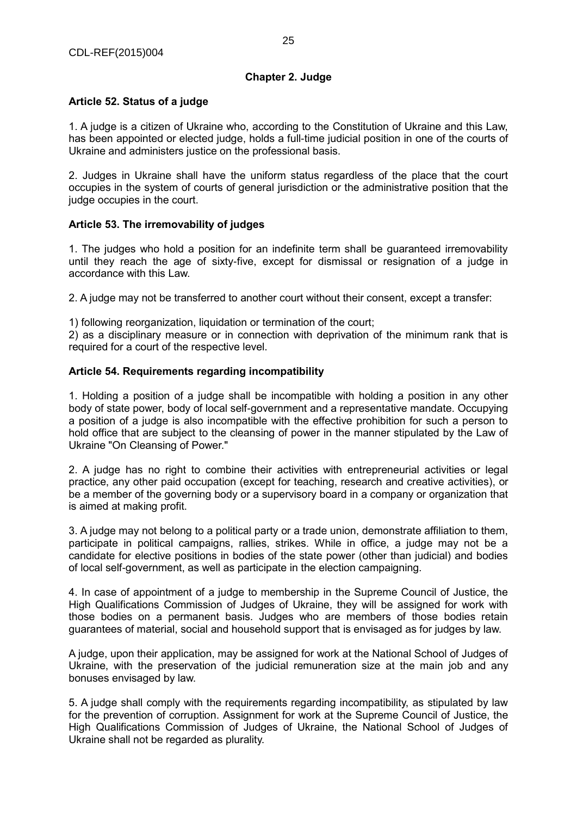# **Article 52. Status of a judge**

1. A judge is a citizen of Ukraine who, according to the Constitution of Ukraine and this Law, has been appointed or elected judge, holds a full-time judicial position in one of the courts of Ukraine and administers justice on the professional basis.

2. Judges in Ukraine shall have the uniform status regardless of the place that the court occupies in the system of courts of general jurisdiction or the administrative position that the judge occupies in the court.

# **Article 53. The irremovability of judges**

1. The judges who hold a position for an indefinite term shall be guaranteed irremovability until they reach the age of sixty-five, except for dismissal or resignation of a judge in accordance with this Law.

2. A judge may not be transferred to another court without their consent, except a transfer:

1) following reorganization, liquidation or termination of the court;

2) as a disciplinary measure or in connection with deprivation of the minimum rank that is required for a court of the respective level.

# **Article 54. Requirements regarding incompatibility**

1. Holding a position of a judge shall be incompatible with holding a position in any other body of state power, body of local self-government and a representative mandate. Occupying a position of a judge is also incompatible with the effective prohibition for such a person to hold office that are subject to the cleansing of power in the manner stipulated by the Law of Ukraine "On Cleansing of Power."

2. A judge has no right to combine their activities with entrepreneurial activities or legal practice, any other paid occupation (except for teaching, research and creative activities), or be a member of the governing body or a supervisory board in a company or organization that is aimed at making profit.

3. A judge may not belong to a political party or a trade union, demonstrate affiliation to them, participate in political campaigns, rallies, strikes. While in office, a judge may not be a candidate for elective positions in bodies of the state power (other than judicial) and bodies of local self-government, as well as participate in the election campaigning.

4. In case of appointment of a judge to membership in the Supreme Council of Justice, the High Qualifications Commission of Judges of Ukraine, they will be assigned for work with those bodies on a permanent basis. Judges who are members of those bodies retain guarantees of material, social and household support that is envisaged as for judges by law.

A judge, upon their application, may be assigned for work at the National School of Judges of Ukraine, with the preservation of the judicial remuneration size at the main job and any bonuses envisaged by law.

5. A judge shall comply with the requirements regarding incompatibility, as stipulated by law for the prevention of corruption. Assignment for work at the Supreme Council of Justice, the High Qualifications Commission of Judges of Ukraine, the National School of Judges of Ukraine shall not be regarded as plurality.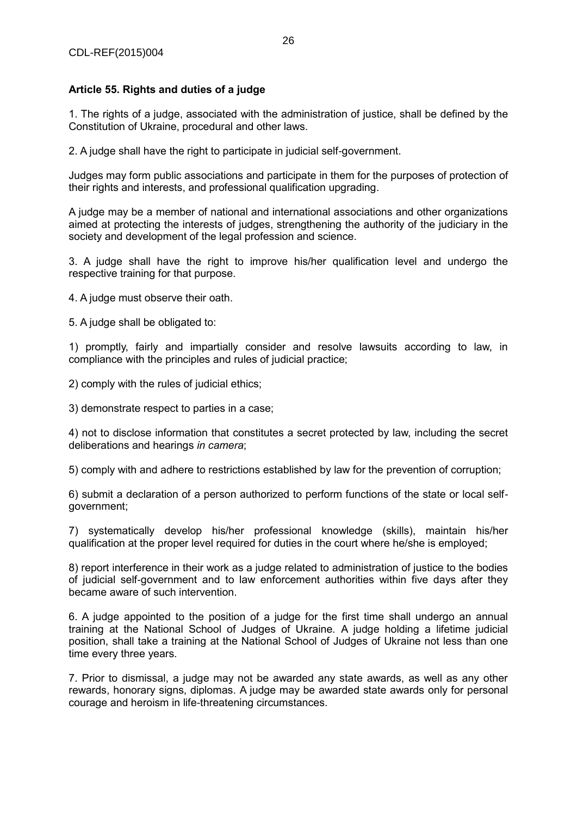# **Article 55. Rights and duties of a judge**

1. The rights of a judge, associated with the administration of justice, shall be defined by the Constitution of Ukraine, procedural and other laws.

2. A judge shall have the right to participate in judicial self-government.

Judges may form public associations and participate in them for the purposes of protection of their rights and interests, and professional qualification upgrading.

A judge may be a member of national and international associations and other organizations aimed at protecting the interests of judges, strengthening the authority of the judiciary in the society and development of the legal profession and science.

3. A judge shall have the right to improve his/her qualification level and undergo the respective training for that purpose.

4. A judge must observe their oath.

5. A judge shall be obligated to:

1) promptly, fairly and impartially consider and resolve lawsuits according to law, in compliance with the principles and rules of judicial practice;

2) comply with the rules of judicial ethics;

3) demonstrate respect to parties in a case;

4) not to disclose information that constitutes a secret protected by law, including the secret deliberations and hearings *in camera*;

5) comply with and adhere to restrictions established by law for the prevention of corruption;

6) submit a declaration of a person authorized to perform functions of the state or local selfgovernment;

7) systematically develop his/her professional knowledge (skills), maintain his/her qualification at the proper level required for duties in the court where he/she is employed;

8) report interference in their work as a judge related to administration of justice to the bodies of judicial self-government and to law enforcement authorities within five days after they became aware of such intervention.

6. A judge appointed to the position of a judge for the first time shall undergo an annual training at the National School of Judges of Ukraine. A judge holding a lifetime judicial position, shall take a training at the National School of Judges of Ukraine not less than one time every three years.

7. Prior to dismissal, a judge may not be awarded any state awards, as well as any other rewards, honorary signs, diplomas. A judge may be awarded state awards only for personal courage and heroism in life-threatening circumstances.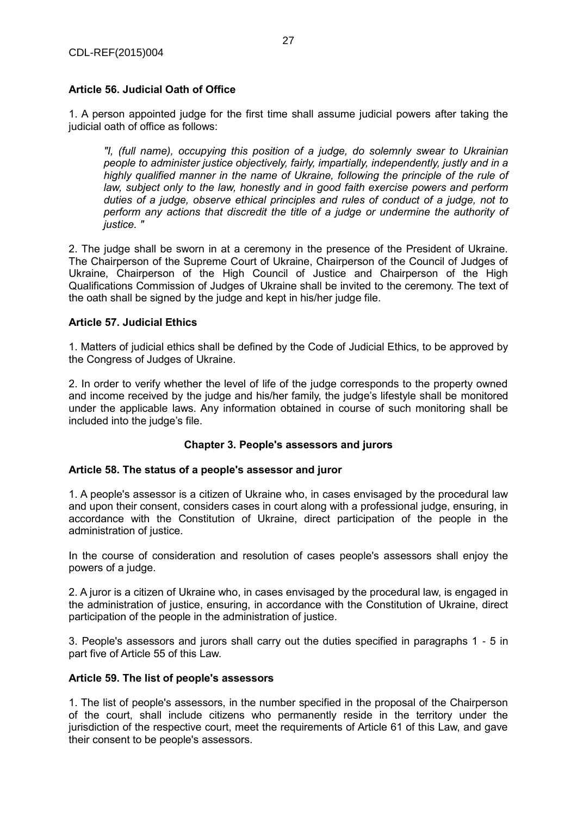# **Article 56. Judicial Oath of Office**

1. A person appointed judge for the first time shall assume judicial powers after taking the judicial oath of office as follows:

*"I, (full name), occupying this position of a judge, do solemnly swear to Ukrainian people to administer justice objectively, fairly, impartially, independently, justly and in a highly qualified manner in the name of Ukraine, following the principle of the rule of*  law, subject only to the law, honestly and in good faith exercise powers and perform *duties of a judge, observe ethical principles and rules of conduct of a judge, not to perform any actions that discredit the title of a judge or undermine the authority of justice. "*

2. The judge shall be sworn in at a ceremony in the presence of the President of Ukraine. The Chairperson of the Supreme Court of Ukraine, Chairperson of the Council of Judges of Ukraine, Chairperson of the High Council of Justice and Chairperson of the High Qualifications Commission of Judges of Ukraine shall be invited to the ceremony. The text of the oath shall be signed by the judge and kept in his/her judge file.

# **Article 57. Judicial Ethics**

1. Matters of judicial ethics shall be defined by the Code of Judicial Ethics, to be approved by the Congress of Judges of Ukraine.

2. In order to verify whether the level of life of the judge corresponds to the property owned and income received by the judge and his/her family, the judge's lifestyle shall be monitored under the applicable laws. Any information obtained in course of such monitoring shall be included into the judge's file.

# **Chapter 3. People's assessors and jurors**

#### **Article 58. The status of a people's assessor and juror**

1. A people's assessor is a citizen of Ukraine who, in cases envisaged by the procedural law and upon their consent, considers cases in court along with a professional judge, ensuring, in accordance with the Constitution of Ukraine, direct participation of the people in the administration of justice.

In the course of consideration and resolution of cases people's assessors shall enjoy the powers of a judge.

2. A juror is a citizen of Ukraine who, in cases envisaged by the procedural law, is engaged in the administration of justice, ensuring, in accordance with the Constitution of Ukraine, direct participation of the people in the administration of justice.

3. People's assessors and jurors shall carry out the duties specified in paragraphs 1 - 5 in part five of Article 55 of this Law.

#### **Article 59. The list of people's assessors**

1. The list of people's assessors, in the number specified in the proposal of the Chairperson of the court, shall include citizens who permanently reside in the territory under the jurisdiction of the respective court, meet the requirements of Article 61 of this Law, and gave their consent to be people's assessors.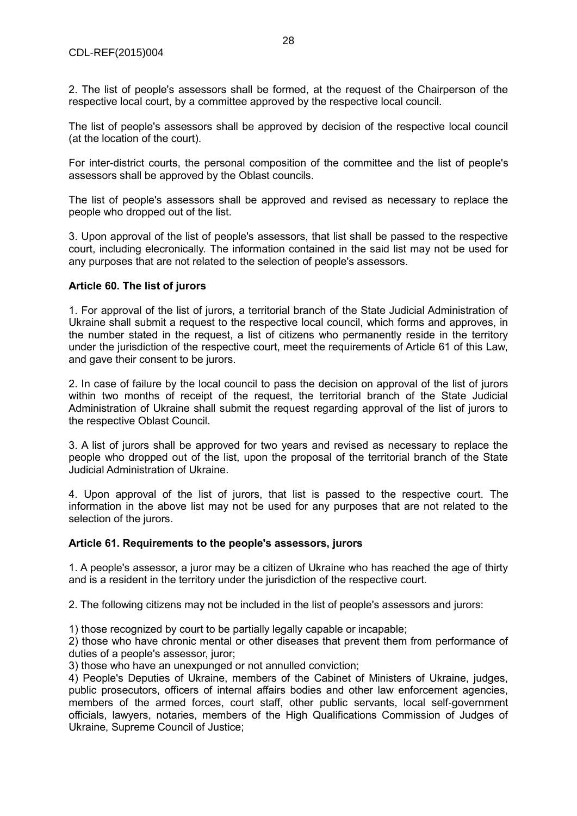2. The list of people's assessors shall be formed, at the request of the Chairperson of the respective local court, by a committee approved by the respective local council.

The list of people's assessors shall be approved by decision of the respective local council (at the location of the court).

For inter-district courts, the personal composition of the committee and the list of people's assessors shall be approved by the Oblast councils.

The list of people's assessors shall be approved and revised as necessary to replace the people who dropped out of the list.

3. Upon approval of the list of people's assessors, that list shall be passed to the respective court, including elecronically. The information contained in the said list may not be used for any purposes that are not related to the selection of people's assessors.

#### **Article 60. The list of jurors**

1. For approval of the list of jurors, a territorial branch of the State Judicial Administration of Ukraine shall submit a request to the respective local council, which forms and approves, in the number stated in the request, a list of citizens who permanently reside in the territory under the jurisdiction of the respective court, meet the requirements of Article 61 of this Law, and gave their consent to be jurors.

2. In case of failure by the local council to pass the decision on approval of the list of jurors within two months of receipt of the request, the territorial branch of the State Judicial Administration of Ukraine shall submit the request regarding approval of the list of jurors to the respective Oblast Council.

3. A list of jurors shall be approved for two years and revised as necessary to replace the people who dropped out of the list, upon the proposal of the territorial branch of the State Judicial Administration of Ukraine.

4. Upon approval of the list of jurors, that list is passed to the respective court. The information in the above list may not be used for any purposes that are not related to the selection of the jurors.

#### **Article 61. Requirements to the people's assessors, jurors**

1. A people's assessor, a juror may be a citizen of Ukraine who has reached the age of thirty and is a resident in the territory under the jurisdiction of the respective court.

2. The following citizens may not be included in the list of people's assessors and jurors:

1) those recognized by court to be partially legally capable or incapable;

2) those who have chronic mental or other diseases that prevent them from performance of duties of a people's assessor, juror;

3) those who have an unexpunged or not annulled conviction;

4) People's Deputies of Ukraine, members of the Cabinet of Ministers of Ukraine, judges, public prosecutors, officers of internal affairs bodies and other law enforcement agencies, members of the armed forces, court staff, other public servants, local self-government officials, lawyers, notaries, members of the High Qualifications Commission of Judges of Ukraine, Supreme Council of Justice;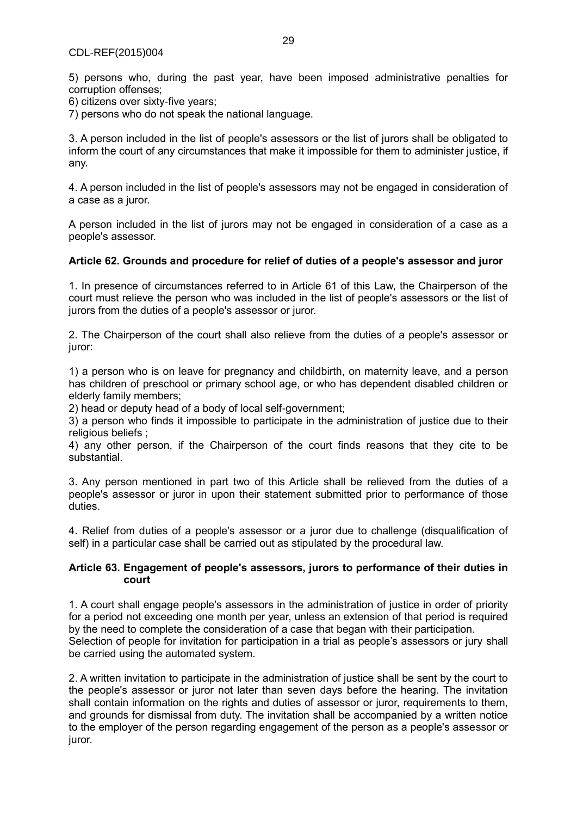5) persons who, during the past year, have been imposed administrative penalties for corruption offenses;

6) citizens over sixty-five years;

7) persons who do not speak the national language.

3. A person included in the list of people's assessors or the list of jurors shall be obligated to inform the court of any circumstances that make it impossible for them to administer justice, if any.

4. A person included in the list of people's assessors may not be engaged in consideration of a case as a juror.

A person included in the list of jurors may not be engaged in consideration of a case as a people's assessor.

#### **Article 62. Grounds and procedure for relief of duties of a people's assessor and juror**

1. In presence of circumstances referred to in Article 61 of this Law, the Chairperson of the court must relieve the person who was included in the list of people's assessors or the list of jurors from the duties of a people's assessor or juror.

2. The Chairperson of the court shall also relieve from the duties of a people's assessor or juror:

1) a person who is on leave for pregnancy and childbirth, on maternity leave, and a person has children of preschool or primary school age, or who has dependent disabled children or elderly family members;

2) head or deputy head of a body of local self-government;

3) a person who finds it impossible to participate in the administration of justice due to their religious beliefs ;

4) any other person, if the Chairperson of the court finds reasons that they cite to be substantial.

3. Any person mentioned in part two of this Article shall be relieved from the duties of a people's assessor or juror in upon their statement submitted prior to performance of those duties.

4. Relief from duties of a people's assessor or a juror due to challenge (disqualification of self) in a particular case shall be carried out as stipulated by the procedural law.

#### **Article 63. Engagement of people's assessors, jurors to performance of their duties in court**

1. A court shall engage people's assessors in the administration of justice in order of priority for a period not exceeding one month per year, unless an extension of that period is required by the need to complete the consideration of a case that began with their participation. Selection of people for invitation for participation in a trial as people's assessors or jury shall be carried using the automated system.

2. A written invitation to participate in the administration of justice shall be sent by the court to the people's assessor or juror not later than seven days before the hearing. The invitation shall contain information on the rights and duties of assessor or juror, requirements to them, and grounds for dismissal from duty. The invitation shall be accompanied by a written notice to the employer of the person regarding engagement of the person as a people's assessor or juror.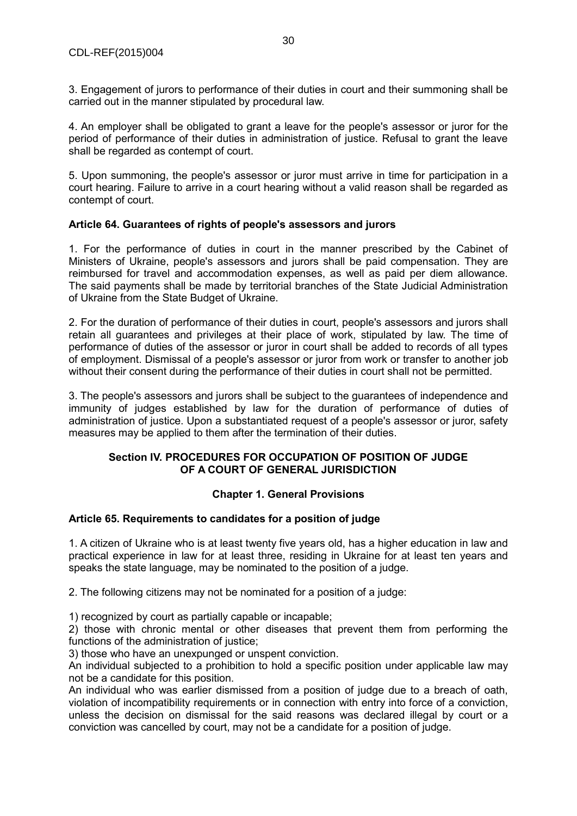3. Engagement of jurors to performance of their duties in court and their summoning shall be carried out in the manner stipulated by procedural law.

4. An employer shall be obligated to grant a leave for the people's assessor or juror for the period of performance of their duties in administration of justice. Refusal to grant the leave shall be regarded as contempt of court.

5. Upon summoning, the people's assessor or juror must arrive in time for participation in a court hearing. Failure to arrive in a court hearing without a valid reason shall be regarded as contempt of court.

# **Article 64. Guarantees of rights of people's assessors and jurors**

1. For the performance of duties in court in the manner prescribed by the Cabinet of Ministers of Ukraine, people's assessors and jurors shall be paid compensation. They are reimbursed for travel and accommodation expenses, as well as paid per diem allowance. The said payments shall be made by territorial branches of the State Judicial Administration of Ukraine from the State Budget of Ukraine.

2. For the duration of performance of their duties in court, people's assessors and jurors shall retain all guarantees and privileges at their place of work, stipulated by law. The time of performance of duties of the assessor or juror in court shall be added to records of all types of employment. Dismissal of a people's assessor or juror from work or transfer to another job without their consent during the performance of their duties in court shall not be permitted.

3. The people's assessors and jurors shall be subject to the guarantees of independence and immunity of judges established by law for the duration of performance of duties of administration of justice. Upon a substantiated request of a people's assessor or juror, safety measures may be applied to them after the termination of their duties.

# **Section IV. PROCEDURES FOR OCCUPATION OF POSITION OF JUDGE OF A COURT OF GENERAL JURISDICTION**

# **Chapter 1. General Provisions**

# **Article 65. Requirements to candidates for a position of judge**

1. A citizen of Ukraine who is at least twenty five years old, has a higher education in law and practical experience in law for at least three, residing in Ukraine for at least ten years and speaks the state language, may be nominated to the position of a judge.

2. The following citizens may not be nominated for a position of a judge:

1) recognized by court as partially capable or incapable;

2) those with chronic mental or other diseases that prevent them from performing the functions of the administration of justice;

3) those who have an unexpunged or unspent conviction.

An individual subjected to a prohibition to hold a specific position under applicable law may not be a candidate for this position.

An individual who was earlier dismissed from a position of judge due to a breach of oath, violation of incompatibility requirements or in connection with entry into force of a conviction, unless the decision on dismissal for the said reasons was declared illegal by court or a conviction was cancelled by court, may not be a candidate for a position of judge.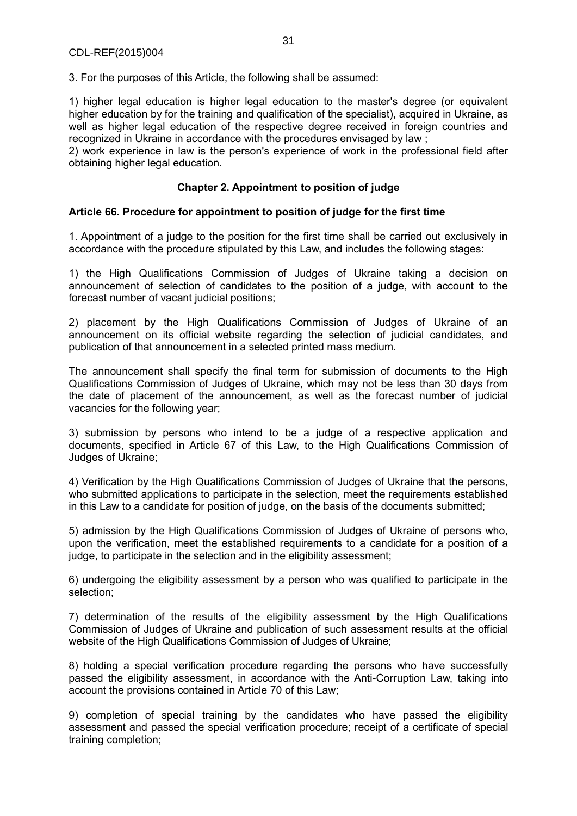3. For the purposes of this Article, the following shall be assumed:

1) higher legal education is higher legal education to the master's degree (or equivalent higher education by for the training and qualification of the specialist), acquired in Ukraine, as well as higher legal education of the respective degree received in foreign countries and recognized in Ukraine in accordance with the procedures envisaged by law ;

2) work experience in law is the person's experience of work in the professional field after obtaining higher legal education.

# **Chapter 2. Appointment to position of judge**

#### **Article 66. Procedure for appointment to position of judge for the first time**

1. Appointment of a judge to the position for the first time shall be carried out exclusively in accordance with the procedure stipulated by this Law, and includes the following stages:

1) the High Qualifications Commission of Judges of Ukraine taking a decision on announcement of selection of candidates to the position of a judge, with account to the forecast number of vacant judicial positions;

2) placement by the High Qualifications Commission of Judges of Ukraine of an announcement on its official website regarding the selection of judicial candidates, and publication of that announcement in a selected printed mass medium.

The announcement shall specify the final term for submission of documents to the High Qualifications Commission of Judges of Ukraine, which may not be less than 30 days from the date of placement of the announcement, as well as the forecast number of judicial vacancies for the following year;

3) submission by persons who intend to be a judge of a respective application and documents, specified in Article 67 of this Law, to the High Qualifications Commission of Judges of Ukraine;

4) Verification by the High Qualifications Commission of Judges of Ukraine that the persons, who submitted applications to participate in the selection, meet the requirements established in this Law to a candidate for position of judge, on the basis of the documents submitted;

5) admission by the High Qualifications Commission of Judges of Ukraine of persons who, upon the verification, meet the established requirements to a candidate for a position of a judge, to participate in the selection and in the eligibility assessment;

6) undergoing the eligibility assessment by a person who was qualified to participate in the selection;

7) determination of the results of the eligibility assessment by the High Qualifications Commission of Judges of Ukraine and publication of such assessment results at the official website of the High Qualifications Commission of Judges of Ukraine;

8) holding a special verification procedure regarding the persons who have successfully passed the eligibility assessment, in accordance with the Anti-Corruption Law, taking into account the provisions contained in Article 70 of this Law;

9) completion of special training by the candidates who have passed the eligibility assessment and passed the special verification procedure; receipt of a certificate of special training completion;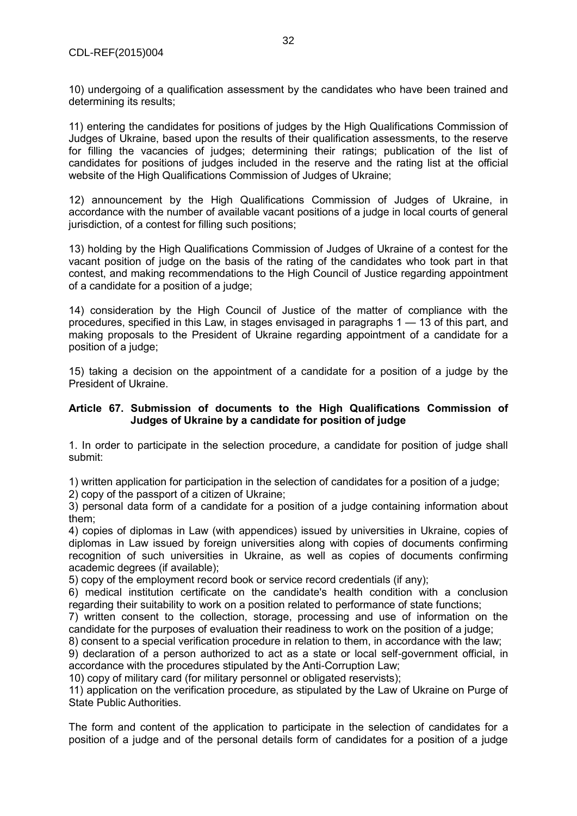10) undergoing of a qualification assessment by the candidates who have been trained and determining its results;

11) entering the candidates for positions of judges by the High Qualifications Commission of Judges of Ukraine, based upon the results of their qualification assessments, to the reserve for filling the vacancies of judges; determining their ratings; publication of the list of candidates for positions of judges included in the reserve and the rating list at the official website of the High Qualifications Commission of Judges of Ukraine;

12) announcement by the High Qualifications Commission of Judges of Ukraine, in accordance with the number of available vacant positions of a judge in local courts of general jurisdiction, of a contest for filling such positions;

13) holding by the High Qualifications Commission of Judges of Ukraine of a contest for the vacant position of judge on the basis of the rating of the candidates who took part in that contest, and making recommendations to the High Council of Justice regarding appointment of a candidate for a position of a judge;

14) consideration by the High Council of Justice of the matter of compliance with the procedures, specified in this Law, in stages envisaged in paragraphs 1 — 13 of this part, and making proposals to the President of Ukraine regarding appointment of a candidate for a position of a judge;

15) taking a decision on the appointment of a candidate for a position of a judge by the President of Ukraine.

# **Article 67. Submission of documents to the High Qualifications Commission of Judges of Ukraine by a candidate for position of judge**

1. In order to participate in the selection procedure, a candidate for position of judge shall submit:

1) written application for participation in the selection of candidates for a position of a judge;

2) copy of the passport of a citizen of Ukraine;

3) personal data form of a candidate for a position of a judge containing information about them;

4) copies of diplomas in Law (with appendices) issued by universities in Ukraine, copies of diplomas in Law issued by foreign universities along with copies of documents confirming recognition of such universities in Ukraine, as well as copies of documents confirming academic degrees (if available);

5) copy of the employment record book or service record credentials (if any);

6) medical institution certificate on the candidate's health condition with a conclusion regarding their suitability to work on a position related to performance of state functions;

7) written consent to the collection, storage, processing and use of information on the candidate for the purposes of evaluation their readiness to work on the position of a judge;

8) consent to a special verification procedure in relation to them, in accordance with the law;

9) declaration of a person authorized to act as a state or local self-government official, in accordance with the procedures stipulated by the Anti-Corruption Law;

10) copy of military card (for military personnel or obligated reservists);

11) application on the verification procedure, as stipulated by the Law of Ukraine on Purge of State Public Authorities.

The form and content of the application to participate in the selection of candidates for a position of a judge and of the personal details form of candidates for a position of a judge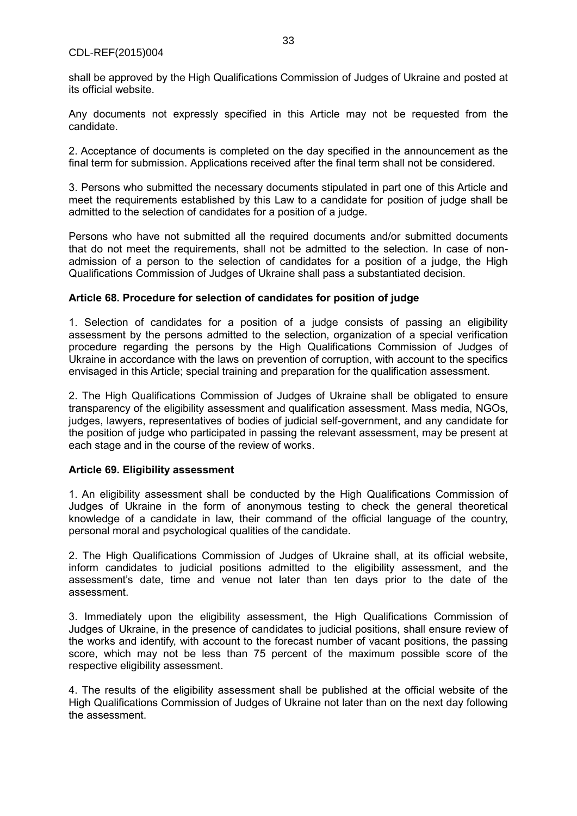#### CDL-REF(2015)004

shall be approved by the High Qualifications Commission of Judges of Ukraine and posted at its official website.

Any documents not expressly specified in this Article may not be requested from the candidate.

2. Acceptance of documents is completed on the day specified in the announcement as the final term for submission. Applications received after the final term shall not be considered.

3. Persons who submitted the necessary documents stipulated in part one of this Article and meet the requirements established by this Law to a candidate for position of judge shall be admitted to the selection of candidates for a position of a judge.

Persons who have not submitted all the required documents and/or submitted documents that do not meet the requirements, shall not be admitted to the selection. In case of nonadmission of a person to the selection of candidates for a position of a judge, the High Qualifications Commission of Judges of Ukraine shall pass a substantiated decision.

#### **Article 68. Procedure for selection of candidates for position of judge**

1. Selection of candidates for a position of a judge consists of passing an eligibility assessment by the persons admitted to the selection, organization of a special verification procedure regarding the persons by the High Qualifications Commission of Judges of Ukraine in accordance with the laws on prevention of corruption, with account to the specifics envisaged in this Article; special training and preparation for the qualification assessment.

2. The High Qualifications Commission of Judges of Ukraine shall be obligated to ensure transparency of the eligibility assessment and qualification assessment. Mass media, NGOs, judges, lawyers, representatives of bodies of judicial self-government, and any candidate for the position of judge who participated in passing the relevant assessment, may be present at each stage and in the course of the review of works.

#### **Article 69. Eligibility assessment**

1. An eligibility assessment shall be conducted by the High Qualifications Commission of Judges of Ukraine in the form of anonymous testing to check the general theoretical knowledge of a candidate in law, their command of the official language of the country, personal moral and psychological qualities of the candidate.

2. The High Qualifications Commission of Judges of Ukraine shall, at its official website, inform candidates to judicial positions admitted to the eligibility assessment, and the assessment's date, time and venue not later than ten days prior to the date of the assessment.

3. Immediately upon the eligibility assessment, the High Qualifications Commission of Judges of Ukraine, in the presence of candidates to judicial positions, shall ensure review of the works and identify, with account to the forecast number of vacant positions, the passing score, which may not be less than 75 percent of the maximum possible score of the respective eligibility assessment.

4. The results of the eligibility assessment shall be published at the official website of the High Qualifications Commission of Judges of Ukraine not later than on the next day following the assessment.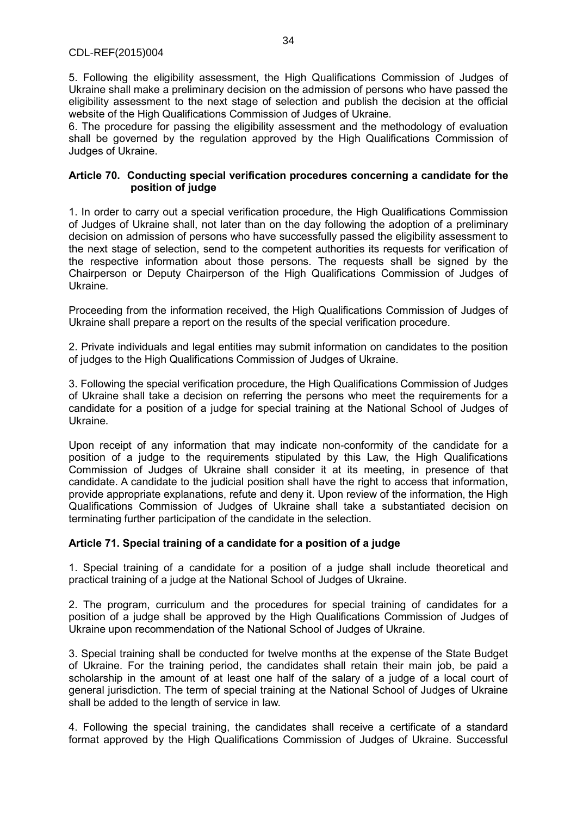5. Following the eligibility assessment, the High Qualifications Commission of Judges of Ukraine shall make a preliminary decision on the admission of persons who have passed the eligibility assessment to the next stage of selection and publish the decision at the official website of the High Qualifications Commission of Judges of Ukraine.

6. The procedure for passing the eligibility assessment and the methodology of evaluation shall be governed by the regulation approved by the High Qualifications Commission of Judges of Ukraine.

## **Article 70. Conducting special verification procedures concerning a candidate for the position of judge**

1. In order to carry out a special verification procedure, the High Qualifications Commission of Judges of Ukraine shall, not later than on the day following the adoption of a preliminary decision on admission of persons who have successfully passed the eligibility assessment to the next stage of selection, send to the competent authorities its requests for verification of the respective information about those persons. The requests shall be signed by the Chairperson or Deputy Chairperson of the High Qualifications Commission of Judges of Ukraine.

Proceeding from the information received, the High Qualifications Commission of Judges of Ukraine shall prepare a report on the results of the special verification procedure.

2. Private individuals and legal entities may submit information on candidates to the position of judges to the High Qualifications Commission of Judges of Ukraine.

3. Following the special verification procedure, the High Qualifications Commission of Judges of Ukraine shall take a decision on referring the persons who meet the requirements for a candidate for a position of a judge for special training at the National School of Judges of Ukraine.

Upon receipt of any information that may indicate non-conformity of the candidate for a position of a judge to the requirements stipulated by this Law, the High Qualifications Commission of Judges of Ukraine shall consider it at its meeting, in presence of that candidate. A candidate to the judicial position shall have the right to access that information, provide appropriate explanations, refute and deny it. Upon review of the information, the High Qualifications Commission of Judges of Ukraine shall take a substantiated decision on terminating further participation of the candidate in the selection.

# **Article 71. Special training of a candidate for a position of a judge**

1. Special training of a candidate for a position of a judge shall include theoretical and practical training of a judge at the National School of Judges of Ukraine.

2. The program, curriculum and the procedures for special training of candidates for a position of a judge shall be approved by the High Qualifications Commission of Judges of Ukraine upon recommendation of the National School of Judges of Ukraine.

3. Special training shall be conducted for twelve months at the expense of the State Budget of Ukraine. For the training period, the candidates shall retain their main job, be paid a scholarship in the amount of at least one half of the salary of a judge of a local court of general jurisdiction. The term of special training at the National School of Judges of Ukraine shall be added to the length of service in law.

4. Following the special training, the candidates shall receive a certificate of a standard format approved by the High Qualifications Commission of Judges of Ukraine. Successful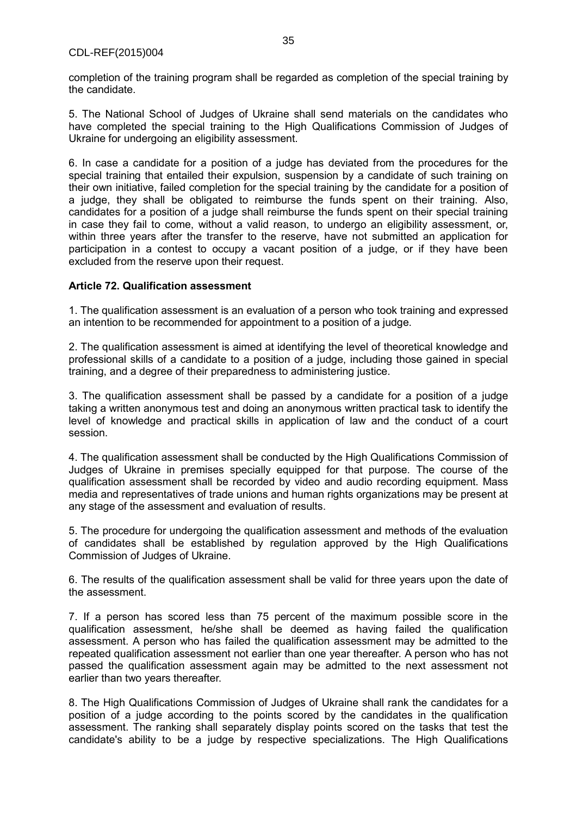completion of the training program shall be regarded as completion of the special training by the candidate.

5. The National School of Judges of Ukraine shall send materials on the candidates who have completed the special training to the High Qualifications Commission of Judges of Ukraine for undergoing an eligibility assessment.

6. In case a candidate for a position of a judge has deviated from the procedures for the special training that entailed their expulsion, suspension by a candidate of such training on their own initiative, failed completion for the special training by the candidate for a position of a judge, they shall be obligated to reimburse the funds spent on their training. Also, candidates for a position of a judge shall reimburse the funds spent on their special training in case they fail to come, without a valid reason, to undergo an eligibility assessment, or, within three years after the transfer to the reserve, have not submitted an application for participation in a contest to occupy a vacant position of a judge, or if they have been excluded from the reserve upon their request.

#### **Article 72. Qualification assessment**

1. The qualification assessment is an evaluation of a person who took training and expressed an intention to be recommended for appointment to a position of a judge.

2. The qualification assessment is aimed at identifying the level of theoretical knowledge and professional skills of a candidate to a position of a judge, including those gained in special training, and a degree of their preparedness to administering justice.

3. The qualification assessment shall be passed by a candidate for a position of a judge taking a written anonymous test and doing an anonymous written practical task to identify the level of knowledge and practical skills in application of law and the conduct of a court session.

4. The qualification assessment shall be conducted by the High Qualifications Commission of Judges of Ukraine in premises specially equipped for that purpose. The course of the qualification assessment shall be recorded by video and audio recording equipment. Mass media and representatives of trade unions and human rights organizations may be present at any stage of the assessment and evaluation of results.

5. The procedure for undergoing the qualification assessment and methods of the evaluation of candidates shall be established by regulation approved by the High Qualifications Commission of Judges of Ukraine.

6. The results of the qualification assessment shall be valid for three years upon the date of the assessment.

7. If a person has scored less than 75 percent of the maximum possible score in the qualification assessment, he/she shall be deemed as having failed the qualification assessment. A person who has failed the qualification assessment may be admitted to the repeated qualification assessment not earlier than one year thereafter. A person who has not passed the qualification assessment again may be admitted to the next assessment not earlier than two years thereafter.

8. The High Qualifications Commission of Judges of Ukraine shall rank the candidates for a position of a judge according to the points scored by the candidates in the qualification assessment. The ranking shall separately display points scored on the tasks that test the candidate's ability to be a judge by respective specializations. The High Qualifications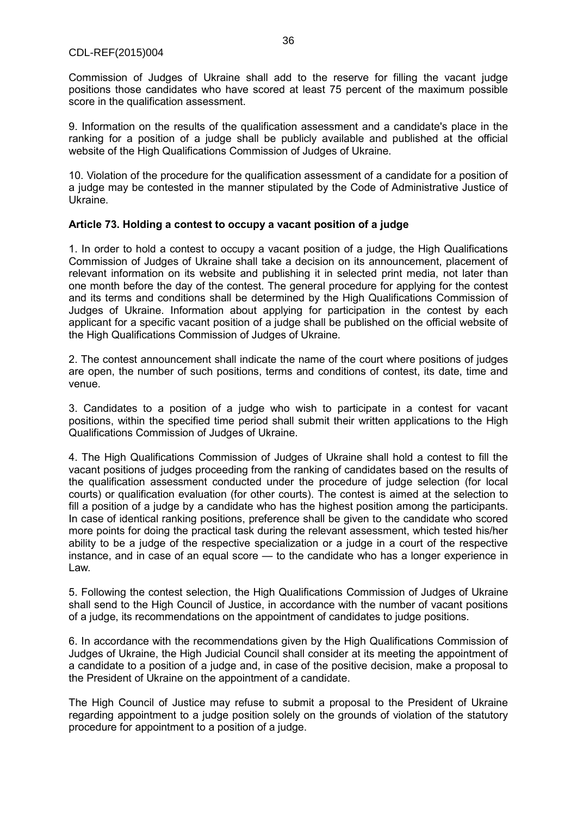Commission of Judges of Ukraine shall add to the reserve for filling the vacant judge positions those candidates who have scored at least 75 percent of the maximum possible score in the qualification assessment.

9. Information on the results of the qualification assessment and a candidate's place in the ranking for a position of a judge shall be publicly available and published at the official website of the High Qualifications Commission of Judges of Ukraine.

10. Violation of the procedure for the qualification assessment of a candidate for a position of a judge may be contested in the manner stipulated by the Code of Administrative Justice of Ukraine.

# **Article 73. Holding a contest to occupy a vacant position of a judge**

1. In order to hold a contest to occupy a vacant position of a judge, the High Qualifications Commission of Judges of Ukraine shall take a decision on its announcement, placement of relevant information on its website and publishing it in selected print media, not later than one month before the day of the contest. The general procedure for applying for the contest and its terms and conditions shall be determined by the High Qualifications Commission of Judges of Ukraine. Information about applying for participation in the contest by each applicant for a specific vacant position of a judge shall be published on the official website of the High Qualifications Commission of Judges of Ukraine.

2. The contest announcement shall indicate the name of the court where positions of judges are open, the number of such positions, terms and conditions of contest, its date, time and venue.

3. Candidates to a position of a judge who wish to participate in a contest for vacant positions, within the specified time period shall submit their written applications to the High Qualifications Commission of Judges of Ukraine.

4. The High Qualifications Commission of Judges of Ukraine shall hold a contest to fill the vacant positions of judges proceeding from the ranking of candidates based on the results of the qualification assessment conducted under the procedure of judge selection (for local courts) or qualification evaluation (for other courts). The contest is aimed at the selection to fill a position of a judge by a candidate who has the highest position among the participants. In case of identical ranking positions, preference shall be given to the candidate who scored more points for doing the practical task during the relevant assessment, which tested his/her ability to be a judge of the respective specialization or a judge in a court of the respective instance, and in case of an equal score — to the candidate who has a longer experience in Law.

5. Following the contest selection, the High Qualifications Commission of Judges of Ukraine shall send to the High Council of Justice, in accordance with the number of vacant positions of a judge, its recommendations on the appointment of candidates to judge positions.

6. In accordance with the recommendations given by the High Qualifications Commission of Judges of Ukraine, the High Judicial Council shall consider at its meeting the appointment of a candidate to a position of a judge and, in case of the positive decision, make a proposal to the President of Ukraine on the appointment of a candidate.

The High Council of Justice may refuse to submit a proposal to the President of Ukraine regarding appointment to a judge position solely on the grounds of violation of the statutory procedure for appointment to a position of a judge.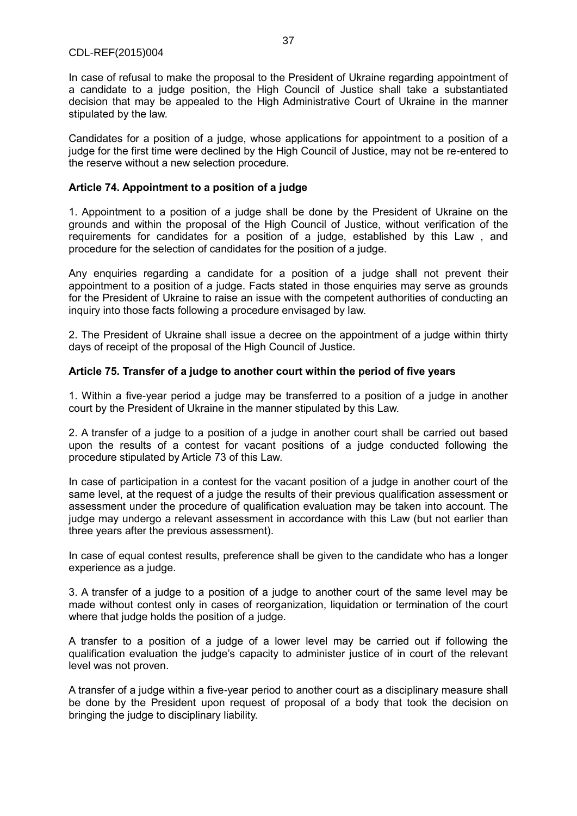In case of refusal to make the proposal to the President of Ukraine regarding appointment of a candidate to a judge position, the High Council of Justice shall take a substantiated decision that may be appealed to the High Administrative Court of Ukraine in the manner stipulated by the law.

Candidates for a position of a judge, whose applications for appointment to a position of a judge for the first time were declined by the High Council of Justice, may not be re-entered to the reserve without a new selection procedure.

#### **Article 74. Appointment to a position of a judge**

1. Appointment to a position of a judge shall be done by the President of Ukraine on the grounds and within the proposal of the High Council of Justice, without verification of the requirements for candidates for a position of a judge, established by this Law , and procedure for the selection of candidates for the position of a judge.

Any enquiries regarding a candidate for a position of a judge shall not prevent their appointment to a position of a judge. Facts stated in those enquiries may serve as grounds for the President of Ukraine to raise an issue with the competent authorities of conducting an inquiry into those facts following a procedure envisaged by law.

2. The President of Ukraine shall issue a decree on the appointment of a judge within thirty days of receipt of the proposal of the High Council of Justice.

#### **Article 75. Transfer of a judge to another court within the period of five years**

1. Within a five-year period a judge may be transferred to a position of a judge in another court by the President of Ukraine in the manner stipulated by this Law.

2. A transfer of a judge to a position of a judge in another court shall be carried out based upon the results of a contest for vacant positions of a judge conducted following the procedure stipulated by Article 73 of this Law.

In case of participation in a contest for the vacant position of a judge in another court of the same level, at the request of a judge the results of their previous qualification assessment or assessment under the procedure of qualification evaluation may be taken into account. The judge may undergo a relevant assessment in accordance with this Law (but not earlier than three years after the previous assessment).

In case of equal contest results, preference shall be given to the candidate who has a longer experience as a judge.

3. A transfer of a judge to a position of a judge to another court of the same level may be made without contest only in cases of reorganization, liquidation or termination of the court where that judge holds the position of a judge.

A transfer to a position of a judge of a lower level may be carried out if following the qualification evaluation the judge's capacity to administer justice of in court of the relevant level was not proven.

A transfer of a judge within a five-year period to another court as a disciplinary measure shall be done by the President upon request of proposal of a body that took the decision on bringing the judge to disciplinary liability.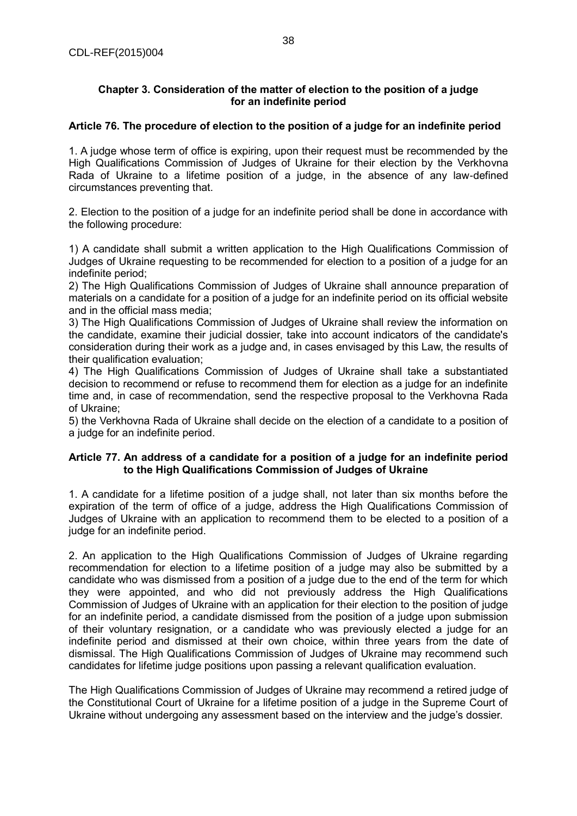#### **Chapter 3. Consideration of the matter of election to the position of a judge for an indefinite period**

#### **Article 76. The procedure of election to the position of a judge for an indefinite period**

1. A judge whose term of office is expiring, upon their request must be recommended by the High Qualifications Commission of Judges of Ukraine for their election by the Verkhovna Rada of Ukraine to a lifetime position of a judge, in the absence of any law-defined circumstances preventing that.

2. Election to the position of a judge for an indefinite period shall be done in accordance with the following procedure:

1) A candidate shall submit a written application to the High Qualifications Commission of Judges of Ukraine requesting to be recommended for election to a position of a judge for an indefinite period;

2) The High Qualifications Commission of Judges of Ukraine shall announce preparation of materials on a candidate for a position of a judge for an indefinite period on its official website and in the official mass media;

3) The High Qualifications Commission of Judges of Ukraine shall review the information on the candidate, examine their judicial dossier, take into account indicators of the candidate's consideration during their work as a judge and, in cases envisaged by this Law, the results of their qualification evaluation;

4) The High Qualifications Commission of Judges of Ukraine shall take a substantiated decision to recommend or refuse to recommend them for election as a judge for an indefinite time and, in case of recommendation, send the respective proposal to the Verkhovna Rada of Ukraine;

5) the Verkhovna Rada of Ukraine shall decide on the election of a candidate to a position of a judge for an indefinite period.

#### **Article 77. An address of a candidate for a position of a judge for an indefinite period to the High Qualifications Commission of Judges of Ukraine**

1. A candidate for a lifetime position of a judge shall, not later than six months before the expiration of the term of office of a judge, address the High Qualifications Commission of Judges of Ukraine with an application to recommend them to be elected to a position of a judge for an indefinite period.

2. An application to the High Qualifications Commission of Judges of Ukraine regarding recommendation for election to a lifetime position of a judge may also be submitted by a candidate who was dismissed from a position of a judge due to the end of the term for which they were appointed, and who did not previously address the High Qualifications Commission of Judges of Ukraine with an application for their election to the position of judge for an indefinite period, a candidate dismissed from the position of a judge upon submission of their voluntary resignation, or a candidate who was previously elected a judge for an indefinite period and dismissed at their own choice, within three years from the date of dismissal. The High Qualifications Commission of Judges of Ukraine may recommend such candidates for lifetime judge positions upon passing a relevant qualification evaluation.

The High Qualifications Commission of Judges of Ukraine may recommend a retired judge of the Constitutional Court of Ukraine for a lifetime position of a judge in the Supreme Court of Ukraine without undergoing any assessment based on the interview and the judge's dossier.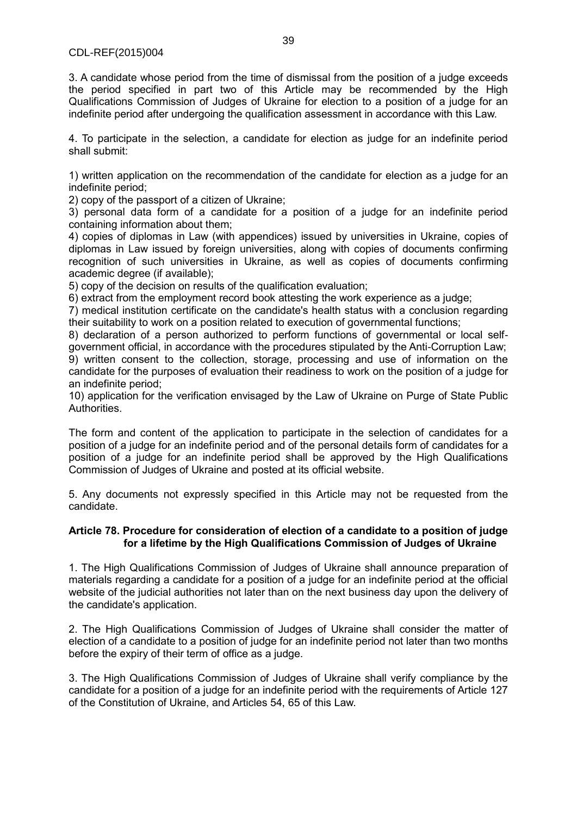3. A candidate whose period from the time of dismissal from the position of a judge exceeds the period specified in part two of this Article may be recommended by the High Qualifications Commission of Judges of Ukraine for election to a position of a judge for an indefinite period after undergoing the qualification assessment in accordance with this Law.

4. To participate in the selection, a candidate for election as judge for an indefinite period shall submit:

1) written application on the recommendation of the candidate for election as a judge for an indefinite period;

2) copy of the passport of a citizen of Ukraine;

3) personal data form of a candidate for a position of a judge for an indefinite period containing information about them;

4) copies of diplomas in Law (with appendices) issued by universities in Ukraine, copies of diplomas in Law issued by foreign universities, along with copies of documents confirming recognition of such universities in Ukraine, as well as copies of documents confirming academic degree (if available);

5) copy of the decision on results of the qualification evaluation;

6) extract from the employment record book attesting the work experience as a judge;

7) medical institution certificate on the candidate's health status with a conclusion regarding their suitability to work on a position related to execution of governmental functions;

8) declaration of a person authorized to perform functions of governmental or local selfgovernment official, in accordance with the procedures stipulated by the Anti-Corruption Law; 9) written consent to the collection, storage, processing and use of information on the candidate for the purposes of evaluation their readiness to work on the position of a judge for an indefinite period;

10) application for the verification envisaged by the Law of Ukraine on Purge of State Public Authorities.

The form and content of the application to participate in the selection of candidates for a position of a judge for an indefinite period and of the personal details form of candidates for a position of a judge for an indefinite period shall be approved by the High Qualifications Commission of Judges of Ukraine and posted at its official website.

5. Any documents not expressly specified in this Article may not be requested from the candidate.

#### **Article 78. Procedure for consideration of election of a candidate to a position of judge for a lifetime by the High Qualifications Commission of Judges of Ukraine**

1. The High Qualifications Commission of Judges of Ukraine shall announce preparation of materials regarding a candidate for a position of a judge for an indefinite period at the official website of the judicial authorities not later than on the next business day upon the delivery of the candidate's application.

2. The High Qualifications Commission of Judges of Ukraine shall consider the matter of election of a candidate to a position of judge for an indefinite period not later than two months before the expiry of their term of office as a judge.

3. The High Qualifications Commission of Judges of Ukraine shall verify compliance by the candidate for a position of a judge for an indefinite period with the requirements of Article 127 of the Constitution of Ukraine, and Articles 54, 65 of this Law.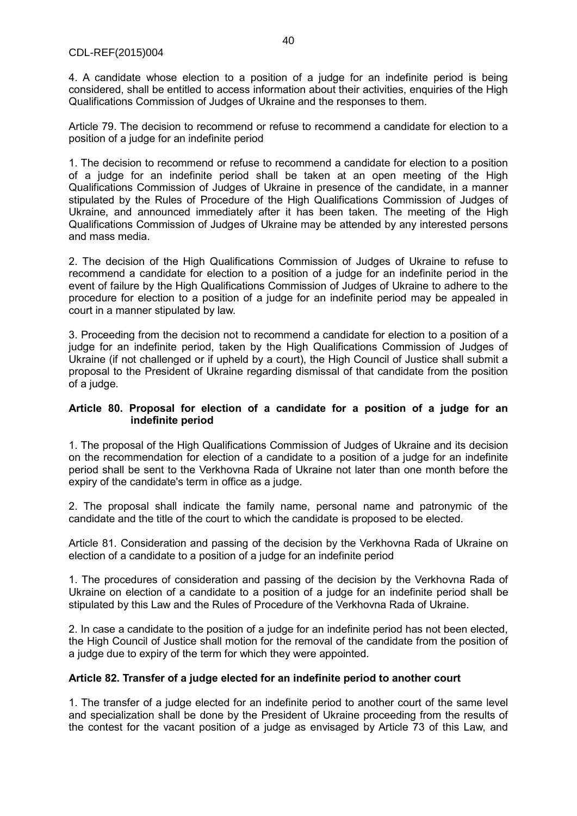4. A candidate whose election to a position of a judge for an indefinite period is being considered, shall be entitled to access information about their activities, enquiries of the High Qualifications Commission of Judges of Ukraine and the responses to them.

Article 79. The decision to recommend or refuse to recommend a candidate for election to a position of a judge for an indefinite period

1. The decision to recommend or refuse to recommend a candidate for election to a position of a judge for an indefinite period shall be taken at an open meeting of the High Qualifications Commission of Judges of Ukraine in presence of the candidate, in a manner stipulated by the Rules of Procedure of the High Qualifications Commission of Judges of Ukraine, and announced immediately after it has been taken. The meeting of the High Qualifications Commission of Judges of Ukraine may be attended by any interested persons and mass media.

2. The decision of the High Qualifications Commission of Judges of Ukraine to refuse to recommend a candidate for election to a position of a judge for an indefinite period in the event of failure by the High Qualifications Commission of Judges of Ukraine to adhere to the procedure for election to a position of a judge for an indefinite period may be appealed in court in a manner stipulated by law.

3. Proceeding from the decision not to recommend a candidate for election to a position of a judge for an indefinite period, taken by the High Qualifications Commission of Judges of Ukraine (if not challenged or if upheld by a court), the High Council of Justice shall submit a proposal to the President of Ukraine regarding dismissal of that candidate from the position of a judge.

#### **Article 80. Proposal for election of a candidate for a position of a judge for an indefinite period**

1. The proposal of the High Qualifications Commission of Judges of Ukraine and its decision on the recommendation for election of a candidate to a position of a judge for an indefinite period shall be sent to the Verkhovna Rada of Ukraine not later than one month before the expiry of the candidate's term in office as a judge.

2. The proposal shall indicate the family name, personal name and patronymic of the candidate and the title of the court to which the candidate is proposed to be elected.

Article 81. Consideration and passing of the decision by the Verkhovna Rada of Ukraine on election of a candidate to a position of a judge for an indefinite period

1. The procedures of consideration and passing of the decision by the Verkhovna Rada of Ukraine on election of a candidate to a position of a judge for an indefinite period shall be stipulated by this Law and the Rules of Procedure of the Verkhovna Rada of Ukraine.

2. In case a candidate to the position of a judge for an indefinite period has not been elected, the High Council of Justice shall motion for the removal of the candidate from the position of a judge due to expiry of the term for which they were appointed.

## **Article 82. Transfer of a judge elected for an indefinite period to another court**

1. The transfer of a judge elected for an indefinite period to another court of the same level and specialization shall be done by the President of Ukraine proceeding from the results of the contest for the vacant position of a judge as envisaged by Article 73 of this Law, and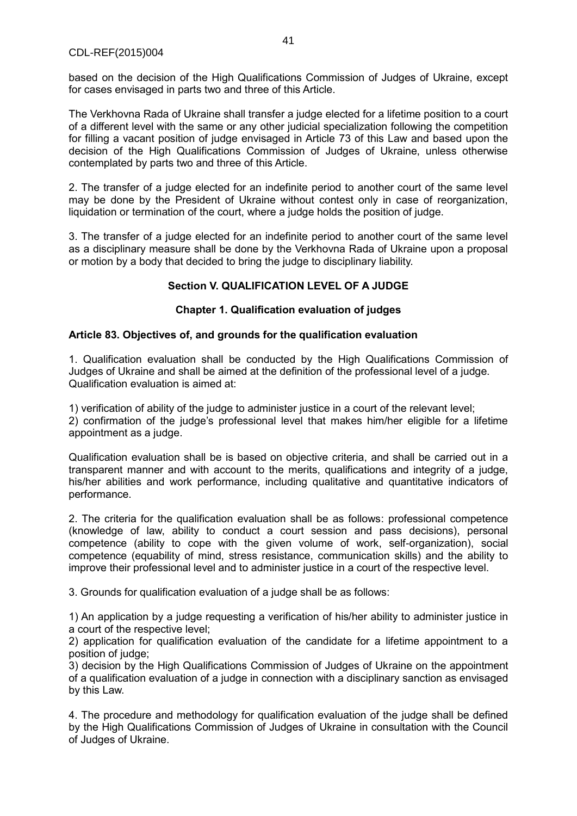based on the decision of the High Qualifications Commission of Judges of Ukraine, except for cases envisaged in parts two and three of this Article.

The Verkhovna Rada of Ukraine shall transfer a judge elected for a lifetime position to a court of a different level with the same or any other judicial specialization following the competition for filling a vacant position of judge envisaged in Article 73 of this Law and based upon the decision of the High Qualifications Commission of Judges of Ukraine, unless otherwise contemplated by parts two and three of this Article.

2. The transfer of a judge elected for an indefinite period to another court of the same level may be done by the President of Ukraine without contest only in case of reorganization, liquidation or termination of the court, where a judge holds the position of judge.

3. The transfer of a judge elected for an indefinite period to another court of the same level as a disciplinary measure shall be done by the Verkhovna Rada of Ukraine upon a proposal or motion by a body that decided to bring the judge to disciplinary liability.

## **Section V. QUALIFICATION LEVEL OF A JUDGE**

## **Chapter 1. Qualification evaluation of judges**

## **Article 83. Objectives of, and grounds for the qualification evaluation**

1. Qualification evaluation shall be conducted by the High Qualifications Commission of Judges of Ukraine and shall be aimed at the definition of the professional level of a judge. Qualification evaluation is aimed at:

1) verification of ability of the judge to administer justice in a court of the relevant level; 2) confirmation of the judge's professional level that makes him/her eligible for a lifetime appointment as a judge.

Qualification evaluation shall be is based on objective criteria, and shall be carried out in a transparent manner and with account to the merits, qualifications and integrity of a judge, his/her abilities and work performance, including qualitative and quantitative indicators of performance.

2. The criteria for the qualification evaluation shall be as follows: professional competence (knowledge of law, ability to conduct a court session and pass decisions), personal competence (ability to cope with the given volume of work, self-organization), social competence (equability of mind, stress resistance, communication skills) and the ability to improve their professional level and to administer justice in a court of the respective level.

3. Grounds for qualification evaluation of a judge shall be as follows:

1) An application by a judge requesting a verification of his/her ability to administer justice in a court of the respective level;

2) application for qualification evaluation of the candidate for a lifetime appointment to a position of judge;

3) decision by the High Qualifications Commission of Judges of Ukraine on the appointment of a qualification evaluation of a judge in connection with a disciplinary sanction as envisaged by this Law.

4. The procedure and methodology for qualification evaluation of the judge shall be defined by the High Qualifications Commission of Judges of Ukraine in consultation with the Council of Judges of Ukraine.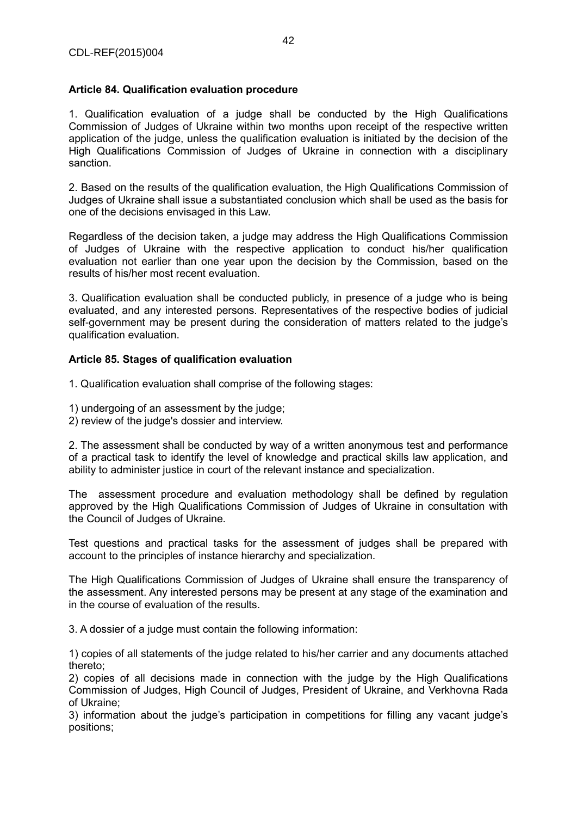#### **Article 84. Qualification evaluation procedure**

1. Qualification evaluation of a judge shall be conducted by the High Qualifications Commission of Judges of Ukraine within two months upon receipt of the respective written application of the judge, unless the qualification evaluation is initiated by the decision of the High Qualifications Commission of Judges of Ukraine in connection with a disciplinary sanction.

2. Based on the results of the qualification evaluation, the High Qualifications Commission of Judges of Ukraine shall issue a substantiated conclusion which shall be used as the basis for one of the decisions envisaged in this Law.

Regardless of the decision taken, a judge may address the High Qualifications Commission of Judges of Ukraine with the respective application to conduct his/her qualification evaluation not earlier than one year upon the decision by the Commission, based on the results of his/her most recent evaluation.

3. Qualification evaluation shall be conducted publicly, in presence of a judge who is being evaluated, and any interested persons. Representatives of the respective bodies of judicial self-government may be present during the consideration of matters related to the judge's qualification evaluation.

#### **Article 85. Stages of qualification evaluation**

1. Qualification evaluation shall comprise of the following stages:

- 1) undergoing of an assessment by the judge;
- 2) review of the judge's dossier and interview.

2. The assessment shall be conducted by way of a written anonymous test and performance of a practical task to identify the level of knowledge and practical skills law application, and ability to administer justice in court of the relevant instance and specialization.

The assessment procedure and evaluation methodology shall be defined by regulation approved by the High Qualifications Commission of Judges of Ukraine in consultation with the Council of Judges of Ukraine.

Test questions and practical tasks for the assessment of judges shall be prepared with account to the principles of instance hierarchy and specialization.

The High Qualifications Commission of Judges of Ukraine shall ensure the transparency of the assessment. Any interested persons may be present at any stage of the examination and in the course of evaluation of the results.

3. A dossier of a judge must contain the following information:

1) copies of all statements of the judge related to his/her carrier and any documents attached thereto;

2) copies of all decisions made in connection with the judge by the High Qualifications Commission of Judges, High Council of Judges, President of Ukraine, and Verkhovna Rada of Ukraine;

3) information about the judge's participation in competitions for filling any vacant judge's positions;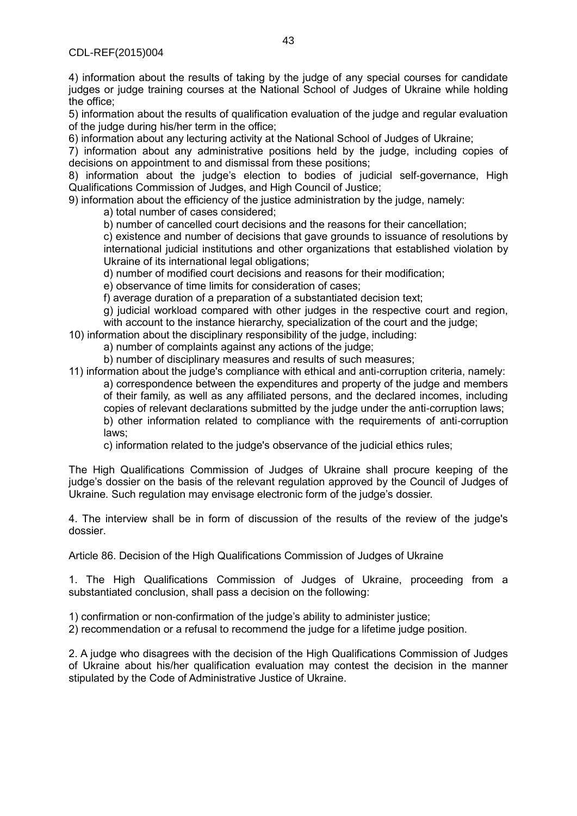4) information about the results of taking by the judge of any special courses for candidate judges or judge training courses at the National School of Judges of Ukraine while holding the office;

5) information about the results of qualification evaluation of the judge and regular evaluation of the judge during his/her term in the office;

6) information about any lecturing activity at the National School of Judges of Ukraine;

7) information about any administrative positions held by the judge, including copies of decisions on appointment to and dismissal from these positions;

8) information about the judge's election to bodies of judicial self-governance, High Qualifications Commission of Judges, and High Council of Justice;

9) information about the efficiency of the justice administration by the judge, namely:

a) total number of cases considered;

b) number of cancelled court decisions and the reasons for their cancellation;

c) existence and number of decisions that gave grounds to issuance of resolutions by international judicial institutions and other organizations that established violation by Ukraine of its international legal obligations;

d) number of modified court decisions and reasons for their modification;

e) observance of time limits for consideration of cases;

f) average duration of a preparation of a substantiated decision text;

g) judicial workload compared with other judges in the respective court and region,

with account to the instance hierarchy, specialization of the court and the judge;

10) information about the disciplinary responsibility of the judge, including:

a) number of complaints against any actions of the judge;

b) number of disciplinary measures and results of such measures;

11) information about the judge's compliance with ethical and anti-corruption criteria, namely: a) correspondence between the expenditures and property of the judge and members of their family, as well as any affiliated persons, and the declared incomes, including copies of relevant declarations submitted by the judge under the anti-corruption laws; b) other information related to compliance with the requirements of anti-corruption laws;

c) information related to the judge's observance of the judicial ethics rules;

The High Qualifications Commission of Judges of Ukraine shall procure keeping of the judge's dossier on the basis of the relevant regulation approved by the Council of Judges of Ukraine. Such regulation may envisage electronic form of the judge's dossier.

4. The interview shall be in form of discussion of the results of the review of the judge's dossier.

Article 86. Decision of the High Qualifications Commission of Judges of Ukraine

1. The High Qualifications Commission of Judges of Ukraine, proceeding from a substantiated conclusion, shall pass a decision on the following:

1) confirmation or non-confirmation of the judge's ability to administer justice;

2) recommendation or a refusal to recommend the judge for a lifetime judge position.

2. A judge who disagrees with the decision of the High Qualifications Commission of Judges of Ukraine about his/her qualification evaluation may contest the decision in the manner stipulated by the Code of Administrative Justice of Ukraine.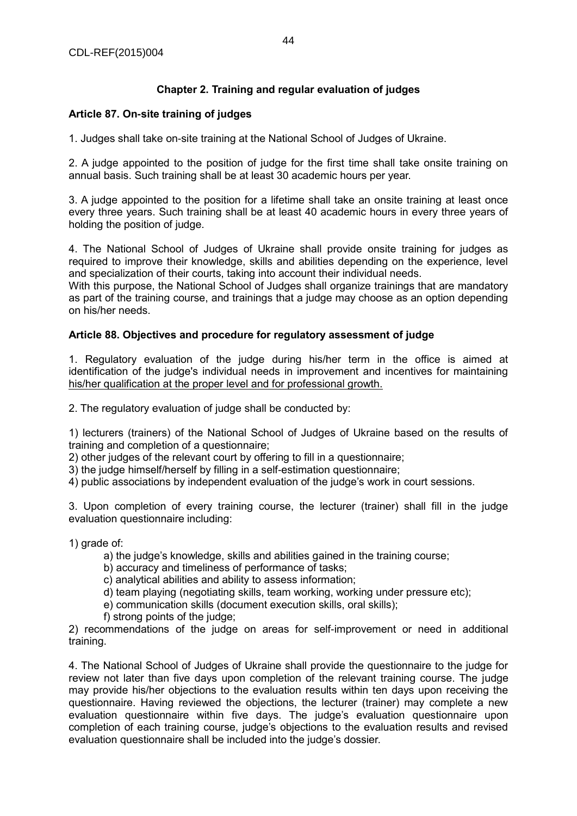# **Chapter 2. Training and regular evaluation of judges**

## **Article 87. On-site training of judges**

1. Judges shall take on-site training at the National School of Judges of Ukraine.

2. A judge appointed to the position of judge for the first time shall take onsite training on annual basis. Such training shall be at least 30 academic hours per year.

3. A judge appointed to the position for a lifetime shall take an onsite training at least once every three years. Such training shall be at least 40 academic hours in every three years of holding the position of judge.

4. The National School of Judges of Ukraine shall provide onsite training for judges as required to improve their knowledge, skills and abilities depending on the experience, level and specialization of their courts, taking into account their individual needs.

With this purpose, the National School of Judges shall organize trainings that are mandatory as part of the training course, and trainings that a judge may choose as an option depending on his/her needs.

## **Article 88. Objectives and procedure for regulatory assessment of judge**

1. Regulatory evaluation of the judge during his/her term in the office is aimed at identification of the judge's individual needs in improvement and incentives for maintaining his/her qualification at the proper level and for professional growth.

2. The regulatory evaluation of judge shall be conducted by:

1) lecturers (trainers) of the National School of Judges of Ukraine based on the results of training and completion of a questionnaire;

2) other judges of the relevant court by offering to fill in a questionnaire;

3) the judge himself/herself by filling in a self-estimation questionnaire;

4) public associations by independent evaluation of the judge's work in court sessions.

3. Upon completion of every training course, the lecturer (trainer) shall fill in the judge evaluation questionnaire including:

1) grade of:

a) the judge's knowledge, skills and abilities gained in the training course;

b) accuracy and timeliness of performance of tasks;

c) analytical abilities and ability to assess information;

d) team playing (negotiating skills, team working, working under pressure etc);

e) communication skills (document execution skills, oral skills);

f) strong points of the judge;

2) recommendations of the judge on areas for self-improvement or need in additional training.

4. The National School of Judges of Ukraine shall provide the questionnaire to the judge for review not later than five days upon completion of the relevant training course. The judge may provide his/her objections to the evaluation results within ten days upon receiving the questionnaire. Having reviewed the objections, the lecturer (trainer) may complete a new evaluation questionnaire within five days. The judge's evaluation questionnaire upon completion of each training course, judge's objections to the evaluation results and revised evaluation questionnaire shall be included into the judge's dossier.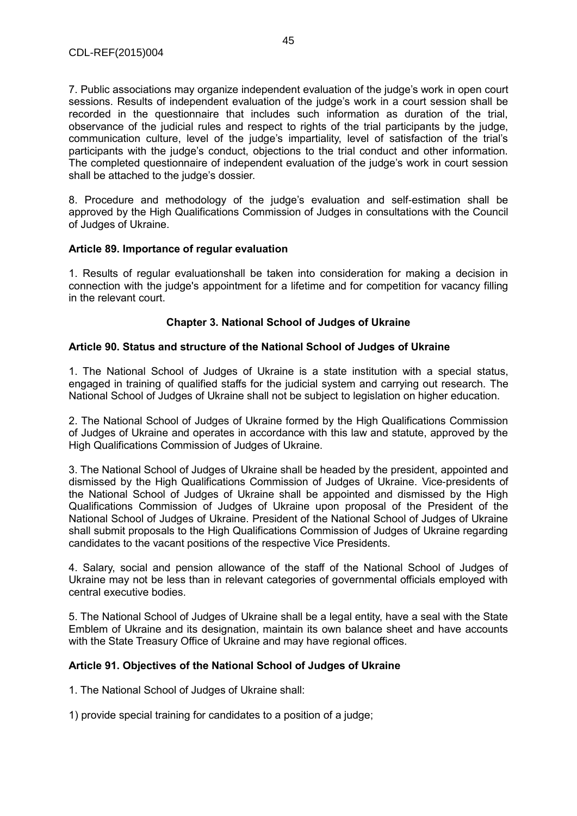7. Public associations may organize independent evaluation of the judge's work in open court sessions. Results of independent evaluation of the judge's work in a court session shall be recorded in the questionnaire that includes such information as duration of the trial, observance of the judicial rules and respect to rights of the trial participants by the judge, communication culture, level of the judge's impartiality, level of satisfaction of the trial's participants with the judge's conduct, objections to the trial conduct and other information. The completed questionnaire of independent evaluation of the judge's work in court session shall be attached to the judge's dossier.

8. Procedure and methodology of the judge's evaluation and self-estimation shall be approved by the High Qualifications Commission of Judges in consultations with the Council of Judges of Ukraine.

#### **Article 89. Importance of regular evaluation**

1. Results of regular evaluationshall be taken into consideration for making a decision in connection with the judge's appointment for a lifetime and for competition for vacancy filling in the relevant court.

## **Chapter 3. National School of Judges of Ukraine**

#### **Article 90. Status and structure of the National School of Judges of Ukraine**

1. The National School of Judges of Ukraine is a state institution with a special status, engaged in training of qualified staffs for the judicial system and carrying out research. The National School of Judges of Ukraine shall not be subject to legislation on higher education.

2. The National School of Judges of Ukraine formed by the High Qualifications Commission of Judges of Ukraine and operates in accordance with this law and statute, approved by the High Qualifications Commission of Judges of Ukraine.

3. The National School of Judges of Ukraine shall be headed by the president, appointed and dismissed by the High Qualifications Commission of Judges of Ukraine. Vice-presidents of the National School of Judges of Ukraine shall be appointed and dismissed by the High Qualifications Commission of Judges of Ukraine upon proposal of the President of the National School of Judges of Ukraine. President of the National School of Judges of Ukraine shall submit proposals to the High Qualifications Commission of Judges of Ukraine regarding candidates to the vacant positions of the respective Vice Presidents.

4. Salary, social and pension allowance of the staff of the National School of Judges of Ukraine may not be less than in relevant categories of governmental officials employed with central executive bodies.

5. The National School of Judges of Ukraine shall be a legal entity, have a seal with the State Emblem of Ukraine and its designation, maintain its own balance sheet and have accounts with the State Treasury Office of Ukraine and may have regional offices.

## **Article 91. Objectives of the National School of Judges of Ukraine**

1. The National School of Judges of Ukraine shall:

1) provide special training for candidates to a position of a judge;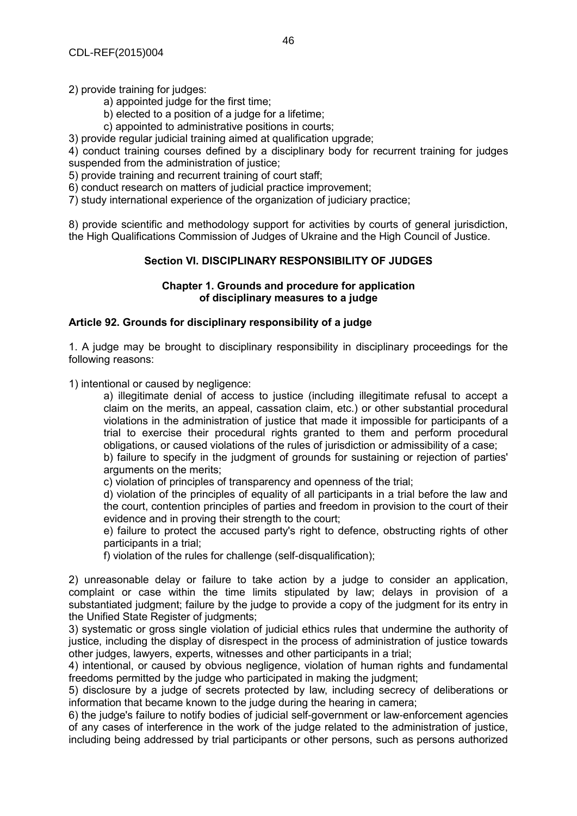2) provide training for judges:

- a) appointed judge for the first time;
- b) elected to a position of a judge for a lifetime;
- c) appointed to administrative positions in courts;

3) provide regular judicial training aimed at qualification upgrade;

4) conduct training courses defined by a disciplinary body for recurrent training for judges suspended from the administration of justice;

5) provide training and recurrent training of court staff;

6) conduct research on matters of judicial practice improvement;

7) study international experience of the organization of judiciary practice;

8) provide scientific and methodology support for activities by courts of general jurisdiction, the High Qualifications Commission of Judges of Ukraine and the High Council of Justice.

## **Section VI. DISCIPLINARY RESPONSIBILITY OF JUDGES**

#### **Chapter 1. Grounds and procedure for application of disciplinary measures to a judge**

#### **Article 92. Grounds for disciplinary responsibility of a judge**

1. A judge may be brought to disciplinary responsibility in disciplinary proceedings for the following reasons:

1) intentional or caused by negligence:

a) illegitimate denial of access to justice (including illegitimate refusal to accept a claim on the merits, an appeal, cassation claim, etc.) or other substantial procedural violations in the administration of justice that made it impossible for participants of a trial to exercise their procedural rights granted to them and perform procedural obligations, or caused violations of the rules of jurisdiction or admissibility of a case;

b) failure to specify in the judgment of grounds for sustaining or rejection of parties' arguments on the merits;

c) violation of principles of transparency and openness of the trial;

d) violation of the principles of equality of all participants in a trial before the law and the court, contention principles of parties and freedom in provision to the court of their evidence and in proving their strength to the court;

e) failure to protect the accused party's right to defence, obstructing rights of other participants in a trial;

f) violation of the rules for challenge (self-disqualification);

2) unreasonable delay or failure to take action by a judge to consider an application, complaint or case within the time limits stipulated by law; delays in provision of a substantiated judgment; failure by the judge to provide a copy of the judgment for its entry in the Unified State Register of judgments;

3) systematic or gross single violation of judicial ethics rules that undermine the authority of justice, including the display of disrespect in the process of administration of justice towards other judges, lawyers, experts, witnesses and other participants in a trial;

4) intentional, or caused by obvious negligence, violation of human rights and fundamental freedoms permitted by the judge who participated in making the judgment;

5) disclosure by a judge of secrets protected by law, including secrecy of deliberations or information that became known to the judge during the hearing in camera;

6) the judge's failure to notify bodies of judicial self-government or law-enforcement agencies of any cases of interference in the work of the judge related to the administration of justice, including being addressed by trial participants or other persons, such as persons authorized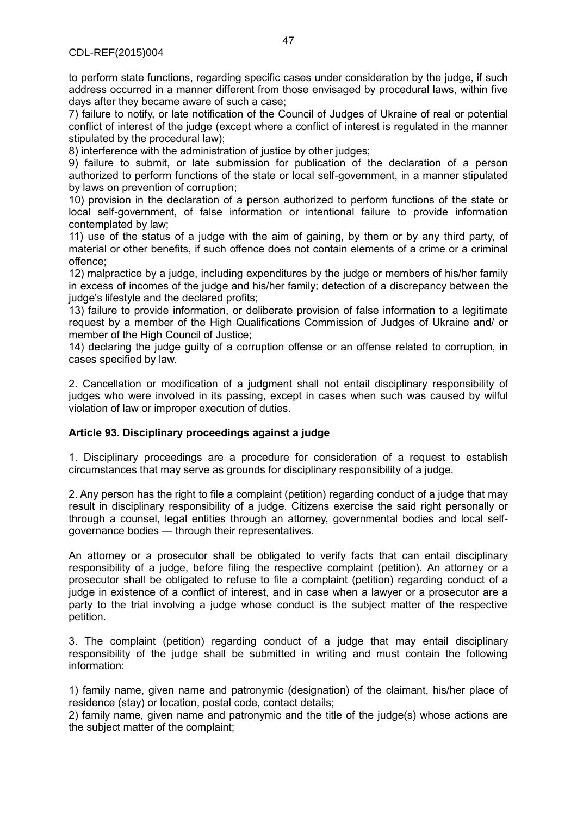to perform state functions, regarding specific cases under consideration by the judge, if such address occurred in a manner different from those envisaged by procedural laws, within five days after they became aware of such a case;

7) failure to notify, or late notification of the Council of Judges of Ukraine of real or potential conflict of interest of the judge (except where a conflict of interest is regulated in the manner stipulated by the procedural law);

8) interference with the administration of justice by other judges;

9) failure to submit, or late submission for publication of the declaration of a person authorized to perform functions of the state or local self-government, in a manner stipulated by laws on prevention of corruption;

10) provision in the declaration of a person authorized to perform functions of the state or local self-government, of false information or intentional failure to provide information contemplated by law;

11) use of the status of a judge with the aim of gaining, by them or by any third party, of material or other benefits, if such offence does not contain elements of a crime or a criminal offence;

12) malpractice by a judge, including expenditures by the judge or members of his/her family in excess of incomes of the judge and his/her family; detection of a discrepancy between the judge's lifestyle and the declared profits;

13) failure to provide information, or deliberate provision of false information to a legitimate request by a member of the High Qualifications Commission of Judges of Ukraine and/ or member of the High Council of Justice;

14) declaring the judge guilty of a corruption offense or an offense related to corruption, in cases specified by law.

2. Cancellation or modification of a judgment shall not entail disciplinary responsibility of judges who were involved in its passing, except in cases when such was caused by wilful violation of law or improper execution of duties.

## **Article 93. Disciplinary proceedings against a judge**

1. Disciplinary proceedings are a procedure for consideration of a request to establish circumstances that may serve as grounds for disciplinary responsibility of a judge.

2. Any person has the right to file a complaint (petition) regarding conduct of a judge that may result in disciplinary responsibility of a judge. Citizens exercise the said right personally or through a counsel, legal entities through an attorney, governmental bodies and local selfgovernance bodies — through their representatives.

An attorney or a prosecutor shall be obligated to verify facts that can entail disciplinary responsibility of a judge, before filing the respective complaint (petition). An attorney or a prosecutor shall be obligated to refuse to file a complaint (petition) regarding conduct of a judge in existence of a conflict of interest, and in case when a lawyer or a prosecutor are a party to the trial involving a judge whose conduct is the subject matter of the respective petition.

3. The complaint (petition) regarding conduct of a judge that may entail disciplinary responsibility of the judge shall be submitted in writing and must contain the following information:

1) family name, given name and patronymic (designation) of the claimant, his/her place of residence (stay) or location, postal code, contact details;

2) family name, given name and patronymic and the title of the judge(s) whose actions are the subject matter of the complaint;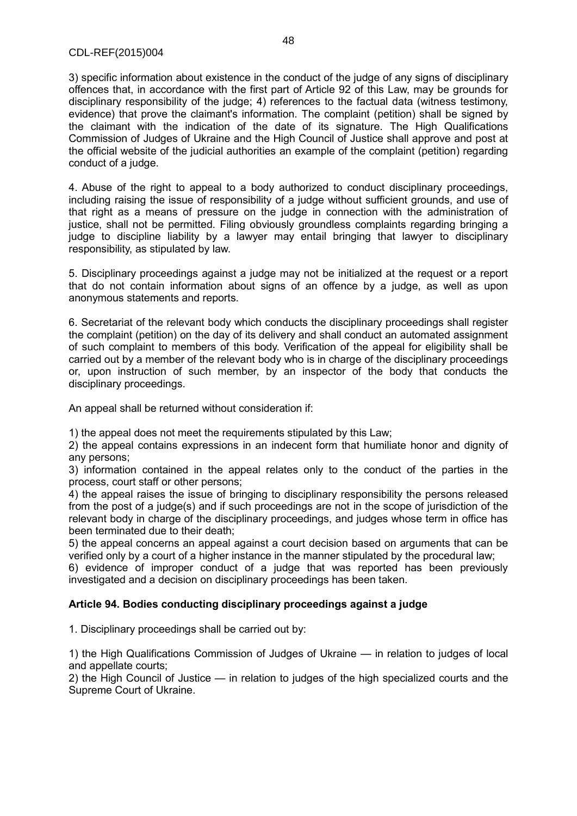3) specific information about existence in the conduct of the judge of any signs of disciplinary offences that, in accordance with the first part of Article 92 of this Law, may be grounds for disciplinary responsibility of the judge; 4) references to the factual data (witness testimony, evidence) that prove the claimant's information. The complaint (petition) shall be signed by the claimant with the indication of the date of its signature. The High Qualifications Commission of Judges of Ukraine and the High Council of Justice shall approve and post at the official website of the judicial authorities an example of the complaint (petition) regarding conduct of a judge.

4. Abuse of the right to appeal to a body authorized to conduct disciplinary proceedings, including raising the issue of responsibility of a judge without sufficient grounds, and use of that right as a means of pressure on the judge in connection with the administration of justice, shall not be permitted. Filing obviously groundless complaints regarding bringing a judge to discipline liability by a lawyer may entail bringing that lawyer to disciplinary responsibility, as stipulated by law.

5. Disciplinary proceedings against a judge may not be initialized at the request or a report that do not contain information about signs of an offence by a judge, as well as upon anonymous statements and reports.

6. Secretariat of the relevant body which conducts the disciplinary proceedings shall register the complaint (petition) on the day of its delivery and shall conduct an automated assignment of such complaint to members of this body. Verification of the appeal for eligibility shall be carried out by a member of the relevant body who is in charge of the disciplinary proceedings or, upon instruction of such member, by an inspector of the body that conducts the disciplinary proceedings.

An appeal shall be returned without consideration if:

1) the appeal does not meet the requirements stipulated by this Law;

2) the appeal contains expressions in an indecent form that humiliate honor and dignity of any persons;

3) information contained in the appeal relates only to the conduct of the parties in the process, court staff or other persons;

4) the appeal raises the issue of bringing to disciplinary responsibility the persons released from the post of a judge(s) and if such proceedings are not in the scope of jurisdiction of the relevant body in charge of the disciplinary proceedings, and judges whose term in office has been terminated due to their death;

5) the appeal concerns an appeal against a court decision based on arguments that can be verified only by a court of a higher instance in the manner stipulated by the procedural law;

6) evidence of improper conduct of a judge that was reported has been previously investigated and a decision on disciplinary proceedings has been taken.

## **Article 94. Bodies conducting disciplinary proceedings against a judge**

1. Disciplinary proceedings shall be carried out by:

1) the High Qualifications Commission of Judges of Ukraine — in relation to judges of local and appellate courts;

2) the High Council of Justice — in relation to judges of the high specialized courts and the Supreme Court of Ukraine.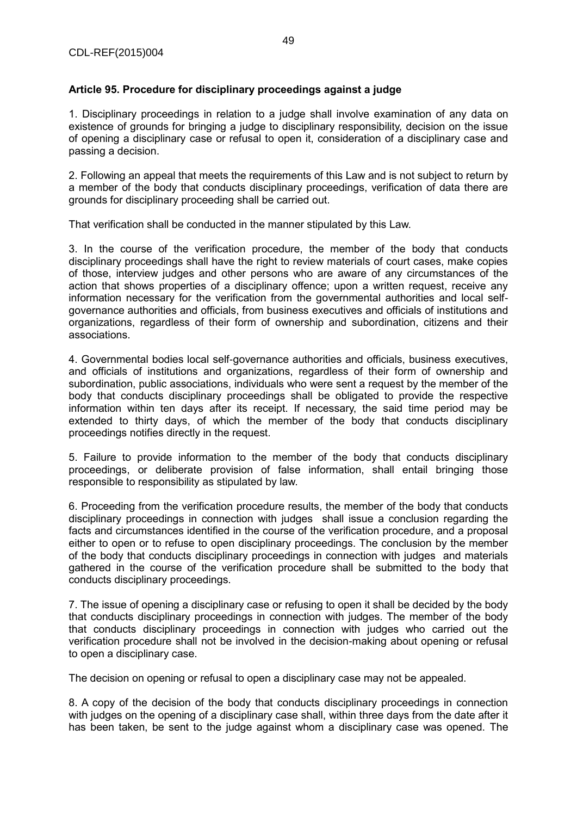## **Article 95. Procedure for disciplinary proceedings against a judge**

1. Disciplinary proceedings in relation to a judge shall involve examination of any data on existence of grounds for bringing a judge to disciplinary responsibility, decision on the issue of opening a disciplinary case or refusal to open it, consideration of a disciplinary case and passing a decision.

2. Following an appeal that meets the requirements of this Law and is not subject to return by a member of the body that conducts disciplinary proceedings, verification of data there are grounds for disciplinary proceeding shall be carried out.

That verification shall be conducted in the manner stipulated by this Law.

3. In the course of the verification procedure, the member of the body that conducts disciplinary proceedings shall have the right to review materials of court cases, make copies of those, interview judges and other persons who are aware of any circumstances of the action that shows properties of a disciplinary offence; upon a written request, receive any information necessary for the verification from the governmental authorities and local selfgovernance authorities and officials, from business executives and officials of institutions and organizations, regardless of their form of ownership and subordination, citizens and their associations.

4. Governmental bodies local self-governance authorities and officials, business executives, and officials of institutions and organizations, regardless of their form of ownership and subordination, public associations, individuals who were sent a request by the member of the body that conducts disciplinary proceedings shall be obligated to provide the respective information within ten days after its receipt. If necessary, the said time period may be extended to thirty days, of which the member of the body that conducts disciplinary proceedings notifies directly in the request.

5. Failure to provide information to the member of the body that conducts disciplinary proceedings, or deliberate provision of false information, shall entail bringing those responsible to responsibility as stipulated by law.

6. Proceeding from the verification procedure results, the member of the body that conducts disciplinary proceedings in connection with judges shall issue a conclusion regarding the facts and circumstances identified in the course of the verification procedure, and a proposal either to open or to refuse to open disciplinary proceedings. The conclusion by the member of the body that conducts disciplinary proceedings in connection with judges and materials gathered in the course of the verification procedure shall be submitted to the body that conducts disciplinary proceedings.

7. The issue of opening a disciplinary case or refusing to open it shall be decided by the body that conducts disciplinary proceedings in connection with judges. The member of the body that conducts disciplinary proceedings in connection with judges who carried out the verification procedure shall not be involved in the decision-making about opening or refusal to open a disciplinary case.

The decision on opening or refusal to open a disciplinary case may not be appealed.

8. A copy of the decision of the body that conducts disciplinary proceedings in connection with judges on the opening of a disciplinary case shall, within three days from the date after it has been taken, be sent to the judge against whom a disciplinary case was opened. The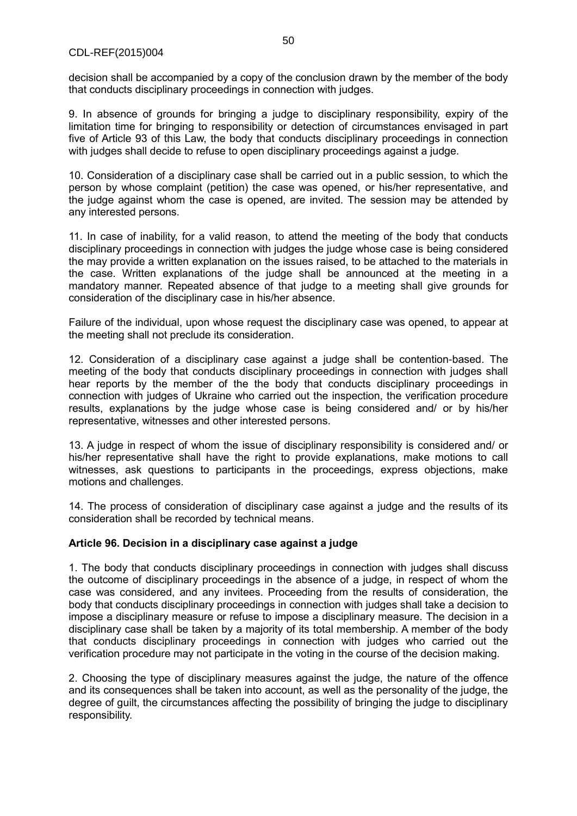decision shall be accompanied by a copy of the conclusion drawn by the member of the body that conducts disciplinary proceedings in connection with judges.

9. In absence of grounds for bringing a judge to disciplinary responsibility, expiry of the limitation time for bringing to responsibility or detection of circumstances envisaged in part five of Article 93 of this Law, the body that conducts disciplinary proceedings in connection with judges shall decide to refuse to open disciplinary proceedings against a judge.

10. Consideration of a disciplinary case shall be carried out in a public session, to which the person by whose complaint (petition) the case was opened, or his/her representative, and the judge against whom the case is opened, are invited. The session may be attended by any interested persons.

11. In case of inability, for a valid reason, to attend the meeting of the body that conducts disciplinary proceedings in connection with judges the judge whose case is being considered the may provide a written explanation on the issues raised, to be attached to the materials in the case. Written explanations of the judge shall be announced at the meeting in a mandatory manner. Repeated absence of that judge to a meeting shall give grounds for consideration of the disciplinary case in his/her absence.

Failure of the individual, upon whose request the disciplinary case was opened, to appear at the meeting shall not preclude its consideration.

12. Consideration of a disciplinary case against a judge shall be contention-based. The meeting of the body that conducts disciplinary proceedings in connection with judges shall hear reports by the member of the the body that conducts disciplinary proceedings in connection with judges of Ukraine who carried out the inspection, the verification procedure results, explanations by the judge whose case is being considered and/ or by his/her representative, witnesses and other interested persons.

13. A judge in respect of whom the issue of disciplinary responsibility is considered and/ or his/her representative shall have the right to provide explanations, make motions to call witnesses, ask questions to participants in the proceedings, express objections, make motions and challenges.

14. The process of consideration of disciplinary case against a judge and the results of its consideration shall be recorded by technical means.

## **Article 96. Decision in a disciplinary case against a judge**

1. The body that conducts disciplinary proceedings in connection with judges shall discuss the outcome of disciplinary proceedings in the absence of a judge, in respect of whom the case was considered, and any invitees. Proceeding from the results of consideration, the body that conducts disciplinary proceedings in connection with judges shall take a decision to impose a disciplinary measure or refuse to impose a disciplinary measure. The decision in a disciplinary case shall be taken by a majority of its total membership. A member of the body that conducts disciplinary proceedings in connection with judges who carried out the verification procedure may not participate in the voting in the course of the decision making.

2. Choosing the type of disciplinary measures against the judge, the nature of the offence and its consequences shall be taken into account, as well as the personality of the judge, the degree of guilt, the circumstances affecting the possibility of bringing the judge to disciplinary responsibility.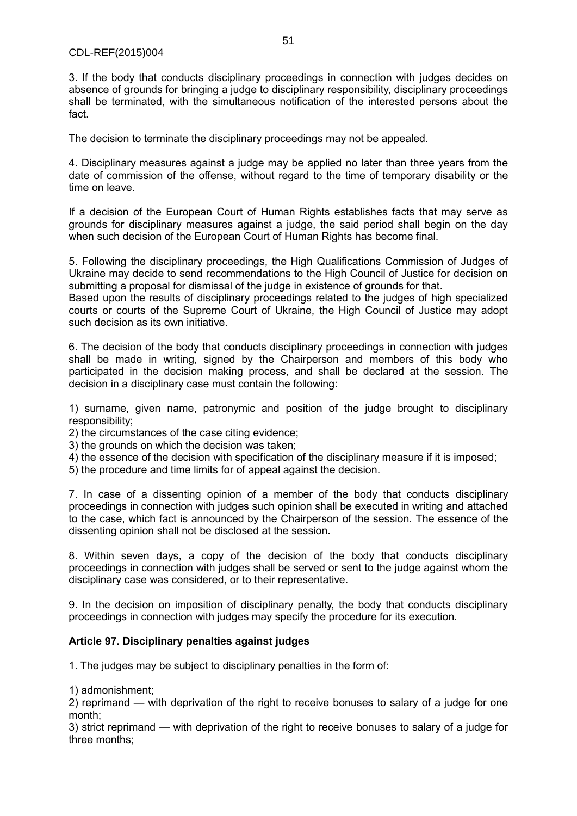3. If the body that conducts disciplinary proceedings in connection with judges decides on absence of grounds for bringing a judge to disciplinary responsibility, disciplinary proceedings shall be terminated, with the simultaneous notification of the interested persons about the fact.

The decision to terminate the disciplinary proceedings may not be appealed.

4. Disciplinary measures against a judge may be applied no later than three years from the date of commission of the offense, without regard to the time of temporary disability or the time on leave.

If a decision of the European Court of Human Rights establishes facts that may serve as grounds for disciplinary measures against a judge, the said period shall begin on the day when such decision of the European Court of Human Rights has become final.

5. Following the disciplinary proceedings, the High Qualifications Commission of Judges of Ukraine may decide to send recommendations to the High Council of Justice for decision on submitting a proposal for dismissal of the judge in existence of grounds for that.

Based upon the results of disciplinary proceedings related to the judges of high specialized courts or courts of the Supreme Court of Ukraine, the High Council of Justice may adopt such decision as its own initiative.

6. The decision of the body that conducts disciplinary proceedings in connection with judges shall be made in writing, signed by the Chairperson and members of this body who participated in the decision making process, and shall be declared at the session. The decision in a disciplinary case must contain the following:

1) surname, given name, patronymic and position of the judge brought to disciplinary responsibility;

2) the circumstances of the case citing evidence;

- 3) the grounds on which the decision was taken;
- 4) the essence of the decision with specification of the disciplinary measure if it is imposed;
- 5) the procedure and time limits for of appeal against the decision.

7. In case of a dissenting opinion of a member of the body that conducts disciplinary proceedings in connection with judges such opinion shall be executed in writing and attached to the case, which fact is announced by the Chairperson of the session. The essence of the dissenting opinion shall not be disclosed at the session.

8. Within seven days, a copy of the decision of the body that conducts disciplinary proceedings in connection with judges shall be served or sent to the judge against whom the disciplinary case was considered, or to their representative.

9. In the decision on imposition of disciplinary penalty, the body that conducts disciplinary proceedings in connection with judges may specify the procedure for its execution.

## **Article 97. Disciplinary penalties against judges**

1. The judges may be subject to disciplinary penalties in the form of:

1) admonishment;

2) reprimand — with deprivation of the right to receive bonuses to salary of a judge for one month;

3) strict reprimand — with deprivation of the right to receive bonuses to salary of a judge for three months;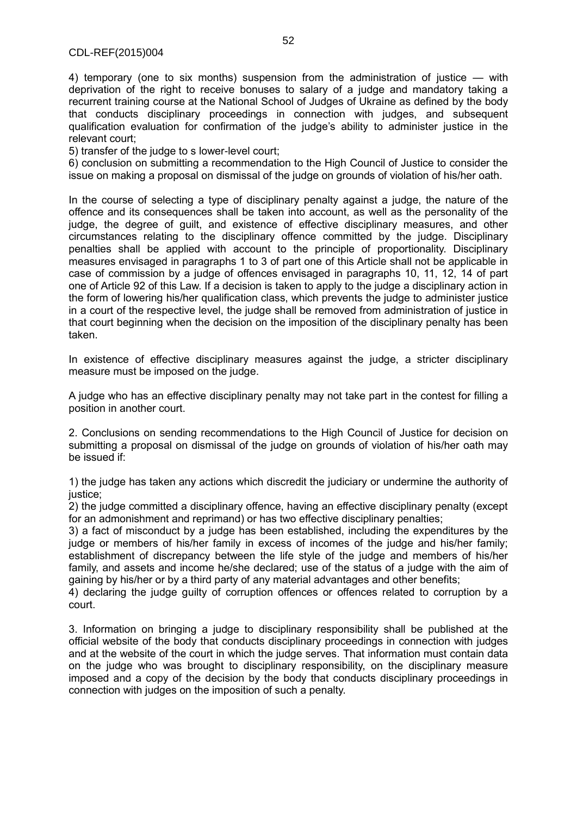4) temporary (one to six months) suspension from the administration of justice — with deprivation of the right to receive bonuses to salary of a judge and mandatory taking a recurrent training course at the National School of Judges of Ukraine as defined by the body that conducts disciplinary proceedings in connection with judges, and subsequent qualification evaluation for confirmation of the judge's ability to administer justice in the relevant court;

5) transfer of the judge to s lower-level court;

6) conclusion on submitting a recommendation to the High Council of Justice to consider the issue on making a proposal on dismissal of the judge on grounds of violation of his/her oath.

In the course of selecting a type of disciplinary penalty against a judge, the nature of the offence and its consequences shall be taken into account, as well as the personality of the judge, the degree of guilt, and existence of effective disciplinary measures, and other circumstances relating to the disciplinary offence committed by the judge. Disciplinary penalties shall be applied with account to the principle of proportionality. Disciplinary measures envisaged in paragraphs 1 to 3 of part one of this Article shall not be applicable in case of commission by a judge of offences envisaged in paragraphs 10, 11, 12, 14 of part one of Article 92 of this Law. If a decision is taken to apply to the judge a disciplinary action in the form of lowering his/her qualification class, which prevents the judge to administer justice in a court of the respective level, the judge shall be removed from administration of justice in that court beginning when the decision on the imposition of the disciplinary penalty has been taken.

In existence of effective disciplinary measures against the judge, a stricter disciplinary measure must be imposed on the judge.

A judge who has an effective disciplinary penalty may not take part in the contest for filling a position in another court.

2. Conclusions on sending recommendations to the High Council of Justice for decision on submitting a proposal on dismissal of the judge on grounds of violation of his/her oath may be issued if:

1) the judge has taken any actions which discredit the judiciary or undermine the authority of justice;

2) the judge committed a disciplinary offence, having an effective disciplinary penalty (except for an admonishment and reprimand) or has two effective disciplinary penalties;

3) a fact of misconduct by a judge has been established, including the expenditures by the judge or members of his/her family in excess of incomes of the judge and his/her family; establishment of discrepancy between the life style of the judge and members of his/her family, and assets and income he/she declared; use of the status of a judge with the aim of gaining by his/her or by a third party of any material advantages and other benefits;

4) declaring the judge guilty of corruption offences or offences related to corruption by a court.

3. Information on bringing a judge to disciplinary responsibility shall be published at the official website of the body that conducts disciplinary proceedings in connection with judges and at the website of the court in which the judge serves. That information must contain data on the judge who was brought to disciplinary responsibility, on the disciplinary measure imposed and a copy of the decision by the body that conducts disciplinary proceedings in connection with judges on the imposition of such a penalty.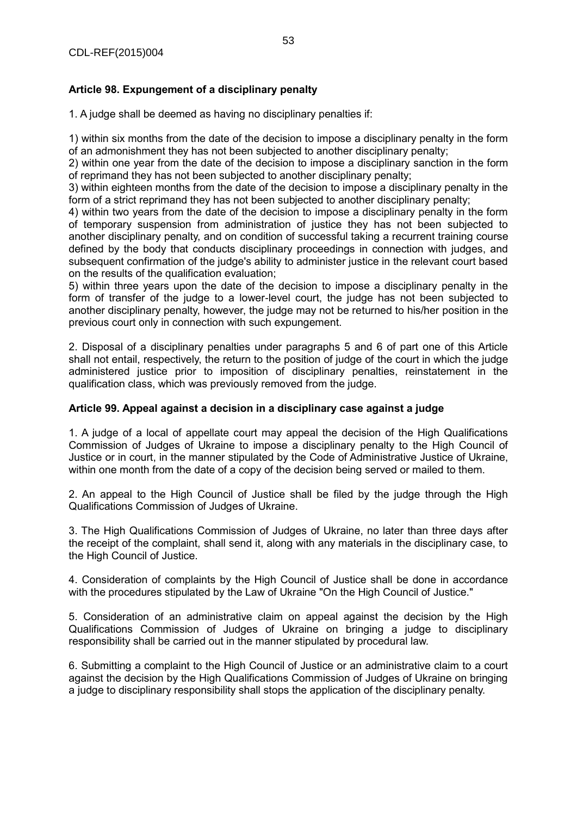## **Article 98. Expungement of a disciplinary penalty**

1. A judge shall be deemed as having no disciplinary penalties if:

1) within six months from the date of the decision to impose a disciplinary penalty in the form of an admonishment they has not been subjected to another disciplinary penalty;

2) within one year from the date of the decision to impose a disciplinary sanction in the form of reprimand they has not been subjected to another disciplinary penalty;

3) within eighteen months from the date of the decision to impose a disciplinary penalty in the form of a strict reprimand they has not been subjected to another disciplinary penalty;

4) within two years from the date of the decision to impose a disciplinary penalty in the form of temporary suspension from administration of justice they has not been subjected to another disciplinary penalty, and on condition of successful taking a recurrent training course defined by the body that conducts disciplinary proceedings in connection with judges, and subsequent confirmation of the judge's ability to administer justice in the relevant court based on the results of the qualification evaluation;

5) within three years upon the date of the decision to impose a disciplinary penalty in the form of transfer of the judge to a lower-level court, the judge has not been subjected to another disciplinary penalty, however, the judge may not be returned to his/her position in the previous court only in connection with such expungement.

2. Disposal of a disciplinary penalties under paragraphs 5 and 6 of part one of this Article shall not entail, respectively, the return to the position of judge of the court in which the judge administered justice prior to imposition of disciplinary penalties, reinstatement in the qualification class, which was previously removed from the judge.

## **Article 99. Appeal against a decision in a disciplinary case against a judge**

1. A judge of a local of appellate court may appeal the decision of the High Qualifications Commission of Judges of Ukraine to impose a disciplinary penalty to the High Council of Justice or in court, in the manner stipulated by the Code of Administrative Justice of Ukraine, within one month from the date of a copy of the decision being served or mailed to them.

2. An appeal to the High Council of Justice shall be filed by the judge through the High Qualifications Commission of Judges of Ukraine.

3. The High Qualifications Commission of Judges of Ukraine, no later than three days after the receipt of the complaint, shall send it, along with any materials in the disciplinary case, to the High Council of Justice.

4. Consideration of complaints by the High Council of Justice shall be done in accordance with the procedures stipulated by the Law of Ukraine "On the High Council of Justice."

5. Consideration of an administrative claim on appeal against the decision by the High Qualifications Commission of Judges of Ukraine on bringing a judge to disciplinary responsibility shall be carried out in the manner stipulated by procedural law.

6. Submitting a complaint to the High Council of Justice or an administrative claim to a court against the decision by the High Qualifications Commission of Judges of Ukraine on bringing a judge to disciplinary responsibility shall stops the application of the disciplinary penalty.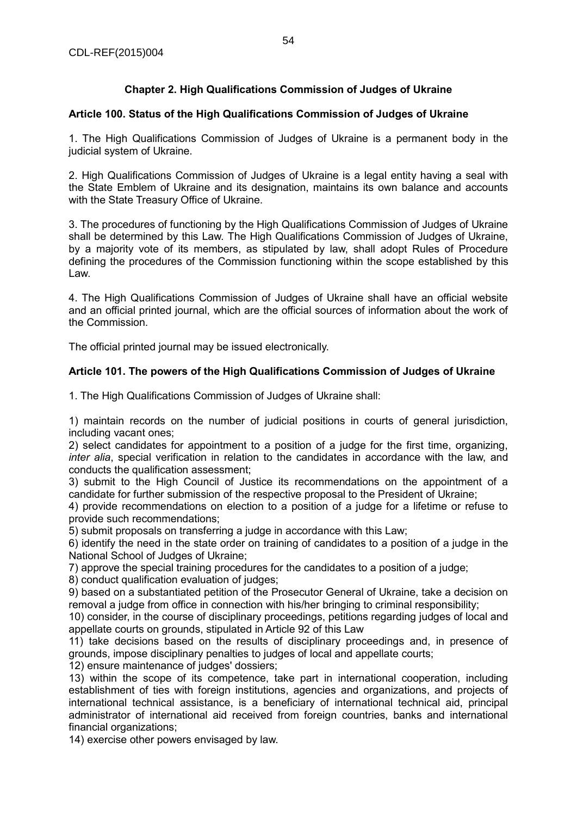# **Chapter 2. High Qualifications Commission of Judges of Ukraine**

## **Article 100. Status of the High Qualifications Commission of Judges of Ukraine**

1. The High Qualifications Commission of Judges of Ukraine is a permanent body in the judicial system of Ukraine.

2. High Qualifications Commission of Judges of Ukraine is a legal entity having a seal with the State Emblem of Ukraine and its designation, maintains its own balance and accounts with the State Treasury Office of Ukraine.

3. The procedures of functioning by the High Qualifications Commission of Judges of Ukraine shall be determined by this Law. The High Qualifications Commission of Judges of Ukraine, by a majority vote of its members, as stipulated by law, shall adopt Rules of Procedure defining the procedures of the Commission functioning within the scope established by this Law.

4. The High Qualifications Commission of Judges of Ukraine shall have an official website and an official printed journal, which are the official sources of information about the work of the Commission.

The official printed journal may be issued electronically.

## **Article 101. The powers of the High Qualifications Commission of Judges of Ukraine**

1. The High Qualifications Commission of Judges of Ukraine shall:

1) maintain records on the number of judicial positions in courts of general jurisdiction, including vacant ones;

2) select candidates for appointment to a position of a judge for the first time, organizing, *inter alia*, special verification in relation to the candidates in accordance with the law, and conducts the qualification assessment;

3) submit to the High Council of Justice its recommendations on the appointment of a candidate for further submission of the respective proposal to the President of Ukraine;

4) provide recommendations on election to a position of a judge for a lifetime or refuse to provide such recommendations;

5) submit proposals on transferring a judge in accordance with this Law;

6) identify the need in the state order on training of candidates to a position of a judge in the National School of Judges of Ukraine;

7) approve the special training procedures for the candidates to a position of a judge;

8) conduct qualification evaluation of judges;

9) based on a substantiated petition of the Prosecutor General of Ukraine, take a decision on removal a judge from office in connection with his/her bringing to criminal responsibility;

10) consider, in the course of disciplinary proceedings, petitions regarding judges of local and appellate courts on grounds, stipulated in Article 92 of this Law

11) take decisions based on the results of disciplinary proceedings and, in presence of grounds, impose disciplinary penalties to judges of local and appellate courts;

12) ensure maintenance of judges' dossiers;

13) within the scope of its competence, take part in international cooperation, including establishment of ties with foreign institutions, agencies and organizations, and projects of international technical assistance, is a beneficiary of international technical aid, principal administrator of international aid received from foreign countries, banks and international financial organizations;

14) exercise other powers envisaged by law.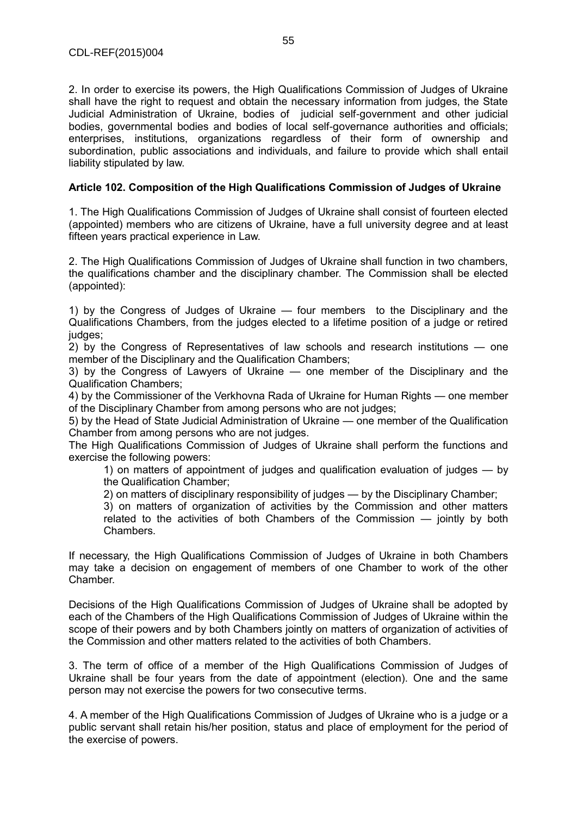2. In order to exercise its powers, the High Qualifications Commission of Judges of Ukraine shall have the right to request and obtain the necessary information from judges, the State Judicial Administration of Ukraine, bodies of judicial self-government and other judicial bodies, governmental bodies and bodies of local self-governance authorities and officials; enterprises, institutions, organizations regardless of their form of ownership and subordination, public associations and individuals, and failure to provide which shall entail liability stipulated by law.

#### **Article 102. Composition of the High Qualifications Commission of Judges of Ukraine**

1. The High Qualifications Commission of Judges of Ukraine shall consist of fourteen elected (appointed) members who are citizens of Ukraine, have a full university degree and at least fifteen years practical experience in Law.

2. The High Qualifications Commission of Judges of Ukraine shall function in two chambers, the qualifications chamber and the disciplinary chamber. The Commission shall be elected (appointed):

1) by the Congress of Judges of Ukraine — four members to the Disciplinary and the Qualifications Chambers, from the judges elected to a lifetime position of a judge or retired judges:

2) by the Congress of Representatives of law schools and research institutions — one member of the Disciplinary and the Qualification Chambers;

3) by the Congress of Lawyers of Ukraine — one member of the Disciplinary and the Qualification Chambers;

4) by the Commissioner of the Verkhovna Rada of Ukraine for Human Rights — one member of the Disciplinary Chamber from among persons who are not judges;

5) by the Head of State Judicial Administration of Ukraine — one member of the Qualification Chamber from among persons who are not judges.

The High Qualifications Commission of Judges of Ukraine shall perform the functions and exercise the following powers:

1) on matters of appointment of judges and qualification evaluation of judges — by the Qualification Chamber;

2) on matters of disciplinary responsibility of judges — by the Disciplinary Chamber;

3) on matters of organization of activities by the Commission and other matters related to the activities of both Chambers of the Commission — jointly by both **Chambers** 

If necessary, the High Qualifications Commission of Judges of Ukraine in both Chambers may take a decision on engagement of members of one Chamber to work of the other Chamber.

Decisions of the High Qualifications Commission of Judges of Ukraine shall be adopted by each of the Chambers of the High Qualifications Commission of Judges of Ukraine within the scope of their powers and by both Chambers jointly on matters of organization of activities of the Commission and other matters related to the activities of both Chambers.

3. The term of office of a member of the High Qualifications Commission of Judges of Ukraine shall be four years from the date of appointment (election). One and the same person may not exercise the powers for two consecutive terms.

4. A member of the High Qualifications Commission of Judges of Ukraine who is a judge or a public servant shall retain his/her position, status and place of employment for the period of the exercise of powers.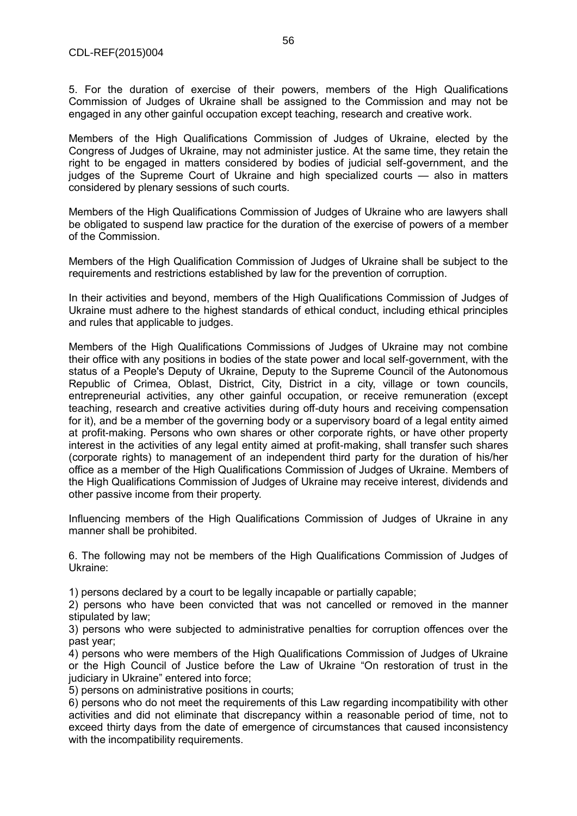5. For the duration of exercise of their powers, members of the High Qualifications Commission of Judges of Ukraine shall be assigned to the Commission and may not be engaged in any other gainful occupation except teaching, research and creative work.

Members of the High Qualifications Commission of Judges of Ukraine, elected by the Congress of Judges of Ukraine, may not administer justice. At the same time, they retain the right to be engaged in matters considered by bodies of judicial self-government, and the judges of the Supreme Court of Ukraine and high specialized courts — also in matters considered by plenary sessions of such courts.

Members of the High Qualifications Commission of Judges of Ukraine who are lawyers shall be obligated to suspend law practice for the duration of the exercise of powers of a member of the Commission.

Members of the High Qualification Commission of Judges of Ukraine shall be subject to the requirements and restrictions established by law for the prevention of corruption.

In their activities and beyond, members of the High Qualifications Commission of Judges of Ukraine must adhere to the highest standards of ethical conduct, including ethical principles and rules that applicable to judges.

Members of the High Qualifications Commissions of Judges of Ukraine may not combine their office with any positions in bodies of the state power and local self-government, with the status of a People's Deputy of Ukraine, Deputy to the Supreme Council of the Autonomous Republic of Crimea, Oblast, District, City, District in a city, village or town councils, entrepreneurial activities, any other gainful occupation, or receive remuneration (except teaching, research and creative activities during off-duty hours and receiving compensation for it), and be a member of the governing body or a supervisory board of a legal entity aimed at profit-making. Persons who own shares or other corporate rights, or have other property interest in the activities of any legal entity aimed at profit-making, shall transfer such shares (corporate rights) to management of an independent third party for the duration of his/her office as a member of the High Qualifications Commission of Judges of Ukraine. Members of the High Qualifications Commission of Judges of Ukraine may receive interest, dividends and other passive income from their property.

Influencing members of the High Qualifications Commission of Judges of Ukraine in any manner shall be prohibited.

6. The following may not be members of the High Qualifications Commission of Judges of Ukraine:

1) persons declared by a court to be legally incapable or partially capable;

2) persons who have been convicted that was not cancelled or removed in the manner stipulated by law;

3) persons who were subjected to administrative penalties for corruption offences over the past year;

4) persons who were members of the High Qualifications Commission of Judges of Ukraine or the High Council of Justice before the Law of Ukraine "On restoration of trust in the judiciary in Ukraine" entered into force;

5) persons on administrative positions in courts;

6) persons who do not meet the requirements of this Law regarding incompatibility with other activities and did not eliminate that discrepancy within a reasonable period of time, not to exceed thirty days from the date of emergence of circumstances that caused inconsistency with the incompatibility requirements.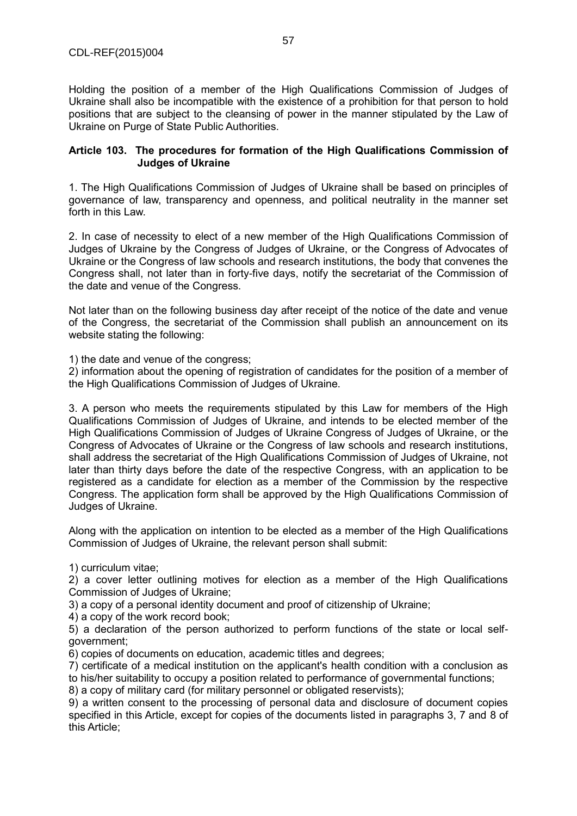Holding the position of a member of the High Qualifications Commission of Judges of Ukraine shall also be incompatible with the existence of a prohibition for that person to hold positions that are subject to the cleansing of power in the manner stipulated by the Law of Ukraine on Purge of State Public Authorities.

#### **Article 103. The procedures for formation of the High Qualifications Commission of Judges of Ukraine**

1. The High Qualifications Commission of Judges of Ukraine shall be based on principles of governance of law, transparency and openness, and political neutrality in the manner set forth in this Law.

2. In case of necessity to elect of a new member of the High Qualifications Commission of Judges of Ukraine by the Congress of Judges of Ukraine, or the Congress of Advocates of Ukraine or the Congress of law schools and research institutions, the body that convenes the Congress shall, not later than in forty-five days, notify the secretariat of the Commission of the date and venue of the Congress.

Not later than on the following business day after receipt of the notice of the date and venue of the Congress, the secretariat of the Commission shall publish an announcement on its website stating the following:

1) the date and venue of the congress;

2) information about the opening of registration of candidates for the position of a member of the High Qualifications Commission of Judges of Ukraine.

3. A person who meets the requirements stipulated by this Law for members of the High Qualifications Commission of Judges of Ukraine, and intends to be elected member of the High Qualifications Commission of Judges of Ukraine Congress of Judges of Ukraine, or the Congress of Advocates of Ukraine or the Congress of law schools and research institutions, shall address the secretariat of the High Qualifications Commission of Judges of Ukraine, not later than thirty days before the date of the respective Congress, with an application to be registered as a candidate for election as a member of the Commission by the respective Congress. The application form shall be approved by the High Qualifications Commission of Judges of Ukraine.

Along with the application on intention to be elected as a member of the High Qualifications Commission of Judges of Ukraine, the relevant person shall submit:

1) curriculum vitae;

2) a cover letter outlining motives for election as a member of the High Qualifications Commission of Judges of Ukraine;

3) a copy of a personal identity document and proof of citizenship of Ukraine;

4) a copy of the work record book;

5) a declaration of the person authorized to perform functions of the state or local selfgovernment;

6) copies of documents on education, academic titles and degrees;

7) certificate of a medical institution on the applicant's health condition with a conclusion as to his/her suitability to occupy a position related to performance of governmental functions;

8) a copy of military card (for military personnel or obligated reservists);

9) a written consent to the processing of personal data and disclosure of document copies specified in this Article, except for copies of the documents listed in paragraphs 3, 7 and 8 of this Article;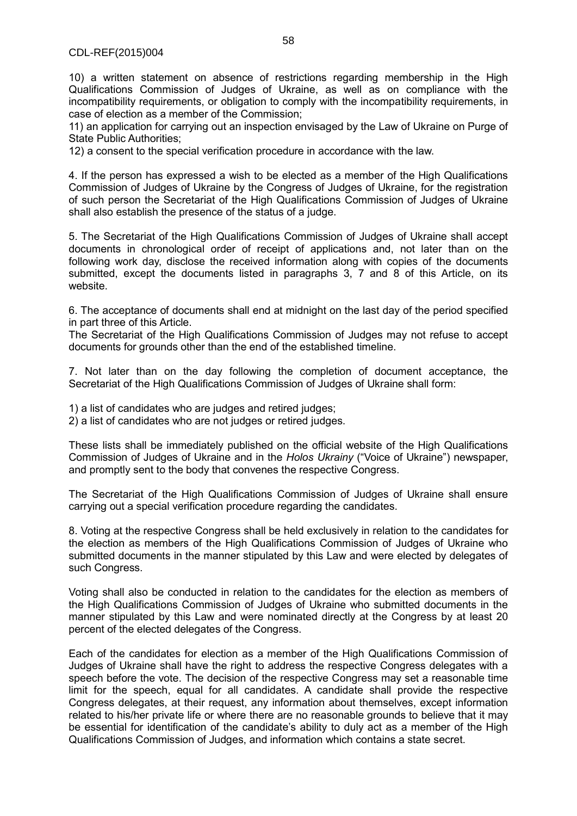10) a written statement on absence of restrictions regarding membership in the High Qualifications Commission of Judges of Ukraine, as well as on compliance with the incompatibility requirements, or obligation to comply with the incompatibility requirements, in case of election as a member of the Commission;

11) an application for carrying out an inspection envisaged by the Law of Ukraine on Purge of State Public Authorities;

12) a consent to the special verification procedure in accordance with the law.

4. If the person has expressed a wish to be elected as a member of the High Qualifications Commission of Judges of Ukraine by the Congress of Judges of Ukraine, for the registration of such person the Secretariat of the High Qualifications Commission of Judges of Ukraine shall also establish the presence of the status of a judge.

5. The Secretariat of the High Qualifications Commission of Judges of Ukraine shall accept documents in chronological order of receipt of applications and, not later than on the following work day, disclose the received information along with copies of the documents submitted, except the documents listed in paragraphs 3, 7 and 8 of this Article, on its website.

6. The acceptance of documents shall end at midnight on the last day of the period specified in part three of this Article.

The Secretariat of the High Qualifications Commission of Judges may not refuse to accept documents for grounds other than the end of the established timeline.

7. Not later than on the day following the completion of document acceptance, the Secretariat of the High Qualifications Commission of Judges of Ukraine shall form:

1) a list of candidates who are judges and retired judges;

2) a list of candidates who are not judges or retired judges.

These lists shall be immediately published on the official website of the High Qualifications Commission of Judges of Ukraine and in the *Holos Ukrainy* ("Voice of Ukraine") newspaper, and promptly sent to the body that convenes the respective Congress.

The Secretariat of the High Qualifications Commission of Judges of Ukraine shall ensure carrying out a special verification procedure regarding the candidates.

8. Voting at the respective Congress shall be held exclusively in relation to the candidates for the election as members of the High Qualifications Commission of Judges of Ukraine who submitted documents in the manner stipulated by this Law and were elected by delegates of such Congress.

Voting shall also be conducted in relation to the candidates for the election as members of the High Qualifications Commission of Judges of Ukraine who submitted documents in the manner stipulated by this Law and were nominated directly at the Congress by at least 20 percent of the elected delegates of the Congress.

Each of the candidates for election as a member of the High Qualifications Commission of Judges of Ukraine shall have the right to address the respective Congress delegates with a speech before the vote. The decision of the respective Congress may set a reasonable time limit for the speech, equal for all candidates. A candidate shall provide the respective Congress delegates, at their request, any information about themselves, except information related to his/her private life or where there are no reasonable grounds to believe that it may be essential for identification of the candidate's ability to duly act as a member of the High Qualifications Commission of Judges, and information which contains a state secret.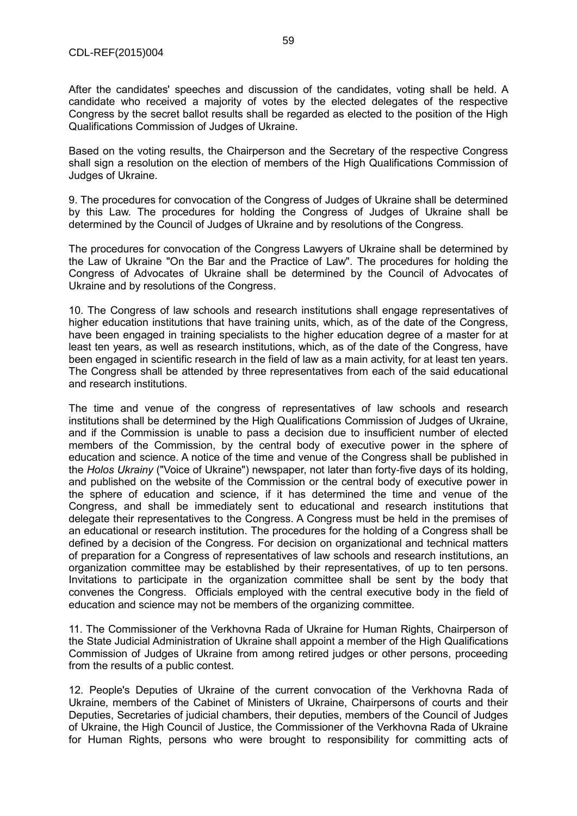After the candidates' speeches and discussion of the candidates, voting shall be held. A candidate who received a majority of votes by the elected delegates of the respective Congress by the secret ballot results shall be regarded as elected to the position of the High Qualifications Commission of Judges of Ukraine.

Based on the voting results, the Chairperson and the Secretary of the respective Congress shall sign a resolution on the election of members of the High Qualifications Commission of Judges of Ukraine.

9. The procedures for convocation of the Congress of Judges of Ukraine shall be determined by this Law. The procedures for holding the Congress of Judges of Ukraine shall be determined by the Council of Judges of Ukraine and by resolutions of the Congress.

The procedures for convocation of the Congress Lawyers of Ukraine shall be determined by the Law of Ukraine "On the Bar and the Practice of Law". The procedures for holding the Congress of Advocates of Ukraine shall be determined by the Council of Advocates of Ukraine and by resolutions of the Congress.

10. The Congress of law schools and research institutions shall engage representatives of higher education institutions that have training units, which, as of the date of the Congress, have been engaged in training specialists to the higher education degree of a master for at least ten years, as well as research institutions, which, as of the date of the Congress, have been engaged in scientific research in the field of law as a main activity, for at least ten years. The Congress shall be attended by three representatives from each of the said educational and research institutions.

The time and venue of the congress of representatives of law schools and research institutions shall be determined by the High Qualifications Commission of Judges of Ukraine, and if the Commission is unable to pass a decision due to insufficient number of elected members of the Commission, by the central body of executive power in the sphere of education and science. A notice of the time and venue of the Congress shall be published in the *Holos Ukrainy* ("Voice of Ukraine") newspaper, not later than forty-five days of its holding, and published on the website of the Commission or the central body of executive power in the sphere of education and science, if it has determined the time and venue of the Congress, and shall be immediately sent to educational and research institutions that delegate their representatives to the Congress. A Congress must be held in the premises of an educational or research institution. The procedures for the holding of a Congress shall be defined by a decision of the Congress. For decision on organizational and technical matters of preparation for a Congress of representatives of law schools and research institutions, an organization committee may be established by their representatives, of up to ten persons. Invitations to participate in the organization committee shall be sent by the body that convenes the Congress. Officials employed with the central executive body in the field of education and science may not be members of the organizing committee.

11. The Commissioner of the Verkhovna Rada of Ukraine for Human Rights, Chairperson of the State Judicial Administration of Ukraine shall appoint a member of the High Qualifications Commission of Judges of Ukraine from among retired judges or other persons, proceeding from the results of a public contest.

12. People's Deputies of Ukraine of the current convocation of the Verkhovna Rada of Ukraine, members of the Cabinet of Ministers of Ukraine, Chairpersons of courts and their Deputies, Secretaries of judicial chambers, their deputies, members of the Council of Judges of Ukraine, the High Council of Justice, the Commissioner of the Verkhovna Rada of Ukraine for Human Rights, persons who were brought to responsibility for committing acts of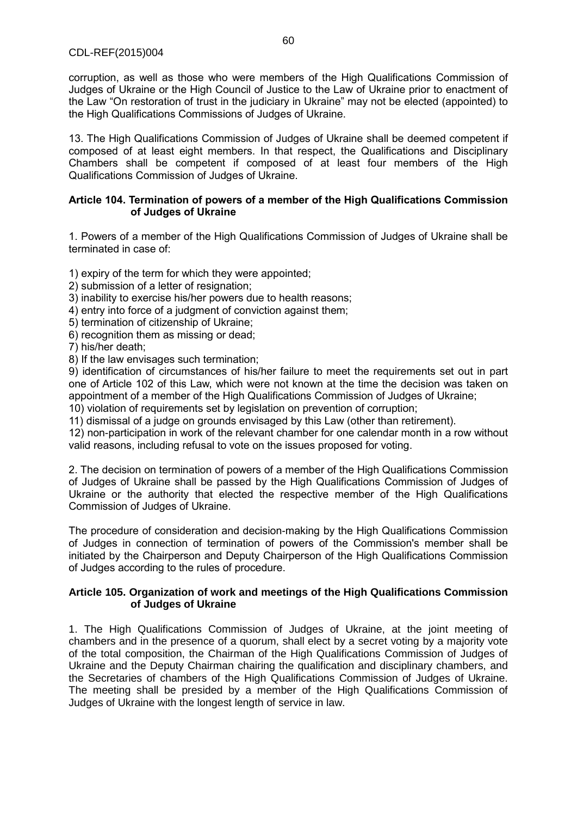corruption, as well as those who were members of the High Qualifications Commission of Judges of Ukraine or the High Council of Justice to the Law of Ukraine prior to enactment of the Law "On restoration of trust in the judiciary in Ukraine" may not be elected (appointed) to the High Qualifications Commissions of Judges of Ukraine.

13. The High Qualifications Commission of Judges of Ukraine shall be deemed competent if composed of at least eight members. In that respect, the Qualifications and Disciplinary Chambers shall be competent if composed of at least four members of the High Qualifications Commission of Judges of Ukraine.

#### **Article 104. Termination of powers of a member of the High Qualifications Commission of Judges of Ukraine**

1. Powers of a member of the High Qualifications Commission of Judges of Ukraine shall be terminated in case of:

1) expiry of the term for which they were appointed;

2) submission of a letter of resignation;

3) inability to exercise his/her powers due to health reasons;

4) entry into force of a judgment of conviction against them;

5) termination of citizenship of Ukraine;

6) recognition them as missing or dead;

7) his/her death;

8) If the law envisages such termination;

9) identification of circumstances of his/her failure to meet the requirements set out in part one of Article 102 of this Law, which were not known at the time the decision was taken on appointment of a member of the High Qualifications Commission of Judges of Ukraine;

10) violation of requirements set by legislation on prevention of corruption;

11) dismissal of a judge on grounds envisaged by this Law (other than retirement).

12) non-participation in work of the relevant chamber for one calendar month in a row without valid reasons, including refusal to vote on the issues proposed for voting.

2. The decision on termination of powers of a member of the High Qualifications Commission of Judges of Ukraine shall be passed by the High Qualifications Commission of Judges of Ukraine or the authority that elected the respective member of the High Qualifications Commission of Judges of Ukraine.

The procedure of consideration and decision-making by the High Qualifications Commission of Judges in connection of termination of powers of the Commission's member shall be initiated by the Chairperson and Deputy Chairperson of the High Qualifications Commission of Judges according to the rules of procedure.

#### **Article 105. Organization of work and meetings of the High Qualifications Commission of Judges of Ukraine**

1. The High Qualifications Commission of Judges of Ukraine, at the joint meeting of chambers and in the presence of a quorum, shall elect by a secret voting by a majority vote of the total composition, the Chairman of the High Qualifications Commission of Judges of Ukraine and the Deputy Chairman chairing the qualification and disciplinary chambers, and the Secretaries of chambers of the High Qualifications Commission of Judges of Ukraine. The meeting shall be presided by a member of the High Qualifications Commission of Judges of Ukraine with the longest length of service in law.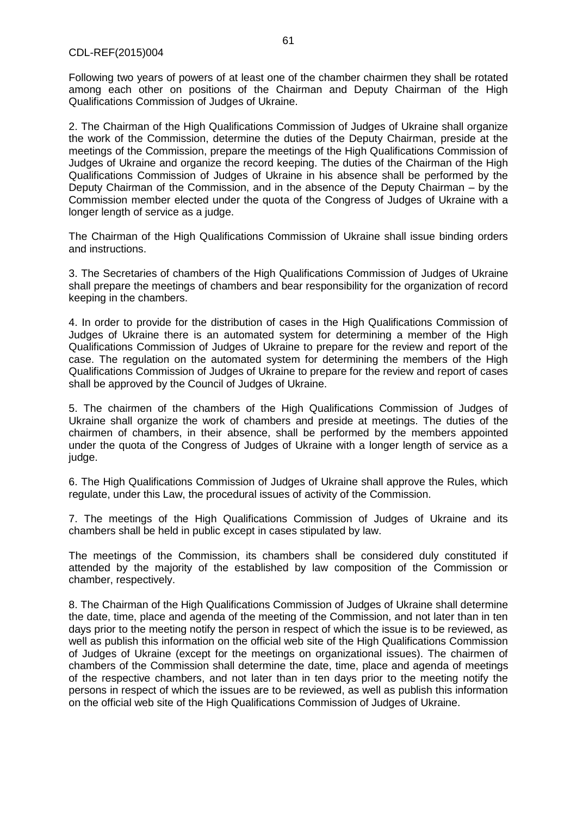Following two years of powers of at least one of the chamber chairmen they shall be rotated among each other on positions of the Chairman and Deputy Chairman of the High Qualifications Commission of Judges of Ukraine.

2. The Chairman of the High Qualifications Commission of Judges of Ukraine shall organize the work of the Commission, determine the duties of the Deputy Chairman, preside at the meetings of the Commission, prepare the meetings of the High Qualifications Commission of Judges of Ukraine and organize the record keeping. The duties of the Chairman of the High Qualifications Commission of Judges of Ukraine in his absence shall be performed by the Deputy Chairman of the Commission, and in the absence of the Deputy Chairman – by the Commission member elected under the quota of the Congress of Judges of Ukraine with a longer length of service as a judge.

The Chairman of the High Qualifications Commission of Ukraine shall issue binding orders and instructions.

3. The Secretaries of chambers of the High Qualifications Commission of Judges of Ukraine shall prepare the meetings of chambers and bear responsibility for the organization of record keeping in the chambers.

4. In order to provide for the distribution of cases in the High Qualifications Commission of Judges of Ukraine there is an automated system for determining a member of the High Qualifications Commission of Judges of Ukraine to prepare for the review and report of the case. The regulation on the automated system for determining the members of the High Qualifications Commission of Judges of Ukraine to prepare for the review and report of cases shall be approved by the Council of Judges of Ukraine.

5. The chairmen of the chambers of the High Qualifications Commission of Judges of Ukraine shall organize the work of chambers and preside at meetings. The duties of the chairmen of chambers, in their absence, shall be performed by the members appointed under the quota of the Congress of Judges of Ukraine with a longer length of service as a judge.

6. The High Qualifications Commission of Judges of Ukraine shall approve the Rules, which regulate, under this Law, the procedural issues of activity of the Commission.

7. The meetings of the High Qualifications Commission of Judges of Ukraine and its chambers shall be held in public except in cases stipulated by law.

The meetings of the Commission, its chambers shall be considered duly constituted if attended by the majority of the established by law composition of the Commission or chamber, respectively.

8. The Chairman of the High Qualifications Commission of Judges of Ukraine shall determine the date, time, place and agenda of the meeting of the Commission, and not later than in ten days prior to the meeting notify the person in respect of which the issue is to be reviewed, as well as publish this information on the official web site of the High Qualifications Commission of Judges of Ukraine (except for the meetings on organizational issues). The chairmen of chambers of the Commission shall determine the date, time, place and agenda of meetings of the respective chambers, and not later than in ten days prior to the meeting notify the persons in respect of which the issues are to be reviewed, as well as publish this information on the official web site of the High Qualifications Commission of Judges of Ukraine.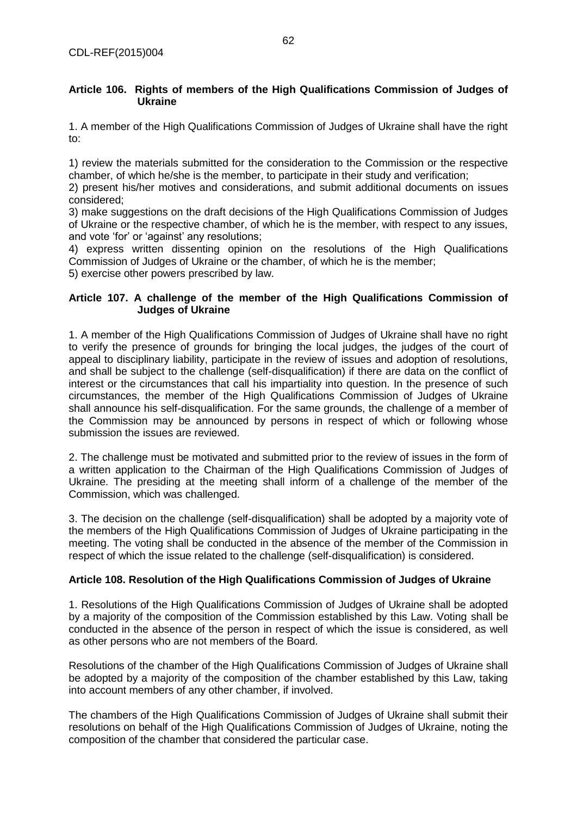#### **Article 106. Rights of members of the High Qualifications Commission of Judges of Ukraine**

1. A member of the High Qualifications Commission of Judges of Ukraine shall have the right to:

1) review the materials submitted for the consideration to the Commission or the respective chamber, of which he/she is the member, to participate in their study and verification;

2) present his/her motives and considerations, and submit additional documents on issues considered;

3) make suggestions on the draft decisions of the High Qualifications Commission of Judges of Ukraine or the respective chamber, of which he is the member, with respect to any issues, and vote 'for' or 'against' any resolutions;

4) express written dissenting opinion on the resolutions of the High Qualifications Commission of Judges of Ukraine or the chamber, of which he is the member;

5) exercise other powers prescribed by law.

## **Article 107. A challenge of the member of the High Qualifications Commission of Judges of Ukraine**

1. A member of the High Qualifications Commission of Judges of Ukraine shall have no right to verify the presence of grounds for bringing the local judges, the judges of the court of appeal to disciplinary liability, participate in the review of issues and adoption of resolutions, and shall be subject to the challenge (self-disqualification) if there are data on the conflict of interest or the circumstances that call his impartiality into question. In the presence of such circumstances, the member of the High Qualifications Commission of Judges of Ukraine shall announce his self-disqualification. For the same grounds, the challenge of a member of the Commission may be announced by persons in respect of which or following whose submission the issues are reviewed.

2. The challenge must be motivated and submitted prior to the review of issues in the form of a written application to the Chairman of the High Qualifications Commission of Judges of Ukraine. The presiding at the meeting shall inform of a challenge of the member of the Commission, which was challenged.

3. The decision on the challenge (self-disqualification) shall be adopted by a majority vote of the members of the High Qualifications Commission of Judges of Ukraine participating in the meeting. The voting shall be conducted in the absence of the member of the Commission in respect of which the issue related to the challenge (self-disqualification) is considered.

## **Article 108. Resolution of the High Qualifications Commission of Judges of Ukraine**

1. Resolutions of the High Qualifications Commission of Judges of Ukraine shall be adopted by a majority of the composition of the Commission established by this Law. Voting shall be conducted in the absence of the person in respect of which the issue is considered, as well as other persons who are not members of the Board.

Resolutions of the chamber of the High Qualifications Commission of Judges of Ukraine shall be adopted by a majority of the composition of the chamber established by this Law, taking into account members of any other chamber, if involved.

The chambers of the High Qualifications Commission of Judges of Ukraine shall submit their resolutions on behalf of the High Qualifications Commission of Judges of Ukraine, noting the composition of the chamber that considered the particular case.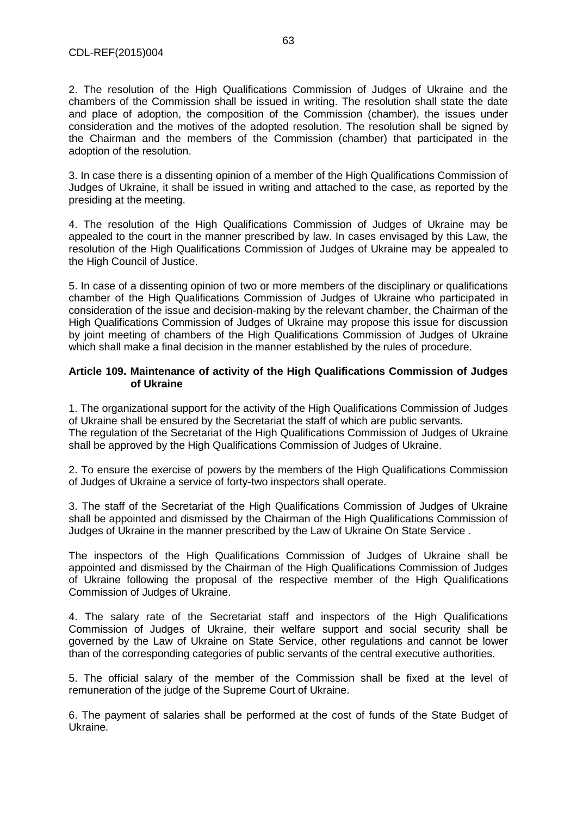2. The resolution of the High Qualifications Commission of Judges of Ukraine and the chambers of the Commission shall be issued in writing. The resolution shall state the date and place of adoption, the composition of the Commission (chamber), the issues under consideration and the motives of the adopted resolution. The resolution shall be signed by the Chairman and the members of the Commission (chamber) that participated in the adoption of the resolution.

3. In case there is a dissenting opinion of a member of the High Qualifications Commission of Judges of Ukraine, it shall be issued in writing and attached to the case, as reported by the presiding at the meeting.

4. The resolution of the High Qualifications Commission of Judges of Ukraine may be appealed to the court in the manner prescribed by law. In cases envisaged by this Law, the resolution of the High Qualifications Commission of Judges of Ukraine may be appealed to the High Council of Justice.

5. In case of a dissenting opinion of two or more members of the disciplinary or qualifications chamber of the High Qualifications Commission of Judges of Ukraine who participated in consideration of the issue and decision-making by the relevant chamber, the Chairman of the High Qualifications Commission of Judges of Ukraine may propose this issue for discussion by joint meeting of chambers of the High Qualifications Commission of Judges of Ukraine which shall make a final decision in the manner established by the rules of procedure.

#### **Article 109. Maintenance of activity of the High Qualifications Commission of Judges of Ukraine**

1. The organizational support for the activity of the High Qualifications Commission of Judges of Ukraine shall be ensured by the Secretariat the staff of which are public servants. The regulation of the Secretariat of the High Qualifications Commission of Judges of Ukraine

shall be approved by the High Qualifications Commission of Judges of Ukraine.

2. To ensure the exercise of powers by the members of the High Qualifications Commission of Judges of Ukraine a service of forty-two inspectors shall operate.

3. The staff of the Secretariat of the High Qualifications Commission of Judges of Ukraine shall be appointed and dismissed by the Chairman of the High Qualifications Commission of Judges of Ukraine in the manner prescribed by the Law of Ukraine On State Service .

The inspectors of the High Qualifications Commission of Judges of Ukraine shall be appointed and dismissed by the Chairman of the High Qualifications Commission of Judges of Ukraine following the proposal of the respective member of the High Qualifications Commission of Judges of Ukraine.

4. The salary rate of the Secretariat staff and inspectors of the High Qualifications Commission of Judges of Ukraine, their welfare support and social security shall be governed by the Law of Ukraine on State Service, other regulations and cannot be lower than of the corresponding categories of public servants of the central executive authorities.

5. The official salary of the member of the Commission shall be fixed at the level of remuneration of the judge of the Supreme Court of Ukraine.

6. The payment of salaries shall be performed at the cost of funds of the State Budget of Ukraine.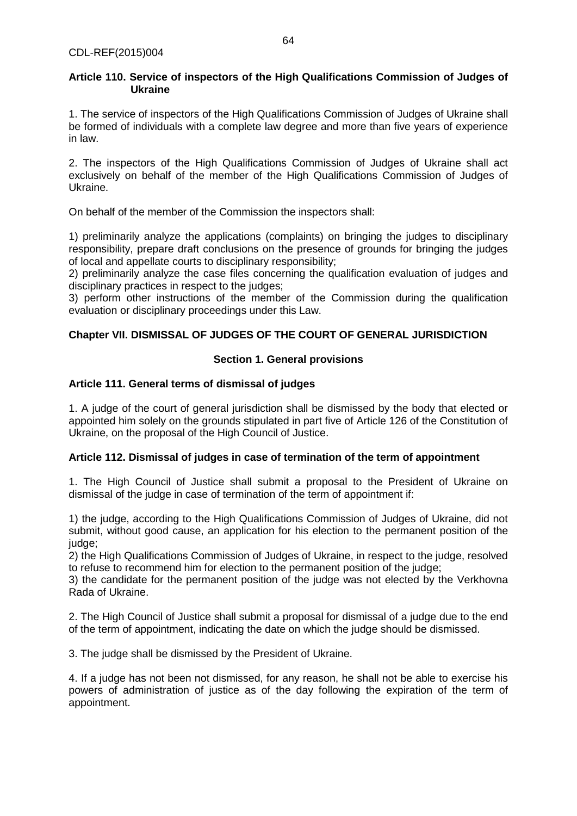### **Article 110. Service of inspectors of the High Qualifications Commission of Judges of Ukraine**

1. The service of inspectors of the High Qualifications Commission of Judges of Ukraine shall be formed of individuals with a complete law degree and more than five years of experience in law.

2. The inspectors of the High Qualifications Commission of Judges of Ukraine shall act exclusively on behalf of the member of the High Qualifications Commission of Judges of Ukraine.

On behalf of the member of the Commission the inspectors shall:

1) preliminarily analyze the applications (complaints) on bringing the judges to disciplinary responsibility, prepare draft conclusions on the presence of grounds for bringing the judges of local and appellate courts to disciplinary responsibility;

2) preliminarily analyze the case files concerning the qualification evaluation of judges and disciplinary practices in respect to the judges;

3) perform other instructions of the member of the Commission during the qualification evaluation or disciplinary proceedings under this Law.

# **Chapter VII. DISMISSAL OF JUDGES OF THE COURT OF GENERAL JURISDICTION**

## **Section 1. General provisions**

## **Article 111. General terms of dismissal of judges**

1. A judge of the court of general jurisdiction shall be dismissed by the body that elected or appointed him solely on the grounds stipulated in part five of Article 126 of the Constitution of Ukraine, on the proposal of the High Council of Justice.

## **Article 112. Dismissal of judges in case of termination of the term of appointment**

1. The High Council of Justice shall submit a proposal to the President of Ukraine on dismissal of the judge in case of termination of the term of appointment if:

1) the judge, according to the High Qualifications Commission of Judges of Ukraine, did not submit, without good cause, an application for his election to the permanent position of the judge;

2) the High Qualifications Commission of Judges of Ukraine, in respect to the judge, resolved to refuse to recommend him for election to the permanent position of the judge;

3) the candidate for the permanent position of the judge was not elected by the Verkhovna Rada of Ukraine.

2. The High Council of Justice shall submit a proposal for dismissal of a judge due to the end of the term of appointment, indicating the date on which the judge should be dismissed.

3. The judge shall be dismissed by the President of Ukraine.

4. If a judge has not been not dismissed, for any reason, he shall not be able to exercise his powers of administration of justice as of the day following the expiration of the term of appointment.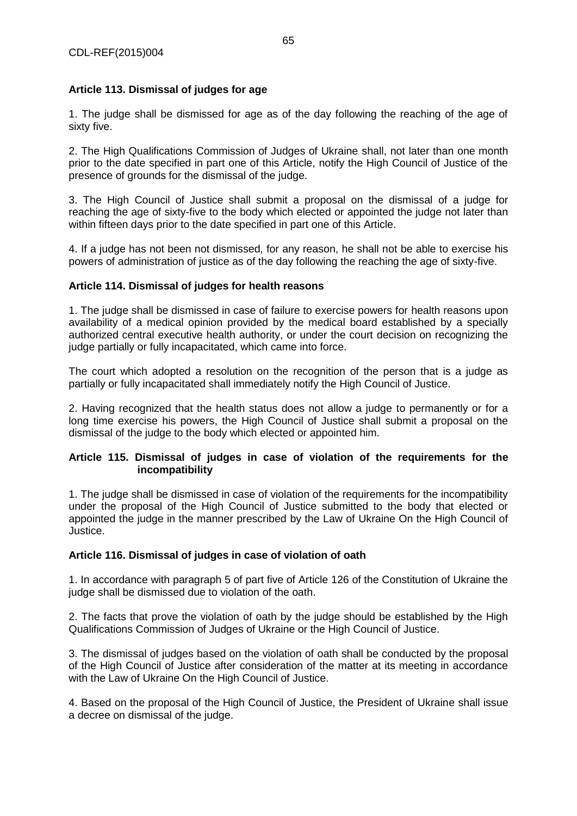## **Article 113. Dismissal of judges for age**

1. The judge shall be dismissed for age as of the day following the reaching of the age of sixty five.

2. The High Qualifications Commission of Judges of Ukraine shall, not later than one month prior to the date specified in part one of this Article, notify the High Council of Justice of the presence of grounds for the dismissal of the judge.

3. The High Council of Justice shall submit a proposal on the dismissal of a judge for reaching the age of sixty-five to the body which elected or appointed the judge not later than within fifteen days prior to the date specified in part one of this Article.

4. If a judge has not been not dismissed, for any reason, he shall not be able to exercise his powers of administration of justice as of the day following the reaching the age of sixty-five.

#### **Article 114. Dismissal of judges for health reasons**

1. The judge shall be dismissed in case of failure to exercise powers for health reasons upon availability of a medical opinion provided by the medical board established by a specially authorized central executive health authority, or under the court decision on recognizing the judge partially or fully incapacitated, which came into force.

The court which adopted a resolution on the recognition of the person that is a judge as partially or fully incapacitated shall immediately notify the High Council of Justice.

2. Having recognized that the health status does not allow a judge to permanently or for a long time exercise his powers, the High Council of Justice shall submit a proposal on the dismissal of the judge to the body which elected or appointed him.

#### **Article 115. Dismissal of judges in case of violation of the requirements for the incompatibility**

1. The judge shall be dismissed in case of violation of the requirements for the incompatibility under the proposal of the High Council of Justice submitted to the body that elected or appointed the judge in the manner prescribed by the Law of Ukraine On the High Council of Justice.

## **Article 116. Dismissal of judges in case of violation of oath**

1. In accordance with paragraph 5 of part five of Article 126 of the Constitution of Ukraine the judge shall be dismissed due to violation of the oath.

2. The facts that prove the violation of oath by the judge should be established by the High Qualifications Commission of Judges of Ukraine or the High Council of Justice.

3. The dismissal of judges based on the violation of oath shall be conducted by the proposal of the High Council of Justice after consideration of the matter at its meeting in accordance with the Law of Ukraine On the High Council of Justice.

4. Based on the proposal of the High Council of Justice, the President of Ukraine shall issue a decree on dismissal of the judge.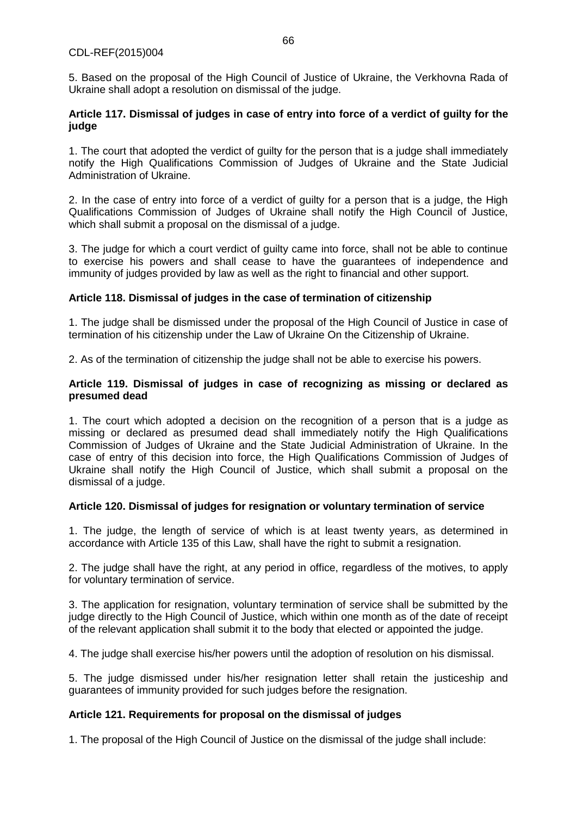5. Based on the proposal of the High Council of Justice of Ukraine, the Verkhovna Rada of Ukraine shall adopt a resolution on dismissal of the judge.

#### **Article 117. Dismissal of judges in case of entry into force of a verdict of guilty for the judge**

1. The court that adopted the verdict of guilty for the person that is a judge shall immediately notify the High Qualifications Commission of Judges of Ukraine and the State Judicial Administration of Ukraine.

2. In the case of entry into force of a verdict of guilty for a person that is a judge, the High Qualifications Commission of Judges of Ukraine shall notify the High Council of Justice, which shall submit a proposal on the dismissal of a judge.

3. The judge for which a court verdict of guilty came into force, shall not be able to continue to exercise his powers and shall cease to have the guarantees of independence and immunity of judges provided by law as well as the right to financial and other support.

## **Article 118. Dismissal of judges in the case of termination of citizenship**

1. The judge shall be dismissed under the proposal of the High Council of Justice in case of termination of his citizenship under the Law of Ukraine On the Citizenship of Ukraine.

2. As of the termination of citizenship the judge shall not be able to exercise his powers.

#### **Article 119. Dismissal of judges in case of recognizing as missing or declared as presumed dead**

1. The court which adopted a decision on the recognition of a person that is a judge as missing or declared as presumed dead shall immediately notify the High Qualifications Commission of Judges of Ukraine and the State Judicial Administration of Ukraine. In the case of entry of this decision into force, the High Qualifications Commission of Judges of Ukraine shall notify the High Council of Justice, which shall submit a proposal on the dismissal of a judge.

## **Article 120. Dismissal of judges for resignation or voluntary termination of service**

1. The judge, the length of service of which is at least twenty years, as determined in accordance with Article 135 of this Law, shall have the right to submit a resignation.

2. The judge shall have the right, at any period in office, regardless of the motives, to apply for voluntary termination of service.

3. The application for resignation, voluntary termination of service shall be submitted by the judge directly to the High Council of Justice, which within one month as of the date of receipt of the relevant application shall submit it to the body that elected or appointed the judge.

4. The judge shall exercise his/her powers until the adoption of resolution on his dismissal.

5. The judge dismissed under his/her resignation letter shall retain the justiceship and guarantees of immunity provided for such judges before the resignation.

## **Article 121. Requirements for proposal on the dismissal of judges**

1. The proposal of the High Council of Justice on the dismissal of the judge shall include: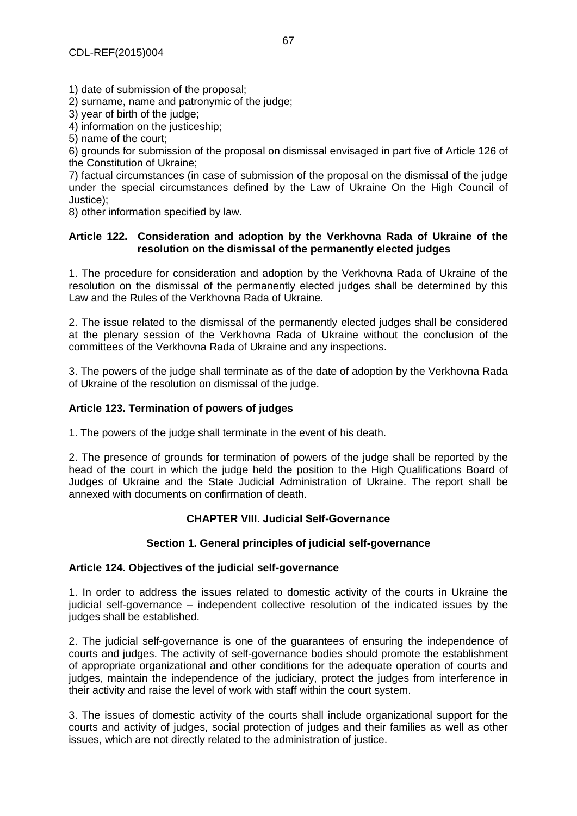1) date of submission of the proposal;

2) surname, name and patronymic of the judge;

3) year of birth of the judge;

4) information on the justiceship;

5) name of the court;

6) grounds for submission of the proposal on dismissal envisaged in part five of Article 126 of the Constitution of Ukraine;

7) factual circumstances (in case of submission of the proposal on the dismissal of the judge under the special circumstances defined by the Law of Ukraine On the High Council of Justice);

8) other information specified by law.

#### **Article 122. Consideration and adoption by the Verkhovna Rada of Ukraine of the resolution on the dismissal of the permanently elected judges**

1. The procedure for consideration and adoption by the Verkhovna Rada of Ukraine of the resolution on the dismissal of the permanently elected judges shall be determined by this Law and the Rules of the Verkhovna Rada of Ukraine.

2. The issue related to the dismissal of the permanently elected judges shall be considered at the plenary session of the Verkhovna Rada of Ukraine without the conclusion of the committees of the Verkhovna Rada of Ukraine and any inspections.

3. The powers of the judge shall terminate as of the date of adoption by the Verkhovna Rada of Ukraine of the resolution on dismissal of the judge.

## **Article 123. Termination of powers of judges**

1. The powers of the judge shall terminate in the event of his death.

2. The presence of grounds for termination of powers of the judge shall be reported by the head of the court in which the judge held the position to the High Qualifications Board of Judges of Ukraine and the State Judicial Administration of Ukraine. The report shall be annexed with documents on confirmation of death.

## **CHAPTER VIII. Judicial Self-Governance**

#### **Section 1. General principles of judicial self-governance**

#### **Article 124. Objectives of the judicial self-governance**

1. In order to address the issues related to domestic activity of the courts in Ukraine the judicial self-governance – independent collective resolution of the indicated issues by the judges shall be established.

2. The judicial self-governance is one of the guarantees of ensuring the independence of courts and judges. The activity of self-governance bodies should promote the establishment of appropriate organizational and other conditions for the adequate operation of courts and judges, maintain the independence of the judiciary, protect the judges from interference in their activity and raise the level of work with staff within the court system.

3. The issues of domestic activity of the courts shall include organizational support for the courts and activity of judges, social protection of judges and their families as well as other issues, which are not directly related to the administration of justice.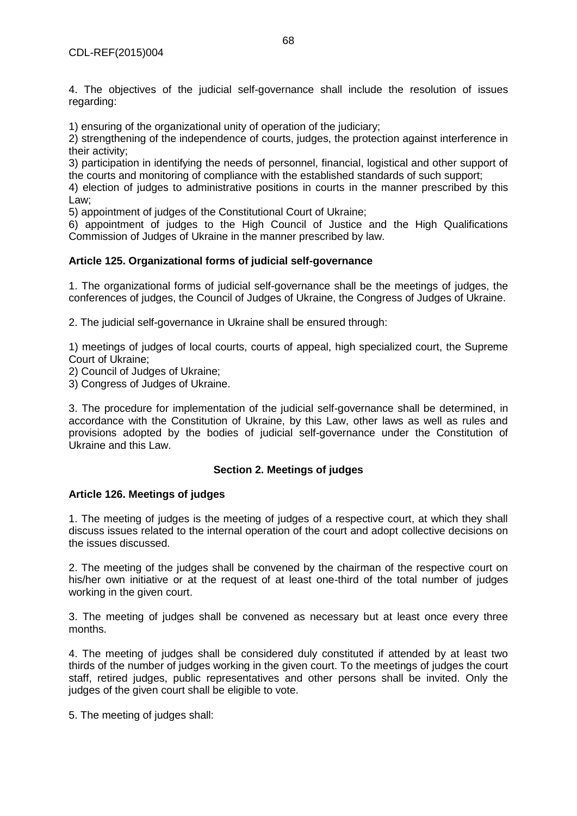4. The objectives of the judicial self-governance shall include the resolution of issues regarding:

1) ensuring of the organizational unity of operation of the judiciary;

2) strengthening of the independence of courts, judges, the protection against interference in their activity;

3) participation in identifying the needs of personnel, financial, logistical and other support of the courts and monitoring of compliance with the established standards of such support;

4) election of judges to administrative positions in courts in the manner prescribed by this Law;

5) appointment of judges of the Constitutional Court of Ukraine;

6) appointment of judges to the High Council of Justice and the High Qualifications Commission of Judges of Ukraine in the manner prescribed by law.

#### **Article 125. Organizational forms of judicial self-governance**

1. The organizational forms of judicial self-governance shall be the meetings of judges, the conferences of judges, the Council of Judges of Ukraine, the Congress of Judges of Ukraine.

2. The judicial self-governance in Ukraine shall be ensured through:

1) meetings of judges of local courts, courts of appeal, high specialized court, the Supreme Court of Ukraine;

2) Council of Judges of Ukraine;

3) Congress of Judges of Ukraine.

3. The procedure for implementation of the judicial self-governance shall be determined, in accordance with the Constitution of Ukraine, by this Law, other laws as well as rules and provisions adopted by the bodies of judicial self-governance under the Constitution of Ukraine and this Law.

#### **Section 2. Meetings of judges**

#### **Article 126. Meetings of judges**

1. The meeting of judges is the meeting of judges of a respective court, at which they shall discuss issues related to the internal operation of the court and adopt collective decisions on the issues discussed.

2. The meeting of the judges shall be convened by the chairman of the respective court on his/her own initiative or at the request of at least one-third of the total number of judges working in the given court.

3. The meeting of judges shall be convened as necessary but at least once every three months.

4. The meeting of judges shall be considered duly constituted if attended by at least two thirds of the number of judges working in the given court. To the meetings of judges the court staff, retired judges, public representatives and other persons shall be invited. Only the judges of the given court shall be eligible to vote.

5. The meeting of judges shall: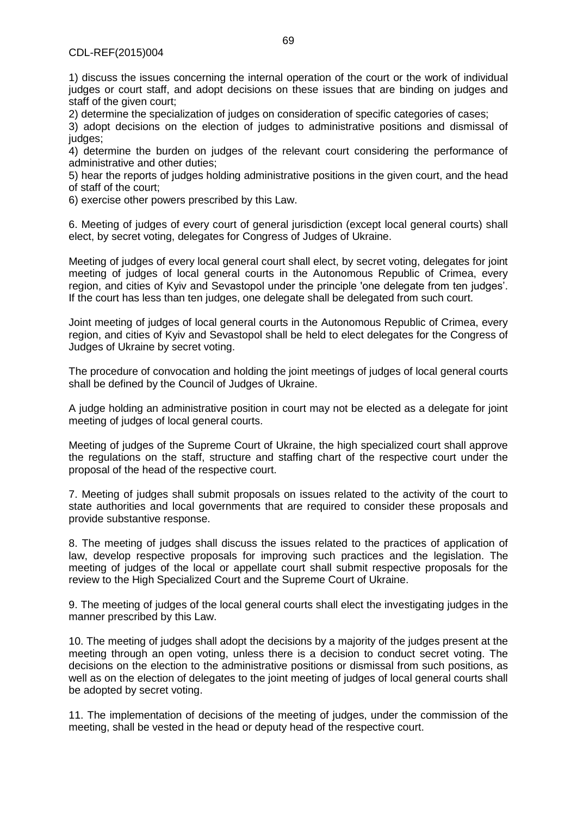1) discuss the issues concerning the internal operation of the court or the work of individual judges or court staff, and adopt decisions on these issues that are binding on judges and staff of the given court;

2) determine the specialization of judges on consideration of specific categories of cases;

3) adopt decisions on the election of judges to administrative positions and dismissal of judges:

4) determine the burden on judges of the relevant court considering the performance of administrative and other duties;

5) hear the reports of judges holding administrative positions in the given court, and the head of staff of the court;

6) exercise other powers prescribed by this Law.

6. Meeting of judges of every court of general jurisdiction (except local general courts) shall elect, by secret voting, delegates for Congress of Judges of Ukraine.

Meeting of judges of every local general court shall elect, by secret voting, delegates for joint meeting of judges of local general courts in the Autonomous Republic of Crimea, every region, and cities of Kyiv and Sevastopol under the principle 'one delegate from ten judges'. If the court has less than ten judges, one delegate shall be delegated from such court.

Joint meeting of judges of local general courts in the Autonomous Republic of Crimea, every region, and cities of Kyiv and Sevastopol shall be held to elect delegates for the Congress of Judges of Ukraine by secret voting.

The procedure of convocation and holding the joint meetings of judges of local general courts shall be defined by the Council of Judges of Ukraine.

A judge holding an administrative position in court may not be elected as a delegate for joint meeting of judges of local general courts.

Meeting of judges of the Supreme Court of Ukraine, the high specialized court shall approve the regulations on the staff, structure and staffing chart of the respective court under the proposal of the head of the respective court.

7. Meeting of judges shall submit proposals on issues related to the activity of the court to state authorities and local governments that are required to consider these proposals and provide substantive response.

8. The meeting of judges shall discuss the issues related to the practices of application of law, develop respective proposals for improving such practices and the legislation. The meeting of judges of the local or appellate court shall submit respective proposals for the review to the High Specialized Court and the Supreme Court of Ukraine.

9. The meeting of judges of the local general courts shall elect the investigating judges in the manner prescribed by this Law.

10. The meeting of judges shall adopt the decisions by a majority of the judges present at the meeting through an open voting, unless there is a decision to conduct secret voting. The decisions on the election to the administrative positions or dismissal from such positions, as well as on the election of delegates to the joint meeting of judges of local general courts shall be adopted by secret voting.

11. The implementation of decisions of the meeting of judges, under the commission of the meeting, shall be vested in the head or deputy head of the respective court.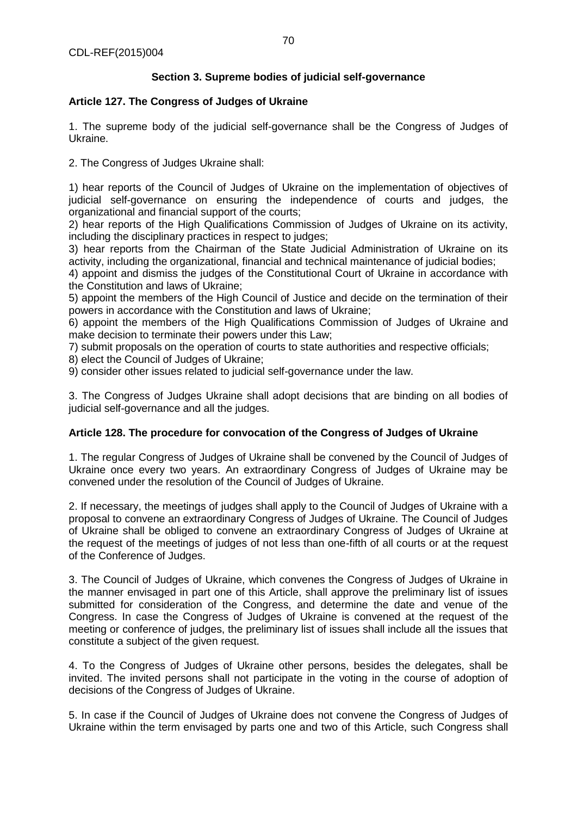# **Section 3. Supreme bodies of judicial self-governance**

## **Article 127. The Congress of Judges of Ukraine**

1. The supreme body of the judicial self-governance shall be the Congress of Judges of Ukraine.

2. The Congress of Judges Ukraine shall:

1) hear reports of the Council of Judges of Ukraine on the implementation of objectives of judicial self-governance on ensuring the independence of courts and judges, the organizational and financial support of the courts;

2) hear reports of the High Qualifications Commission of Judges of Ukraine on its activity, including the disciplinary practices in respect to judges;

3) hear reports from the Chairman of the State Judicial Administration of Ukraine on its activity, including the organizational, financial and technical maintenance of judicial bodies;

4) appoint and dismiss the judges of the Constitutional Court of Ukraine in accordance with the Constitution and laws of Ukraine;

5) appoint the members of the High Council of Justice and decide on the termination of their powers in accordance with the Constitution and laws of Ukraine;

6) appoint the members of the High Qualifications Commission of Judges of Ukraine and make decision to terminate their powers under this Law;

7) submit proposals on the operation of courts to state authorities and respective officials;

8) elect the Council of Judges of Ukraine;

9) consider other issues related to judicial self-governance under the law.

3. The Congress of Judges Ukraine shall adopt decisions that are binding on all bodies of judicial self-governance and all the judges.

## **Article 128. The procedure for convocation of the Congress of Judges of Ukraine**

1. The regular Congress of Judges of Ukraine shall be convened by the Council of Judges of Ukraine once every two years. An extraordinary Congress of Judges of Ukraine may be convened under the resolution of the Council of Judges of Ukraine.

2. If necessary, the meetings of judges shall apply to the Council of Judges of Ukraine with a proposal to convene an extraordinary Congress of Judges of Ukraine. The Council of Judges of Ukraine shall be obliged to convene an extraordinary Congress of Judges of Ukraine at the request of the meetings of judges of not less than one-fifth of all courts or at the request of the Conference of Judges.

3. The Council of Judges of Ukraine, which convenes the Congress of Judges of Ukraine in the manner envisaged in part one of this Article, shall approve the preliminary list of issues submitted for consideration of the Congress, and determine the date and venue of the Congress. In case the Congress of Judges of Ukraine is convened at the request of the meeting or conference of judges, the preliminary list of issues shall include all the issues that constitute a subject of the given request.

4. To the Congress of Judges of Ukraine other persons, besides the delegates, shall be invited. The invited persons shall not participate in the voting in the course of adoption of decisions of the Congress of Judges of Ukraine.

5. In case if the Council of Judges of Ukraine does not convene the Congress of Judges of Ukraine within the term envisaged by parts one and two of this Article, such Congress shall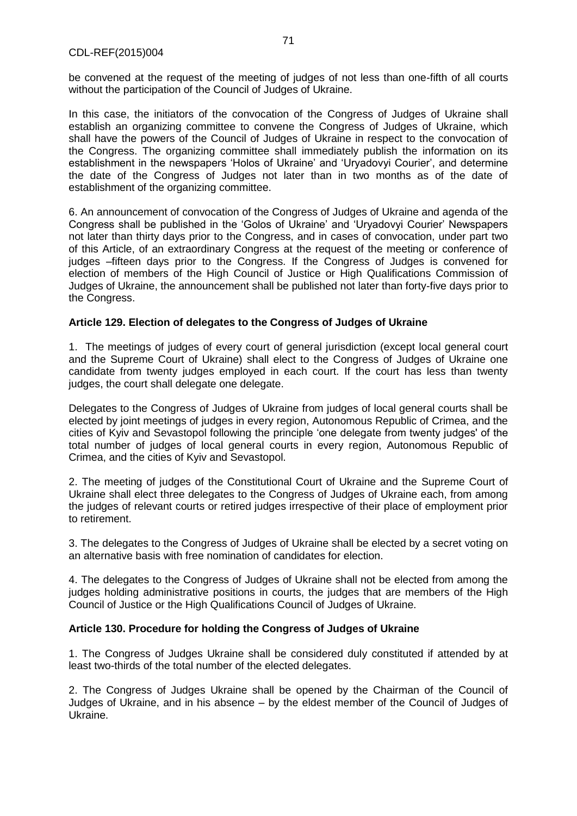be convened at the request of the meeting of judges of not less than one-fifth of all courts without the participation of the Council of Judges of Ukraine.

In this case, the initiators of the convocation of the Congress of Judges of Ukraine shall establish an organizing committee to convene the Congress of Judges of Ukraine, which shall have the powers of the Council of Judges of Ukraine in respect to the convocation of the Congress. The organizing committee shall immediately publish the information on its establishment in the newspapers 'Holos of Ukraine' and 'Uryadovyi Courier', and determine the date of the Congress of Judges not later than in two months as of the date of establishment of the organizing committee.

6. An announcement of convocation of the Congress of Judges of Ukraine and agenda of the Congress shall be published in the 'Golos of Ukraine' and 'Uryadovyi Courier' Newspapers not later than thirty days prior to the Congress, and in cases of convocation, under part two of this Article, of an extraordinary Congress at the request of the meeting or conference of judges –fifteen days prior to the Congress. If the Congress of Judges is convened for election of members of the High Council of Justice or High Qualifications Commission of Judges of Ukraine, the announcement shall be published not later than forty-five days prior to the Congress.

#### **Article 129. Election of delegates to the Congress of Judges of Ukraine**

1. The meetings of judges of every court of general jurisdiction (except local general court and the Supreme Court of Ukraine) shall elect to the Congress of Judges of Ukraine one candidate from twenty judges employed in each court. If the court has less than twenty judges, the court shall delegate one delegate.

Delegates to the Congress of Judges of Ukraine from judges of local general courts shall be elected by joint meetings of judges in every region, Autonomous Republic of Crimea, and the cities of Kyiv and Sevastopol following the principle 'one delegate from twenty judges' of the total number of judges of local general courts in every region, Autonomous Republic of Crimea, and the cities of Kyiv and Sevastopol.

2. The meeting of judges of the Constitutional Court of Ukraine and the Supreme Court of Ukraine shall elect three delegates to the Congress of Judges of Ukraine each, from among the judges of relevant courts or retired judges irrespective of their place of employment prior to retirement.

3. The delegates to the Congress of Judges of Ukraine shall be elected by a secret voting on an alternative basis with free nomination of candidates for election.

4. The delegates to the Congress of Judges of Ukraine shall not be elected from among the judges holding administrative positions in courts, the judges that are members of the High Council of Justice or the High Qualifications Council of Judges of Ukraine.

## **Article 130. Procedure for holding the Congress of Judges of Ukraine**

1. The Congress of Judges Ukraine shall be considered duly constituted if attended by at least two-thirds of the total number of the elected delegates.

2. The Congress of Judges Ukraine shall be opened by the Chairman of the Council of Judges of Ukraine, and in his absence – by the eldest member of the Council of Judges of Ukraine.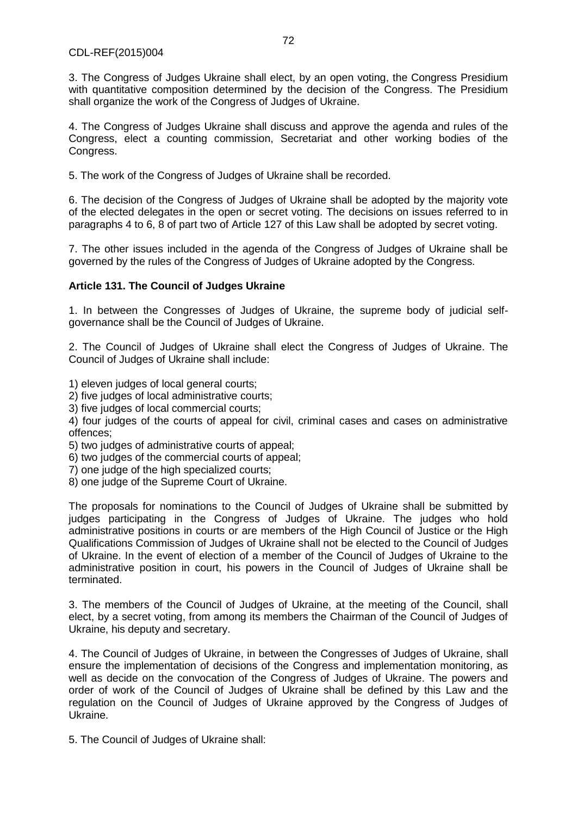3. The Congress of Judges Ukraine shall elect, by an open voting, the Congress Presidium with quantitative composition determined by the decision of the Congress. The Presidium shall organize the work of the Congress of Judges of Ukraine.

4. The Congress of Judges Ukraine shall discuss and approve the agenda and rules of the Congress, elect a counting commission, Secretariat and other working bodies of the Congress.

5. The work of the Congress of Judges of Ukraine shall be recorded.

6. The decision of the Congress of Judges of Ukraine shall be adopted by the majority vote of the elected delegates in the open or secret voting. The decisions on issues referred to in paragraphs 4 to 6, 8 of part two of Article 127 of this Law shall be adopted by secret voting.

7. The other issues included in the agenda of the Congress of Judges of Ukraine shall be governed by the rules of the Congress of Judges of Ukraine adopted by the Congress.

## **Article 131. The Council of Judges Ukraine**

1. In between the Congresses of Judges of Ukraine, the supreme body of judicial selfgovernance shall be the Council of Judges of Ukraine.

2. The Council of Judges of Ukraine shall elect the Congress of Judges of Ukraine. The Council of Judges of Ukraine shall include:

- 1) eleven judges of local general courts;
- 2) five judges of local administrative courts;
- 3) five judges of local commercial courts;

4) four judges of the courts of appeal for civil, criminal cases and cases on administrative offences;

5) two judges of administrative courts of appeal;

- 6) two judges of the commercial courts of appeal;
- 7) one judge of the high specialized courts;
- 8) one judge of the Supreme Court of Ukraine.

The proposals for nominations to the Council of Judges of Ukraine shall be submitted by judges participating in the Congress of Judges of Ukraine. The judges who hold administrative positions in courts or are members of the High Council of Justice or the High Qualifications Commission of Judges of Ukraine shall not be elected to the Council of Judges of Ukraine. In the event of election of a member of the Council of Judges of Ukraine to the administrative position in court, his powers in the Council of Judges of Ukraine shall be terminated.

3. The members of the Council of Judges of Ukraine, at the meeting of the Council, shall elect, by a secret voting, from among its members the Chairman of the Council of Judges of Ukraine, his deputy and secretary.

4. The Council of Judges of Ukraine, in between the Congresses of Judges of Ukraine, shall ensure the implementation of decisions of the Congress and implementation monitoring, as well as decide on the convocation of the Congress of Judges of Ukraine. The powers and order of work of the Council of Judges of Ukraine shall be defined by this Law and the regulation on the Council of Judges of Ukraine approved by the Congress of Judges of Ukraine.

5. The Council of Judges of Ukraine shall: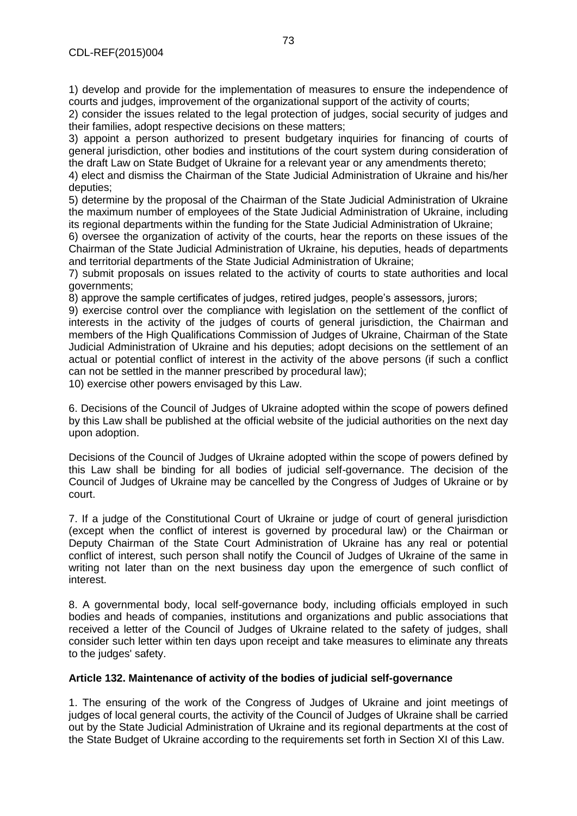1) develop and provide for the implementation of measures to ensure the independence of courts and judges, improvement of the organizational support of the activity of courts;

2) consider the issues related to the legal protection of judges, social security of judges and their families, adopt respective decisions on these matters;

3) appoint a person authorized to present budgetary inquiries for financing of courts of general jurisdiction, other bodies and institutions of the court system during consideration of the draft Law on State Budget of Ukraine for a relevant year or any amendments thereto;

4) elect and dismiss the Chairman of the State Judicial Administration of Ukraine and his/her deputies;

5) determine by the proposal of the Chairman of the State Judicial Administration of Ukraine the maximum number of employees of the State Judicial Administration of Ukraine, including its regional departments within the funding for the State Judicial Administration of Ukraine;

6) oversee the organization of activity of the courts, hear the reports on these issues of the Chairman of the State Judicial Administration of Ukraine, his deputies, heads of departments and territorial departments of the State Judicial Administration of Ukraine;

7) submit proposals on issues related to the activity of courts to state authorities and local governments;

8) approve the sample certificates of judges, retired judges, people's assessors, jurors;

9) exercise control over the compliance with legislation on the settlement of the conflict of interests in the activity of the judges of courts of general jurisdiction, the Chairman and members of the High Qualifications Commission of Judges of Ukraine, Chairman of the State Judicial Administration of Ukraine and his deputies; adopt decisions on the settlement of an actual or potential conflict of interest in the activity of the above persons (if such a conflict can not be settled in the manner prescribed by procedural law);

10) exercise other powers envisaged by this Law.

6. Decisions of the Council of Judges of Ukraine adopted within the scope of powers defined by this Law shall be published at the official website of the judicial authorities on the next day upon adoption.

Decisions of the Council of Judges of Ukraine adopted within the scope of powers defined by this Law shall be binding for all bodies of judicial self-governance. The decision of the Council of Judges of Ukraine may be cancelled by the Congress of Judges of Ukraine or by court.

7. If a judge of the Constitutional Court of Ukraine or judge of court of general jurisdiction (except when the conflict of interest is governed by procedural law) or the Chairman or Deputy Chairman of the State Court Administration of Ukraine has any real or potential conflict of interest, such person shall notify the Council of Judges of Ukraine of the same in writing not later than on the next business day upon the emergence of such conflict of interest.

8. A governmental body, local self-governance body, including officials employed in such bodies and heads of companies, institutions and organizations and public associations that received a letter of the Council of Judges of Ukraine related to the safety of judges, shall consider such letter within ten days upon receipt and take measures to eliminate any threats to the judges' safety.

# **Article 132. Maintenance of activity of the bodies of judicial self-governance**

1. The ensuring of the work of the Congress of Judges of Ukraine and joint meetings of judges of local general courts, the activity of the Council of Judges of Ukraine shall be carried out by the State Judicial Administration of Ukraine and its regional departments at the cost of the State Budget of Ukraine according to the requirements set forth in Section XI of this Law.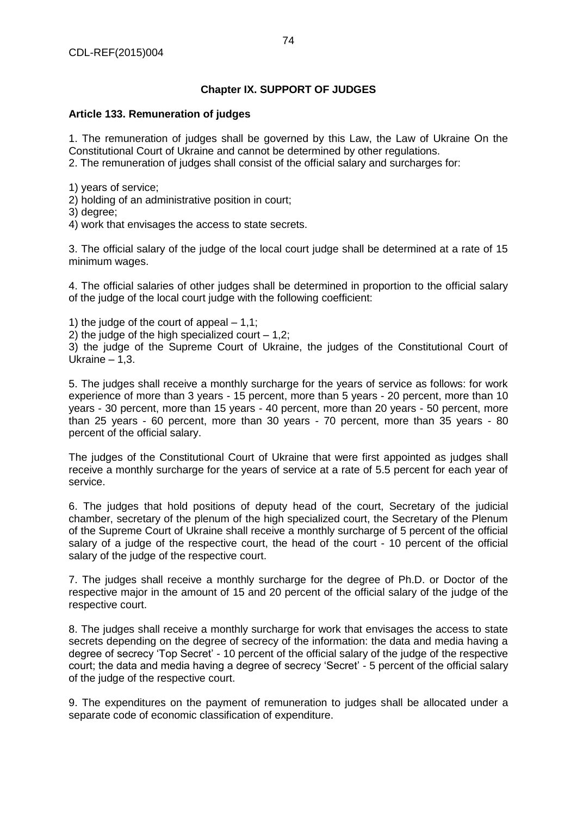# **Chapter IX. SUPPORT OF JUDGES**

# **Article 133. Remuneration of judges**

1. The remuneration of judges shall be governed by this Law, the Law of Ukraine On the Constitutional Court of Ukraine and cannot be determined by other regulations.

2. The remuneration of judges shall consist of the official salary and surcharges for:

1) years of service;

2) holding of an administrative position in court;

3) degree;

4) work that envisages the access to state secrets.

3. The official salary of the judge of the local court judge shall be determined at a rate of 15 minimum wages.

4. The official salaries of other judges shall be determined in proportion to the official salary of the judge of the local court judge with the following coefficient:

1) the judge of the court of appeal  $-1,1$ ;

2) the judge of the high specialized court  $-1.2$ ;

3) the judge of the Supreme Court of Ukraine, the judges of the Constitutional Court of Ukraine  $-1,3$ .

5. The judges shall receive a monthly surcharge for the years of service as follows: for work experience of more than 3 years - 15 percent, more than 5 years - 20 percent, more than 10 years - 30 percent, more than 15 years - 40 percent, more than 20 years - 50 percent, more than 25 years - 60 percent, more than 30 years - 70 percent, more than 35 years - 80 percent of the official salary.

The judges of the Constitutional Court of Ukraine that were first appointed as judges shall receive a monthly surcharge for the years of service at a rate of 5.5 percent for each year of service.

6. The judges that hold positions of deputy head of the court, Secretary of the judicial chamber, secretary of the plenum of the high specialized court, the Secretary of the Plenum of the Supreme Court of Ukraine shall receive a monthly surcharge of 5 percent of the official salary of a judge of the respective court, the head of the court - 10 percent of the official salary of the judge of the respective court.

7. The judges shall receive a monthly surcharge for the degree of Ph.D. or Doctor of the respective major in the amount of 15 and 20 percent of the official salary of the judge of the respective court.

8. The judges shall receive a monthly surcharge for work that envisages the access to state secrets depending on the degree of secrecy of the information: the data and media having a degree of secrecy 'Top Secret' - 10 percent of the official salary of the judge of the respective court; the data and media having a degree of secrecy 'Secret' - 5 percent of the official salary of the judge of the respective court.

9. The expenditures on the payment of remuneration to judges shall be allocated under a separate code of economic classification of expenditure.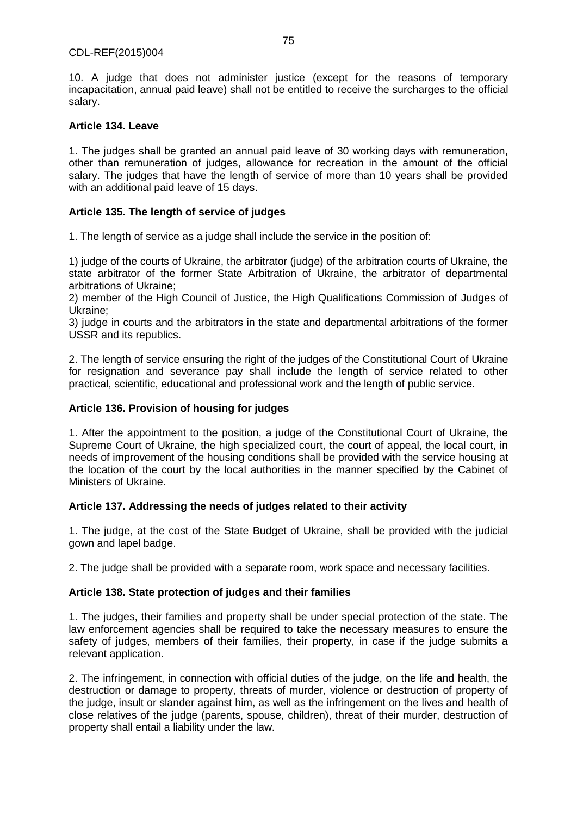10. A judge that does not administer justice (except for the reasons of temporary incapacitation, annual paid leave) shall not be entitled to receive the surcharges to the official salary.

# **Article 134. Leave**

1. The judges shall be granted an annual paid leave of 30 working days with remuneration, other than remuneration of judges, allowance for recreation in the amount of the official salary. The judges that have the length of service of more than 10 years shall be provided with an additional paid leave of 15 days.

# **Article 135. The length of service of judges**

1. The length of service as a judge shall include the service in the position of:

1) judge of the courts of Ukraine, the arbitrator (judge) of the arbitration courts of Ukraine, the state arbitrator of the former State Arbitration of Ukraine, the arbitrator of departmental arbitrations of Ukraine;

2) member of the High Council of Justice, the High Qualifications Commission of Judges of Ukraine;

3) judge in courts and the arbitrators in the state and departmental arbitrations of the former USSR and its republics.

2. The length of service ensuring the right of the judges of the Constitutional Court of Ukraine for resignation and severance pay shall include the length of service related to other practical, scientific, educational and professional work and the length of public service.

# **Article 136. Provision of housing for judges**

1. After the appointment to the position, a judge of the Constitutional Court of Ukraine, the Supreme Court of Ukraine, the high specialized court, the court of appeal, the local court, in needs of improvement of the housing conditions shall be provided with the service housing at the location of the court by the local authorities in the manner specified by the Cabinet of Ministers of Ukraine.

# **Article 137. Addressing the needs of judges related to their activity**

1. The judge, at the cost of the State Budget of Ukraine, shall be provided with the judicial gown and lapel badge.

2. The judge shall be provided with a separate room, work space and necessary facilities.

# **Article 138. State protection of judges and their families**

1. The judges, their families and property shall be under special protection of the state. The law enforcement agencies shall be required to take the necessary measures to ensure the safety of judges, members of their families, their property, in case if the judge submits a relevant application.

2. The infringement, in connection with official duties of the judge, on the life and health, the destruction or damage to property, threats of murder, violence or destruction of property of the judge, insult or slander against him, as well as the infringement on the lives and health of close relatives of the judge (parents, spouse, children), threat of their murder, destruction of property shall entail a liability under the law.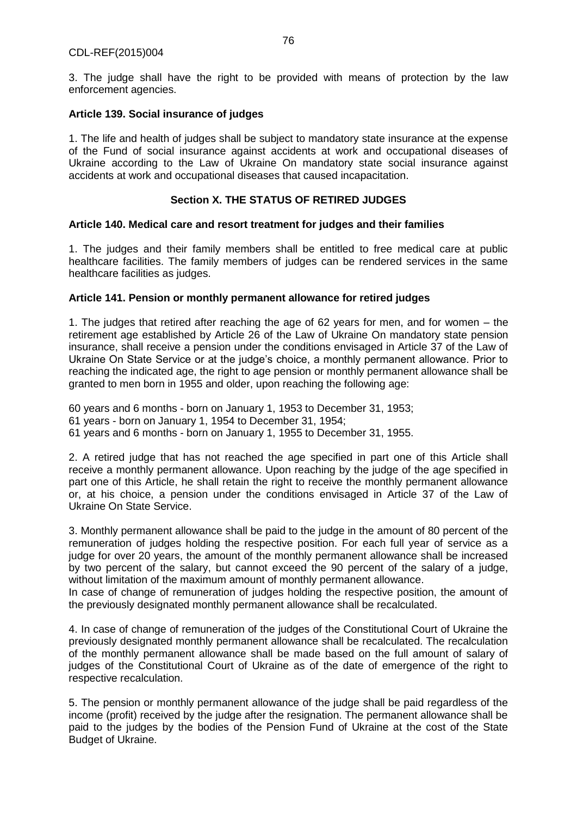3. The judge shall have the right to be provided with means of protection by the law enforcement agencies.

## **Article 139. Social insurance of judges**

1. The life and health of judges shall be subject to mandatory state insurance at the expense of the Fund of social insurance against accidents at work and occupational diseases of Ukraine according to the Law of Ukraine On mandatory state social insurance against accidents at work and occupational diseases that caused incapacitation.

# **Section X. THE STATUS OF RETIRED JUDGES**

## **Article 140. Medical care and resort treatment for judges and their families**

1. The judges and their family members shall be entitled to free medical care at public healthcare facilities. The family members of judges can be rendered services in the same healthcare facilities as judges.

## **Article 141. Pension or monthly permanent allowance for retired judges**

1. The judges that retired after reaching the age of 62 years for men, and for women – the retirement age established by Article 26 of the Law of Ukraine On mandatory state pension insurance, shall receive a pension under the conditions envisaged in Article 37 of the Law of Ukraine On State Service or at the judge's choice, a monthly permanent allowance. Prior to reaching the indicated age, the right to age pension or monthly permanent allowance shall be granted to men born in 1955 and older, upon reaching the following age:

60 years and 6 months - born on January 1, 1953 to December 31, 1953; 61 years - born on January 1, 1954 to December 31, 1954; 61 years and 6 months - born on January 1, 1955 to December 31, 1955.

2. A retired judge that has not reached the age specified in part one of this Article shall receive a monthly permanent allowance. Upon reaching by the judge of the age specified in part one of this Article, he shall retain the right to receive the monthly permanent allowance or, at his choice, a pension under the conditions envisaged in Article 37 of the Law of Ukraine On State Service.

3. Monthly permanent allowance shall be paid to the judge in the amount of 80 percent of the remuneration of judges holding the respective position. For each full year of service as a judge for over 20 years, the amount of the monthly permanent allowance shall be increased by two percent of the salary, but cannot exceed the 90 percent of the salary of a judge, without limitation of the maximum amount of monthly permanent allowance.

In case of change of remuneration of judges holding the respective position, the amount of the previously designated monthly permanent allowance shall be recalculated.

4. In case of change of remuneration of the judges of the Constitutional Court of Ukraine the previously designated monthly permanent allowance shall be recalculated. The recalculation of the monthly permanent allowance shall be made based on the full amount of salary of judges of the Constitutional Court of Ukraine as of the date of emergence of the right to respective recalculation.

5. The pension or monthly permanent allowance of the judge shall be paid regardless of the income (profit) received by the judge after the resignation. The permanent allowance shall be paid to the judges by the bodies of the Pension Fund of Ukraine at the cost of the State Budget of Ukraine.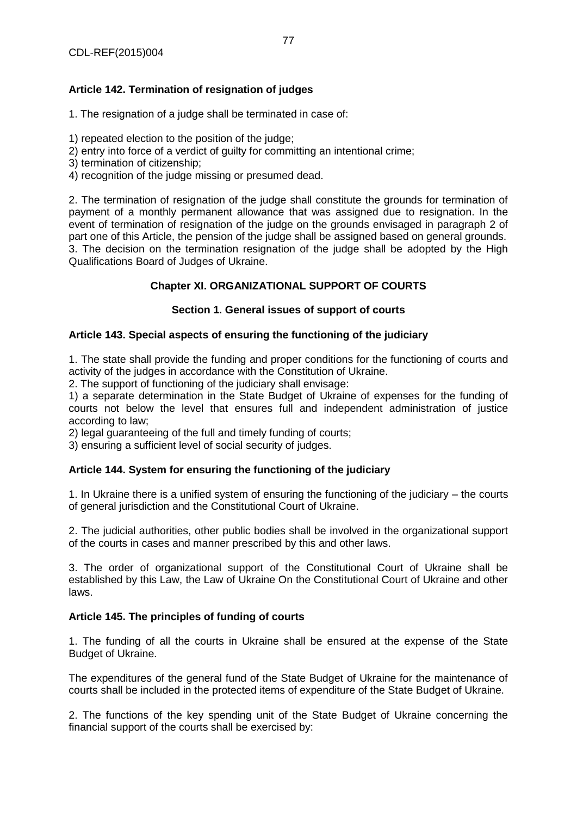# **Article 142. Termination of resignation of judges**

1. The resignation of a judge shall be terminated in case of:

- 1) repeated election to the position of the judge;
- 2) entry into force of a verdict of guilty for committing an intentional crime;
- 3) termination of citizenship;
- 4) recognition of the judge missing or presumed dead.

2. The termination of resignation of the judge shall constitute the grounds for termination of payment of a monthly permanent allowance that was assigned due to resignation. In the event of termination of resignation of the judge on the grounds envisaged in paragraph 2 of part one of this Article, the pension of the judge shall be assigned based on general grounds. 3. The decision on the termination resignation of the judge shall be adopted by the High Qualifications Board of Judges of Ukraine.

# **Chapter XI. ORGANIZATIONAL SUPPORT OF COURTS**

# **Section 1. General issues of support of courts**

# **Article 143. Special aspects of ensuring the functioning of the judiciary**

1. The state shall provide the funding and proper conditions for the functioning of courts and activity of the judges in accordance with the Constitution of Ukraine.

2. The support of functioning of the judiciary shall envisage:

1) a separate determination in the State Budget of Ukraine of expenses for the funding of courts not below the level that ensures full and independent administration of justice according to law;

2) legal guaranteeing of the full and timely funding of courts;

3) ensuring a sufficient level of social security of judges.

# **Article 144. System for ensuring the functioning of the judiciary**

1. In Ukraine there is a unified system of ensuring the functioning of the judiciary – the courts of general jurisdiction and the Constitutional Court of Ukraine.

2. The judicial authorities, other public bodies shall be involved in the organizational support of the courts in cases and manner prescribed by this and other laws.

3. The order of organizational support of the Constitutional Court of Ukraine shall be established by this Law, the Law of Ukraine On the Constitutional Court of Ukraine and other laws.

#### **Article 145. The principles of funding of courts**

1. The funding of all the courts in Ukraine shall be ensured at the expense of the State Budget of Ukraine.

The expenditures of the general fund of the State Budget of Ukraine for the maintenance of courts shall be included in the protected items of expenditure of the State Budget of Ukraine.

2. The functions of the key spending unit of the State Budget of Ukraine concerning the financial support of the courts shall be exercised by: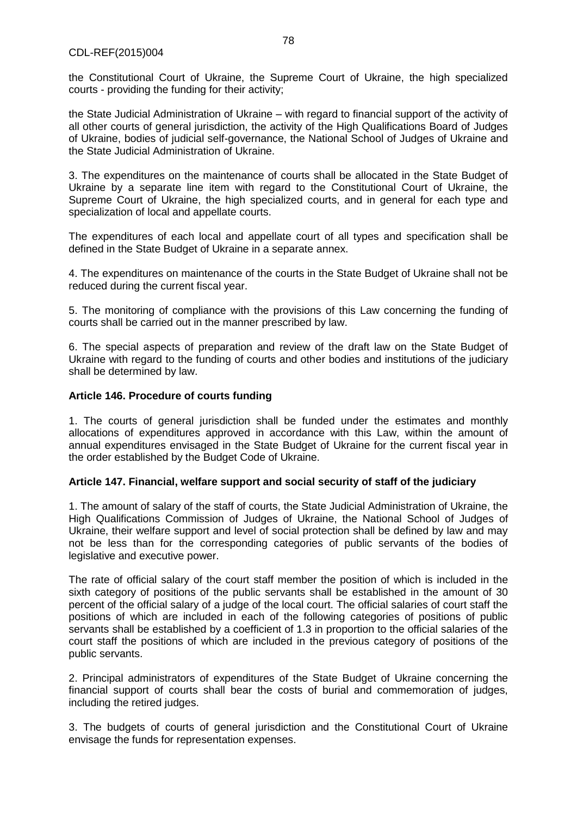#### CDL-REF(2015)004

the Constitutional Court of Ukraine, the Supreme Court of Ukraine, the high specialized courts - providing the funding for their activity;

the State Judicial Administration of Ukraine – with regard to financial support of the activity of all other courts of general jurisdiction, the activity of the High Qualifications Board of Judges of Ukraine, bodies of judicial self-governance, the National School of Judges of Ukraine and the State Judicial Administration of Ukraine.

3. The expenditures on the maintenance of courts shall be allocated in the State Budget of Ukraine by a separate line item with regard to the Constitutional Court of Ukraine, the Supreme Court of Ukraine, the high specialized courts, and in general for each type and specialization of local and appellate courts.

The expenditures of each local and appellate court of all types and specification shall be defined in the State Budget of Ukraine in a separate annex.

4. The expenditures on maintenance of the courts in the State Budget of Ukraine shall not be reduced during the current fiscal year.

5. The monitoring of compliance with the provisions of this Law concerning the funding of courts shall be carried out in the manner prescribed by law.

6. The special aspects of preparation and review of the draft law on the State Budget of Ukraine with regard to the funding of courts and other bodies and institutions of the judiciary shall be determined by law.

## **Article 146. Procedure of courts funding**

1. The courts of general jurisdiction shall be funded under the estimates and monthly allocations of expenditures approved in accordance with this Law, within the amount of annual expenditures envisaged in the State Budget of Ukraine for the current fiscal year in the order established by the Budget Code of Ukraine.

#### **Article 147. Financial, welfare support and social security of staff of the judiciary**

1. The amount of salary of the staff of courts, the State Judicial Administration of Ukraine, the High Qualifications Commission of Judges of Ukraine, the National School of Judges of Ukraine, their welfare support and level of social protection shall be defined by law and may not be less than for the corresponding categories of public servants of the bodies of legislative and executive power.

The rate of official salary of the court staff member the position of which is included in the sixth category of positions of the public servants shall be established in the amount of 30 percent of the official salary of a judge of the local court. The official salaries of court staff the positions of which are included in each of the following categories of positions of public servants shall be established by a coefficient of 1.3 in proportion to the official salaries of the court staff the positions of which are included in the previous category of positions of the public servants.

2. Principal administrators of expenditures of the State Budget of Ukraine concerning the financial support of courts shall bear the costs of burial and commemoration of judges, including the retired judges.

3. The budgets of courts of general jurisdiction and the Constitutional Court of Ukraine envisage the funds for representation expenses.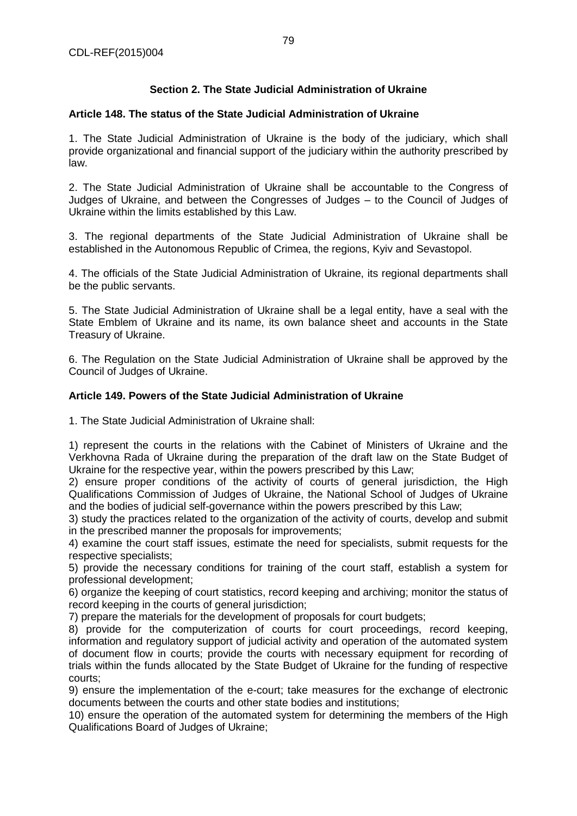# **Section 2. The State Judicial Administration of Ukraine**

# **Article 148. The status of the State Judicial Administration of Ukraine**

1. The State Judicial Administration of Ukraine is the body of the judiciary, which shall provide organizational and financial support of the judiciary within the authority prescribed by law.

2. The State Judicial Administration of Ukraine shall be accountable to the Congress of Judges of Ukraine, and between the Congresses of Judges – to the Council of Judges of Ukraine within the limits established by this Law.

3. The regional departments of the State Judicial Administration of Ukraine shall be established in the Autonomous Republic of Crimea, the regions, Kyiv and Sevastopol.

4. The officials of the State Judicial Administration of Ukraine, its regional departments shall be the public servants.

5. The State Judicial Administration of Ukraine shall be a legal entity, have a seal with the State Emblem of Ukraine and its name, its own balance sheet and accounts in the State Treasury of Ukraine.

6. The Regulation on the State Judicial Administration of Ukraine shall be approved by the Council of Judges of Ukraine.

## **Article 149. Powers of the State Judicial Administration of Ukraine**

1. The State Judicial Administration of Ukraine shall:

1) represent the courts in the relations with the Cabinet of Ministers of Ukraine and the Verkhovna Rada of Ukraine during the preparation of the draft law on the State Budget of Ukraine for the respective year, within the powers prescribed by this Law;

2) ensure proper conditions of the activity of courts of general jurisdiction, the High Qualifications Commission of Judges of Ukraine, the National School of Judges of Ukraine and the bodies of judicial self-governance within the powers prescribed by this Law;

3) study the practices related to the organization of the activity of courts, develop and submit in the prescribed manner the proposals for improvements;

4) examine the court staff issues, estimate the need for specialists, submit requests for the respective specialists;

5) provide the necessary conditions for training of the court staff, establish a system for professional development;

6) organize the keeping of court statistics, record keeping and archiving; monitor the status of record keeping in the courts of general jurisdiction;

7) prepare the materials for the development of proposals for court budgets;

8) provide for the computerization of courts for court proceedings, record keeping, information and regulatory support of judicial activity and operation of the automated system of document flow in courts; provide the courts with necessary equipment for recording of trials within the funds allocated by the State Budget of Ukraine for the funding of respective courts;

9) ensure the implementation of the e-court; take measures for the exchange of electronic documents between the courts and other state bodies and institutions;

10) ensure the operation of the automated system for determining the members of the High Qualifications Board of Judges of Ukraine;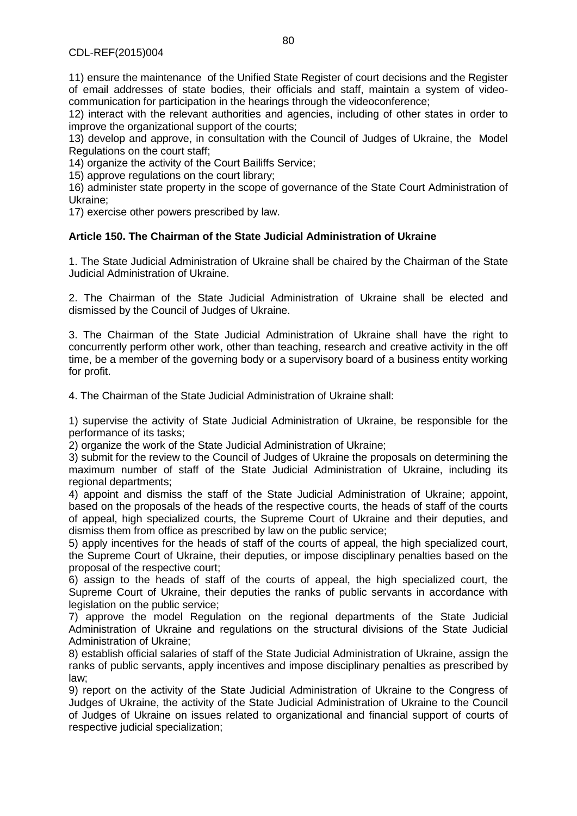11) ensure the maintenance of the Unified State Register of court decisions and the Register of email addresses of state bodies, their officials and staff, maintain a system of videocommunication for participation in the hearings through the videoconference;

12) interact with the relevant authorities and agencies, including of other states in order to improve the organizational support of the courts;

13) develop and approve, in consultation with the Council of Judges of Ukraine, the Model Regulations on the court staff;

14) organize the activity of the Court Bailiffs Service;

15) approve regulations on the court library;

16) administer state property in the scope of governance of the State Court Administration of Ukraine;

17) exercise other powers prescribed by law.

# **Article 150. The Chairman of the State Judicial Administration of Ukraine**

1. The State Judicial Administration of Ukraine shall be chaired by the Chairman of the State Judicial Administration of Ukraine.

2. The Chairman of the State Judicial Administration of Ukraine shall be elected and dismissed by the Council of Judges of Ukraine.

3. The Chairman of the State Judicial Administration of Ukraine shall have the right to concurrently perform other work, other than teaching, research and creative activity in the off time, be a member of the governing body or a supervisory board of a business entity working for profit.

4. The Chairman of the State Judicial Administration of Ukraine shall:

1) supervise the activity of State Judicial Administration of Ukraine, be responsible for the performance of its tasks;

2) organize the work of the State Judicial Administration of Ukraine;

3) submit for the review to the Council of Judges of Ukraine the proposals on determining the maximum number of staff of the State Judicial Administration of Ukraine, including its regional departments;

4) appoint and dismiss the staff of the State Judicial Administration of Ukraine; appoint, based on the proposals of the heads of the respective courts, the heads of staff of the courts of appeal, high specialized courts, the Supreme Court of Ukraine and their deputies, and dismiss them from office as prescribed by law on the public service;

5) apply incentives for the heads of staff of the courts of appeal, the high specialized court, the Supreme Court of Ukraine, their deputies, or impose disciplinary penalties based on the proposal of the respective court;

6) assign to the heads of staff of the courts of appeal, the high specialized court, the Supreme Court of Ukraine, their deputies the ranks of public servants in accordance with legislation on the public service;

7) approve the model Regulation on the regional departments of the State Judicial Administration of Ukraine and regulations on the structural divisions of the State Judicial Administration of Ukraine;

8) establish official salaries of staff of the State Judicial Administration of Ukraine, assign the ranks of public servants, apply incentives and impose disciplinary penalties as prescribed by law;

9) report on the activity of the State Judicial Administration of Ukraine to the Congress of Judges of Ukraine, the activity of the State Judicial Administration of Ukraine to the Council of Judges of Ukraine on issues related to organizational and financial support of courts of respective judicial specialization;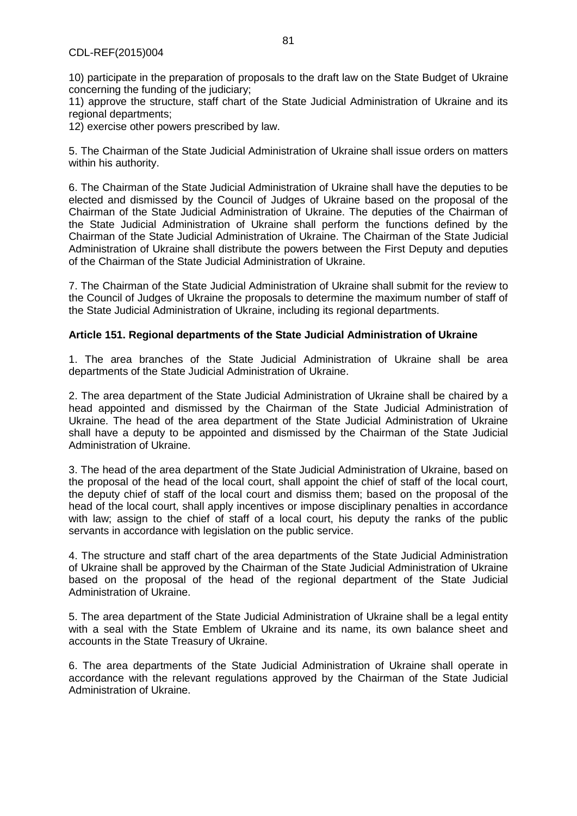10) participate in the preparation of proposals to the draft law on the State Budget of Ukraine concerning the funding of the judiciary;

11) approve the structure, staff chart of the State Judicial Administration of Ukraine and its regional departments;

12) exercise other powers prescribed by law.

5. The Chairman of the State Judicial Administration of Ukraine shall issue orders on matters within his authority.

6. The Chairman of the State Judicial Administration of Ukraine shall have the deputies to be elected and dismissed by the Council of Judges of Ukraine based on the proposal of the Chairman of the State Judicial Administration of Ukraine. The deputies of the Chairman of the State Judicial Administration of Ukraine shall perform the functions defined by the Chairman of the State Judicial Administration of Ukraine. The Chairman of the State Judicial Administration of Ukraine shall distribute the powers between the First Deputy and deputies of the Chairman of the State Judicial Administration of Ukraine.

7. The Chairman of the State Judicial Administration of Ukraine shall submit for the review to the Council of Judges of Ukraine the proposals to determine the maximum number of staff of the State Judicial Administration of Ukraine, including its regional departments.

## **Article 151. Regional departments of the State Judicial Administration of Ukraine**

1. The area branches of the State Judicial Administration of Ukraine shall be area departments of the State Judicial Administration of Ukraine.

2. The area department of the State Judicial Administration of Ukraine shall be chaired by a head appointed and dismissed by the Chairman of the State Judicial Administration of Ukraine. The head of the area department of the State Judicial Administration of Ukraine shall have a deputy to be appointed and dismissed by the Chairman of the State Judicial Administration of Ukraine.

3. The head of the area department of the State Judicial Administration of Ukraine, based on the proposal of the head of the local court, shall appoint the chief of staff of the local court, the deputy chief of staff of the local court and dismiss them; based on the proposal of the head of the local court, shall apply incentives or impose disciplinary penalties in accordance with law; assign to the chief of staff of a local court, his deputy the ranks of the public servants in accordance with legislation on the public service.

4. The structure and staff chart of the area departments of the State Judicial Administration of Ukraine shall be approved by the Chairman of the State Judicial Administration of Ukraine based on the proposal of the head of the regional department of the State Judicial Administration of Ukraine.

5. The area department of the State Judicial Administration of Ukraine shall be a legal entity with a seal with the State Emblem of Ukraine and its name, its own balance sheet and accounts in the State Treasury of Ukraine.

6. The area departments of the State Judicial Administration of Ukraine shall operate in accordance with the relevant regulations approved by the Chairman of the State Judicial Administration of Ukraine.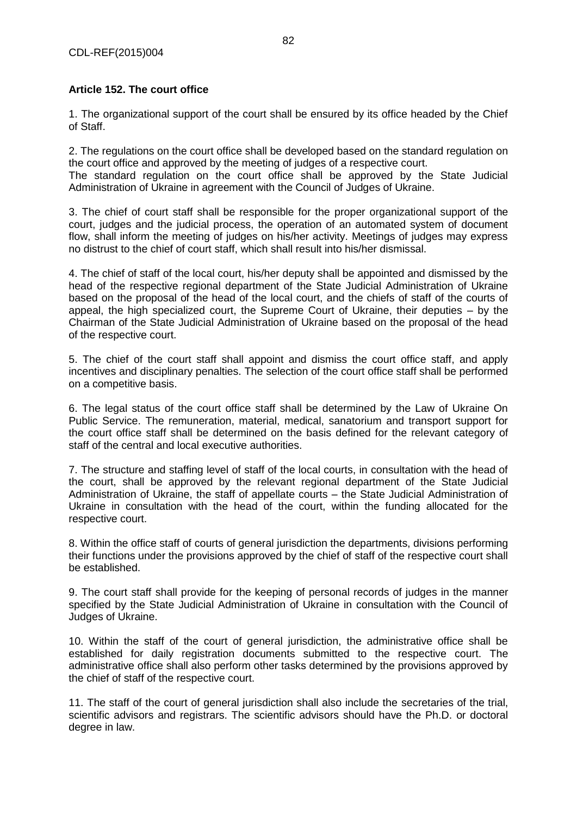# **Article 152. The court office**

1. The organizational support of the court shall be ensured by its office headed by the Chief of Staff.

2. The regulations on the court office shall be developed based on the standard regulation on the court office and approved by the meeting of judges of a respective court.

The standard regulation on the court office shall be approved by the State Judicial Administration of Ukraine in agreement with the Council of Judges of Ukraine.

3. The chief of court staff shall be responsible for the proper organizational support of the court, judges and the judicial process, the operation of an automated system of document flow, shall inform the meeting of judges on his/her activity. Meetings of judges may express no distrust to the chief of court staff, which shall result into his/her dismissal.

4. The chief of staff of the local court, his/her deputy shall be appointed and dismissed by the head of the respective regional department of the State Judicial Administration of Ukraine based on the proposal of the head of the local court, and the chiefs of staff of the courts of appeal, the high specialized court, the Supreme Court of Ukraine, their deputies – by the Chairman of the State Judicial Administration of Ukraine based on the proposal of the head of the respective court.

5. The chief of the court staff shall appoint and dismiss the court office staff, and apply incentives and disciplinary penalties. The selection of the court office staff shall be performed on a competitive basis.

6. The legal status of the court office staff shall be determined by the Law of Ukraine On Public Service. The remuneration, material, medical, sanatorium and transport support for the court office staff shall be determined on the basis defined for the relevant category of staff of the central and local executive authorities.

7. The structure and staffing level of staff of the local courts, in consultation with the head of the court, shall be approved by the relevant regional department of the State Judicial Administration of Ukraine, the staff of appellate courts – the State Judicial Administration of Ukraine in consultation with the head of the court, within the funding allocated for the respective court.

8. Within the office staff of courts of general jurisdiction the departments, divisions performing their functions under the provisions approved by the chief of staff of the respective court shall be established.

9. The court staff shall provide for the keeping of personal records of judges in the manner specified by the State Judicial Administration of Ukraine in consultation with the Council of Judges of Ukraine.

10. Within the staff of the court of general jurisdiction, the administrative office shall be established for daily registration documents submitted to the respective court. The administrative office shall also perform other tasks determined by the provisions approved by the chief of staff of the respective court.

11. The staff of the court of general jurisdiction shall also include the secretaries of the trial, scientific advisors and registrars. The scientific advisors should have the Ph.D. or doctoral degree in law.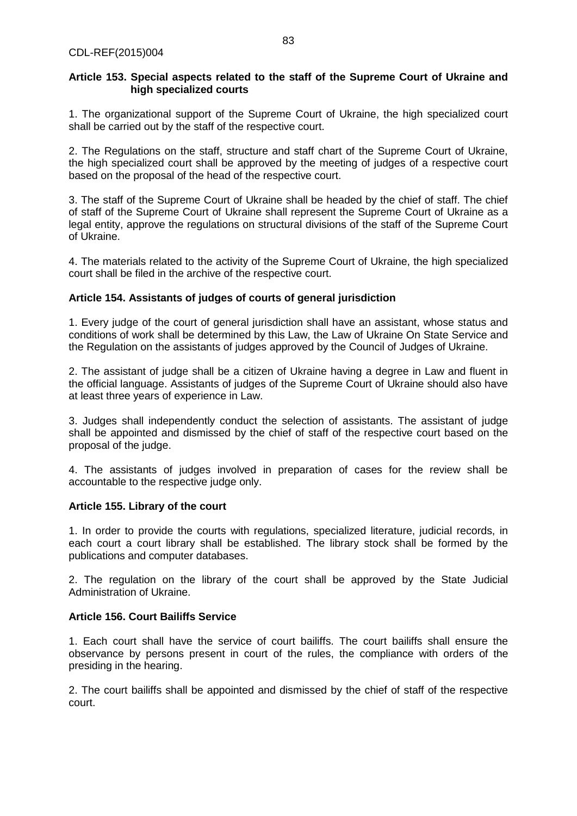## **Article 153. Special aspects related to the staff of the Supreme Court of Ukraine and high specialized courts**

1. The organizational support of the Supreme Court of Ukraine, the high specialized court shall be carried out by the staff of the respective court.

2. The Regulations on the staff, structure and staff chart of the Supreme Court of Ukraine, the high specialized court shall be approved by the meeting of judges of a respective court based on the proposal of the head of the respective court.

3. The staff of the Supreme Court of Ukraine shall be headed by the chief of staff. The chief of staff of the Supreme Court of Ukraine shall represent the Supreme Court of Ukraine as a legal entity, approve the regulations on structural divisions of the staff of the Supreme Court of Ukraine.

4. The materials related to the activity of the Supreme Court of Ukraine, the high specialized court shall be filed in the archive of the respective court.

## **Article 154. Assistants of judges of courts of general jurisdiction**

1. Every judge of the court of general jurisdiction shall have an assistant, whose status and conditions of work shall be determined by this Law, the Law of Ukraine On State Service and the Regulation on the assistants of judges approved by the Council of Judges of Ukraine.

2. The assistant of judge shall be a citizen of Ukraine having a degree in Law and fluent in the official language. Assistants of judges of the Supreme Court of Ukraine should also have at least three years of experience in Law.

3. Judges shall independently conduct the selection of assistants. The assistant of judge shall be appointed and dismissed by the chief of staff of the respective court based on the proposal of the judge.

4. The assistants of judges involved in preparation of cases for the review shall be accountable to the respective judge only.

#### **Article 155. Library of the court**

1. In order to provide the courts with regulations, specialized literature, judicial records, in each court a court library shall be established. The library stock shall be formed by the publications and computer databases.

2. The regulation on the library of the court shall be approved by the State Judicial Administration of Ukraine.

## **Article 156. Court Bailiffs Service**

1. Each court shall have the service of court bailiffs. The court bailiffs shall ensure the observance by persons present in court of the rules, the compliance with orders of the presiding in the hearing.

2. The court bailiffs shall be appointed and dismissed by the chief of staff of the respective court.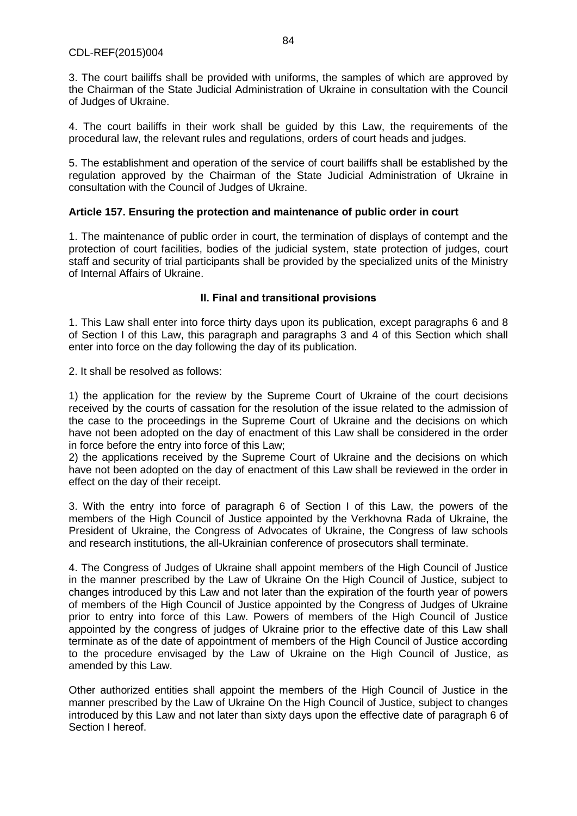3. The court bailiffs shall be provided with uniforms, the samples of which are approved by the Chairman of the State Judicial Administration of Ukraine in consultation with the Council of Judges of Ukraine.

4. The court bailiffs in their work shall be guided by this Law, the requirements of the procedural law, the relevant rules and regulations, orders of court heads and judges.

5. The establishment and operation of the service of court bailiffs shall be established by the regulation approved by the Chairman of the State Judicial Administration of Ukraine in consultation with the Council of Judges of Ukraine.

## **Article 157. Ensuring the protection and maintenance of public order in court**

1. The maintenance of public order in court, the termination of displays of contempt and the protection of court facilities, bodies of the judicial system, state protection of judges, court staff and security of trial participants shall be provided by the specialized units of the Ministry of Internal Affairs of Ukraine.

# **ІІ. Final and transitional provisions**

1. This Law shall enter into force thirty days upon its publication, except paragraphs 6 and 8 of Section I of this Law, this paragraph and paragraphs 3 and 4 of this Section which shall enter into force on the day following the day of its publication.

2. It shall be resolved as follows:

1) the application for the review by the Supreme Court of Ukraine of the court decisions received by the courts of cassation for the resolution of the issue related to the admission of the case to the proceedings in the Supreme Court of Ukraine and the decisions on which have not been adopted on the day of enactment of this Law shall be considered in the order in force before the entry into force of this Law;

2) the applications received by the Supreme Court of Ukraine and the decisions on which have not been adopted on the day of enactment of this Law shall be reviewed in the order in effect on the day of their receipt.

3. With the entry into force of paragraph 6 of Section I of this Law, the powers of the members of the High Council of Justice appointed by the Verkhovna Rada of Ukraine, the President of Ukraine, the Congress of Advocates of Ukraine, the Congress of law schools and research institutions, the all-Ukrainian conference of prosecutors shall terminate.

4. The Congress of Judges of Ukraine shall appoint members of the High Council of Justice in the manner prescribed by the Law of Ukraine On the High Council of Justice, subject to changes introduced by this Law and not later than the expiration of the fourth year of powers of members of the High Council of Justice appointed by the Congress of Judges of Ukraine prior to entry into force of this Law. Powers of members of the High Council of Justice appointed by the congress of judges of Ukraine prior to the effective date of this Law shall terminate as of the date of appointment of members of the High Council of Justice according to the procedure envisaged by the Law of Ukraine on the High Council of Justice, as amended by this Law.

Other authorized entities shall appoint the members of the High Council of Justice in the manner prescribed by the Law of Ukraine On the High Council of Justice, subject to changes introduced by this Law and not later than sixty days upon the effective date of paragraph 6 of Section I hereof.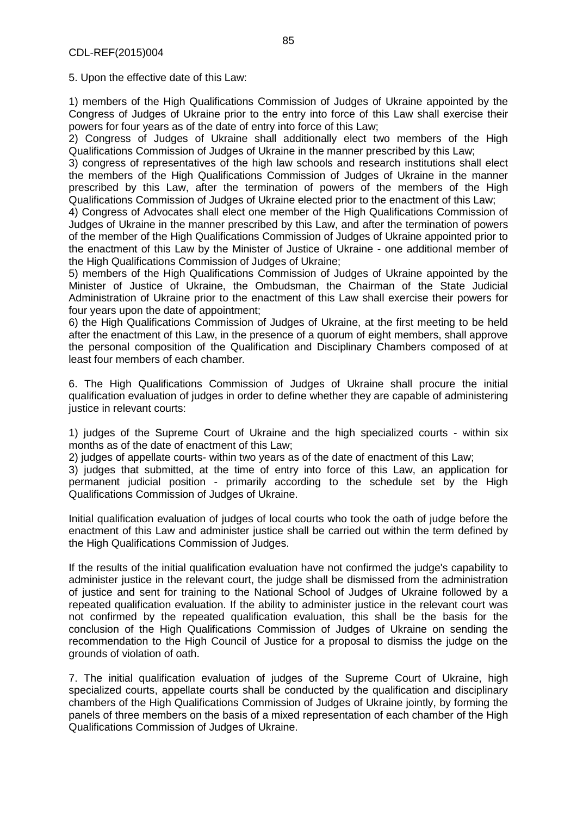5. Upon the effective date of this Law:

1) members of the High Qualifications Commission of Judges of Ukraine appointed by the Congress of Judges of Ukraine prior to the entry into force of this Law shall exercise their powers for four years as of the date of entry into force of this Law;

2) Congress of Judges of Ukraine shall additionally elect two members of the High Qualifications Commission of Judges of Ukraine in the manner prescribed by this Law;

3) congress of representatives of the high law schools and research institutions shall elect the members of the High Qualifications Commission of Judges of Ukraine in the manner prescribed by this Law, after the termination of powers of the members of the High Qualifications Commission of Judges of Ukraine elected prior to the enactment of this Law;

4) Congress of Advocates shall elect one member of the High Qualifications Commission of Judges of Ukraine in the manner prescribed by this Law, and after the termination of powers of the member of the High Qualifications Commission of Judges of Ukraine appointed prior to the enactment of this Law by the Minister of Justice of Ukraine - one additional member of the High Qualifications Commission of Judges of Ukraine;

5) members of the High Qualifications Commission of Judges of Ukraine appointed by the Minister of Justice of Ukraine, the Ombudsman, the Chairman of the State Judicial Administration of Ukraine prior to the enactment of this Law shall exercise their powers for four years upon the date of appointment;

6) the High Qualifications Commission of Judges of Ukraine, at the first meeting to be held after the enactment of this Law, in the presence of a quorum of eight members, shall approve the personal composition of the Qualification and Disciplinary Chambers composed of at least four members of each chamber*.* 

6. The High Qualifications Commission of Judges of Ukraine shall procure the initial qualification evaluation of judges in order to define whether they are capable of administering justice in relevant courts:

1) judges of the Supreme Court of Ukraine and the high specialized courts - within six months as of the date of enactment of this Law;

2) judges of appellate courts- within two years as of the date of enactment of this Law;

3) judges that submitted, at the time of entry into force of this Law, an application for permanent judicial position - primarily according to the schedule set by the High Qualifications Commission of Judges of Ukraine.

Initial qualification evaluation of judges of local courts who took the oath of judge before the enactment of this Law and administer justice shall be carried out within the term defined by the High Qualifications Commission of Judges.

If the results of the initial qualification evaluation have not confirmed the judge's capability to administer justice in the relevant court, the judge shall be dismissed from the administration of justice and sent for training to the National School of Judges of Ukraine followed by a repeated qualification evaluation. If the ability to administer justice in the relevant court was not confirmed by the repeated qualification evaluation, this shall be the basis for the conclusion of the High Qualifications Commission of Judges of Ukraine on sending the recommendation to the High Council of Justice for a proposal to dismiss the judge on the grounds of violation of oath.

7. The initial qualification evaluation of judges of the Supreme Court of Ukraine, high specialized courts, appellate courts shall be conducted by the qualification and disciplinary chambers of the High Qualifications Commission of Judges of Ukraine jointly, by forming the panels of three members on the basis of a mixed representation of each chamber of the High Qualifications Commission of Judges of Ukraine.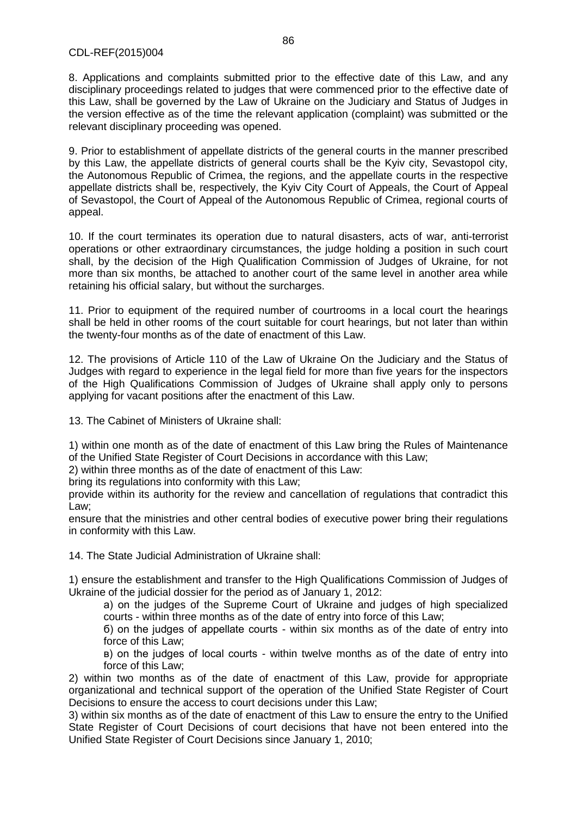8. Applications and complaints submitted prior to the effective date of this Law, and any disciplinary proceedings related to judges that were commenced prior to the effective date of this Law, shall be governed by the Law of Ukraine on the Judiciary and Status of Judges in the version effective as of the time the relevant application (complaint) was submitted or the relevant disciplinary proceeding was opened.

9. Prior to establishment of appellate districts of the general courts in the manner prescribed by this Law, the appellate districts of general courts shall be the Kyiv city, Sevastopol city, the Autonomous Republic of Crimea, the regions, and the appellate courts in the respective appellate districts shall be, respectively, the Kyiv City Court of Appeals, the Court of Appeal of Sevastopol, the Court of Appeal of the Autonomous Republic of Crimea, regional courts of appeal.

10. If the court terminates its operation due to natural disasters, acts of war, anti-terrorist operations or other extraordinary circumstances, the judge holding a position in such court shall, by the decision of the High Qualification Commission of Judges of Ukraine, for not more than six months, be attached to another court of the same level in another area while retaining his official salary, but without the surcharges.

11. Prior to equipment of the required number of courtrooms in a local court the hearings shall be held in other rooms of the court suitable for court hearings, but not later than within the twenty-four months as of the date of enactment of this Law.

12. The provisions of Article 110 of the Law of Ukraine On the Judiciary and the Status of Judges with regard to experience in the legal field for more than five years for the inspectors of the High Qualifications Commission of Judges of Ukraine shall apply only to persons applying for vacant positions after the enactment of this Law.

13. The Cabinet of Ministers of Ukraine shall:

1) within one month as of the date of enactment of this Law bring the Rules of Maintenance of the Unified State Register of Court Decisions in accordance with this Law;

2) within three months as of the date of enactment of this Law:

bring its regulations into conformity with this Law;

provide within its authority for the review and cancellation of regulations that contradict this Law;

ensure that the ministries and other central bodies of executive power bring their regulations in conformity with this Law.

14. The State Judicial Administration of Ukraine shall:

1) ensure the establishment and transfer to the High Qualifications Commission of Judges of Ukraine of the judicial dossier for the period as of January 1, 2012:

а) on the judges of the Supreme Court of Ukraine and judges of high specialized courts - within three months as of the date of entry into force of this Law;

б) on the judges of appellate courts - within six months as of the date of entry into force of this Law;

в) on the judges of local courts - within twelve months as of the date of entry into force of this Law;

2) within two months as of the date of enactment of this Law, provide for appropriate organizational and technical support of the operation of the Unified State Register of Court Decisions to ensure the access to court decisions under this Law;

3) within six months as of the date of enactment of this Law to ensure the entry to the Unified State Register of Court Decisions of court decisions that have not been entered into the Unified State Register of Court Decisions since January 1, 2010;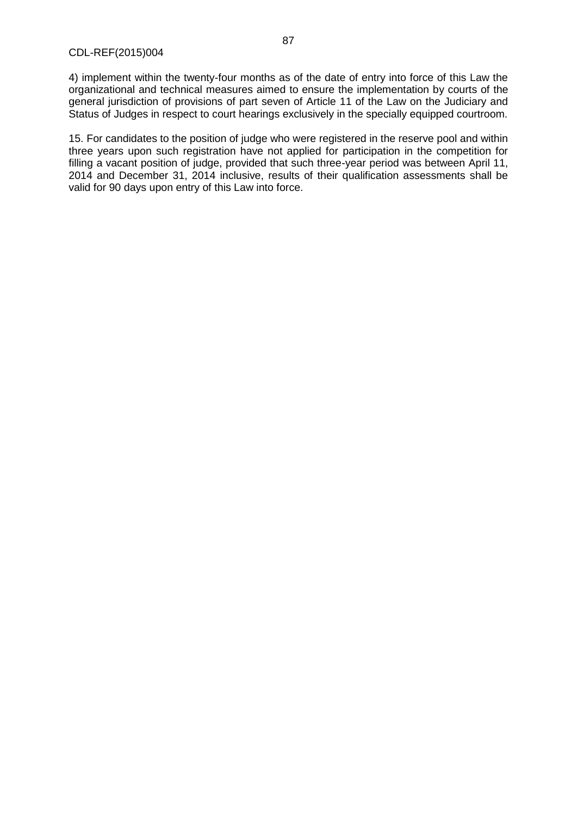4) implement within the twenty-four months as of the date of entry into force of this Law the organizational and technical measures aimed to ensure the implementation by courts of the general jurisdiction of provisions of part seven of Article 11 of the Law on the Judiciary and Status of Judges in respect to court hearings exclusively in the specially equipped courtroom.

15. For candidates to the position of judge who were registered in the reserve pool and within three years upon such registration have not applied for participation in the competition for filling a vacant position of judge, provided that such three-year period was between April 11, 2014 and December 31, 2014 inclusive, results of their qualification assessments shall be valid for 90 days upon entry of this Law into force.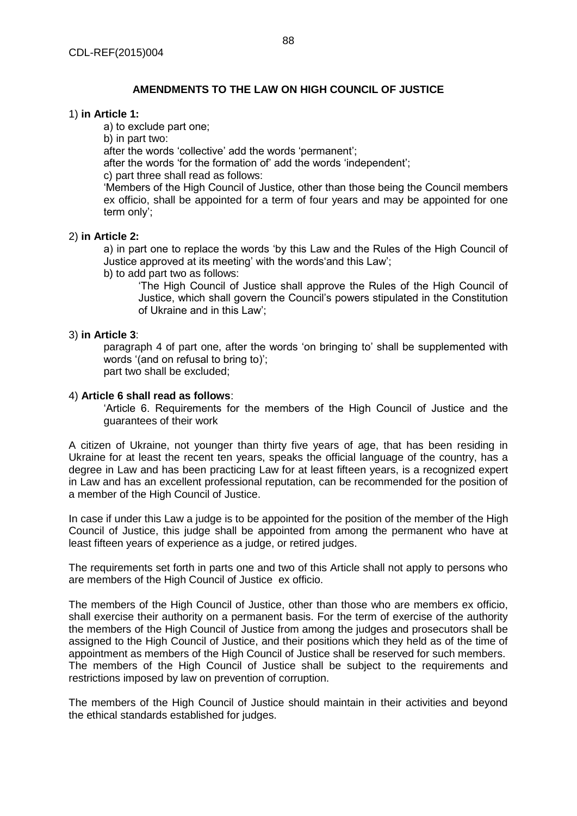# **AMENDMENTS TO THE LAW ON HIGH COUNCIL OF JUSTICE**

#### 1) **in Article 1:**

а) to exclude part one;

b) in part two:

after the words 'collective' add the words 'permanent';

after the words 'for the formation of' add the words 'independent';

c) part three shall read as follows:

'Members of the High Council of Justice, other than those being the Council members ex officio, shall be appointed for a term of four years and may be appointed for one term only';

## 2) **in Article 2:**

а) in part one to replace the words 'by this Law and the Rules of the High Council of Justice approved at its meeting' with the words'and this Law';

b) to add part two as follows:

'The High Council of Justice shall approve the Rules of the High Council of Justice, which shall govern the Council's powers stipulated in the Constitution of Ukraine and in this Law';

## 3) **in Article 3**:

paragraph 4 of part one, after the words 'on bringing to' shall be supplemented with words '(and on refusal to bring to)'; part two shall be excluded;

## 4) **Article 6 shall read as follows**:

'Article 6. Requirements for the members of the High Council of Justice and the guarantees of their work

A citizen of Ukraine, not younger than thirty five years of age, that has been residing in Ukraine for at least the recent ten years, speaks the official language of the country, has a degree in Law and has been practicing Law for at least fifteen years, is a recognized expert in Law and has an excellent professional reputation, can be recommended for the position of a member of the High Council of Justice.

In case if under this Law a judge is to be appointed for the position of the member of the High Council of Justice, this judge shall be appointed from among the permanent who have at least fifteen years of experience as a judge, or retired judges.

The requirements set forth in parts one and two of this Article shall not apply to persons who are members of the High Council of Justice ex officio.

The members of the High Council of Justice, other than those who are members ex officio, shall exercise their authority on a permanent basis. For the term of exercise of the authority the members of the High Council of Justice from among the judges and prosecutors shall be assigned to the High Council of Justice, and their positions which they held as of the time of appointment as members of the High Council of Justice shall be reserved for such members. The members of the High Council of Justice shall be subject to the requirements and restrictions imposed by law on prevention of corruption.

The members of the High Council of Justice should maintain in their activities and beyond the ethical standards established for judges.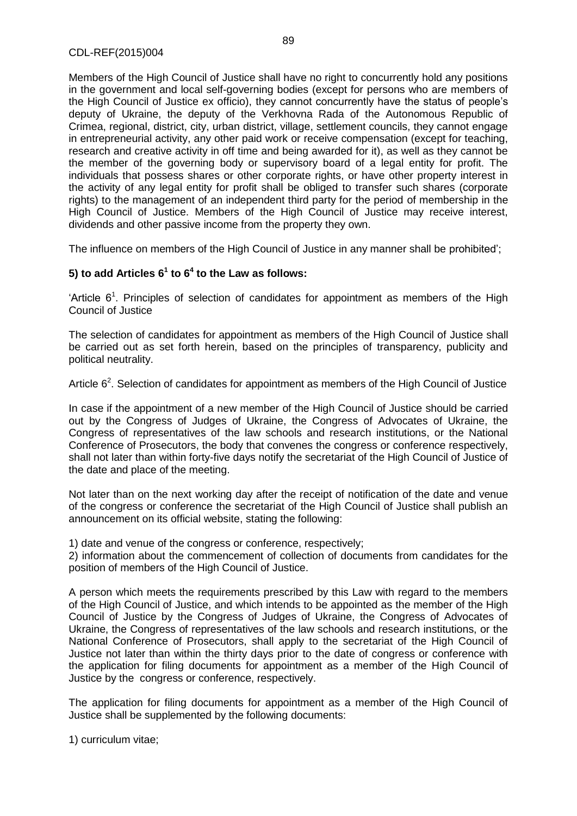Members of the High Council of Justice shall have no right to concurrently hold any positions in the government and local self-governing bodies (except for persons who are members of the High Council of Justice ex officio), they cannot concurrently have the status of people's deputy of Ukraine, the deputy of the Verkhovna Rada of the Autonomous Republic of Crimea, regional, district, city, urban district, village, settlement councils, they cannot engage in entrepreneurial activity, any other paid work or receive compensation (except for teaching, research and creative activity in off time and being awarded for it), as well as they cannot be the member of the governing body or supervisory board of a legal entity for profit. The individuals that possess shares or other corporate rights, or have other property interest in the activity of any legal entity for profit shall be obliged to transfer such shares (corporate rights) to the management of an independent third party for the period of membership in the High Council of Justice. Members of the High Council of Justice may receive interest, dividends and other passive income from the property they own.

The influence on members of the High Council of Justice in any manner shall be prohibited';

# **5) to add Articles 6<sup>1</sup> to 6<sup>4</sup> to the Law as follows:**

'Article  $6<sup>1</sup>$ . Principles of selection of candidates for appointment as members of the High Council of Justice

The selection of candidates for appointment as members of the High Council of Justice shall be carried out as set forth herein, based on the principles of transparency, publicity and political neutrality.

Article  $6<sup>2</sup>$ . Selection of candidates for appointment as members of the High Council of Justice

In case if the appointment of a new member of the High Council of Justice should be carried out by the Congress of Judges of Ukraine, the Congress of Advocates of Ukraine, the Congress of representatives of the law schools and research institutions, or the National Conference of Prosecutors, the body that convenes the congress or conference respectively, shall not later than within forty-five days notify the secretariat of the High Council of Justice of the date and place of the meeting.

Not later than on the next working day after the receipt of notification of the date and venue of the congress or conference the secretariat of the High Council of Justice shall publish an announcement on its official website, stating the following:

1) date and venue of the congress or conference, respectively;

2) information about the commencement of collection of documents from candidates for the position of members of the High Council of Justice.

A person which meets the requirements prescribed by this Law with regard to the members of the High Council of Justice, and which intends to be appointed as the member of the High Council of Justice by the Congress of Judges of Ukraine, the Congress of Advocates of Ukraine, the Congress of representatives of the law schools and research institutions, or the National Conference of Prosecutors, shall apply to the secretariat of the High Council of Justice not later than within the thirty days prior to the date of congress or conference with the application for filing documents for appointment as a member of the High Council of Justice by the congress or conference, respectively.

The application for filing documents for appointment as a member of the High Council of Justice shall be supplemented by the following documents:

1) curriculum vitae;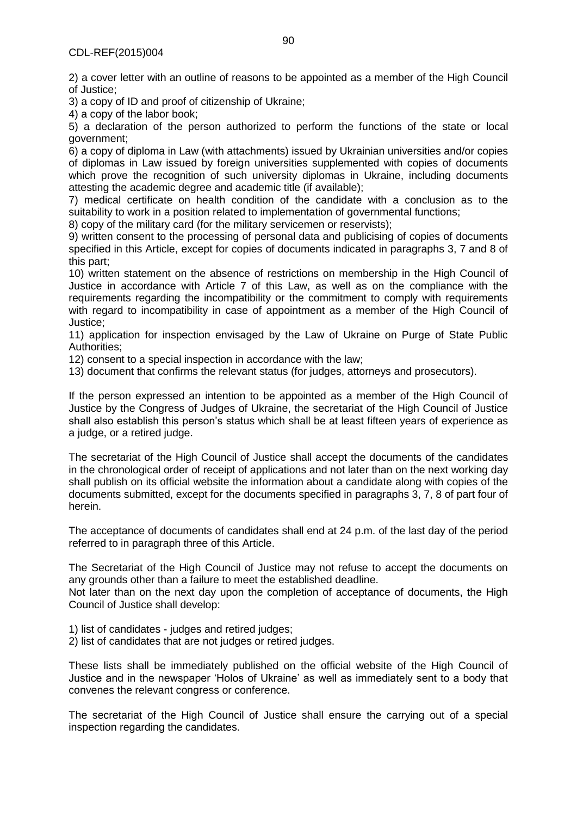2) a cover letter with an outline of reasons to be appointed as a member of the High Council of Justice;

3) a copy of ID and proof of citizenship of Ukraine;

4) a copy of the labor book;

5) a declaration of the person authorized to perform the functions of the state or local government;

6) a copy of diploma in Law (with attachments) issued by Ukrainian universities and/or copies of diplomas in Law issued by foreign universities supplemented with copies of documents which prove the recognition of such university diplomas in Ukraine, including documents attesting the academic degree and academic title (if available);

7) medical certificate on health condition of the candidate with a conclusion as to the suitability to work in a position related to implementation of governmental functions;

8) copy of the military card (for the military servicemen or reservists);

9) written consent to the processing of personal data and publicising of copies of documents specified in this Article, except for copies of documents indicated in paragraphs 3, 7 and 8 of this part;

10) written statement on the absence of restrictions on membership in the High Council of Justice in accordance with Article 7 of this Law, as well as on the compliance with the requirements regarding the incompatibility or the commitment to comply with requirements with regard to incompatibility in case of appointment as a member of the High Council of Justice;

11) application for inspection envisaged by the Law of Ukraine on Purge of State Public Authorities;

12) consent to a special inspection in accordance with the law;

13) document that confirms the relevant status (for judges, attorneys and prosecutors).

If the person expressed an intention to be appointed as a member of the High Council of Justice by the Congress of Judges of Ukraine, the secretariat of the High Council of Justice shall also establish this person's status which shall be at least fifteen years of experience as a judge, or a retired judge.

The secretariat of the High Council of Justice shall accept the documents of the candidates in the chronological order of receipt of applications and not later than on the next working day shall publish on its official website the information about a candidate along with copies of the documents submitted, except for the documents specified in paragraphs 3, 7, 8 of part four of herein.

The acceptance of documents of candidates shall end at 24 p.m. of the last day of the period referred to in paragraph three of this Article.

The Secretariat of the High Council of Justice may not refuse to accept the documents on any grounds other than a failure to meet the established deadline.

Not later than on the next day upon the completion of acceptance of documents, the High Council of Justice shall develop:

1) list of candidates - judges and retired judges;

2) list of candidates that are not judges or retired judges.

These lists shall be immediately published on the official website of the High Council of Justice and in the newspaper 'Holos of Ukraine' as well as immediately sent to a body that convenes the relevant congress or conference.

The secretariat of the High Council of Justice shall ensure the carrying out of a special inspection regarding the candidates.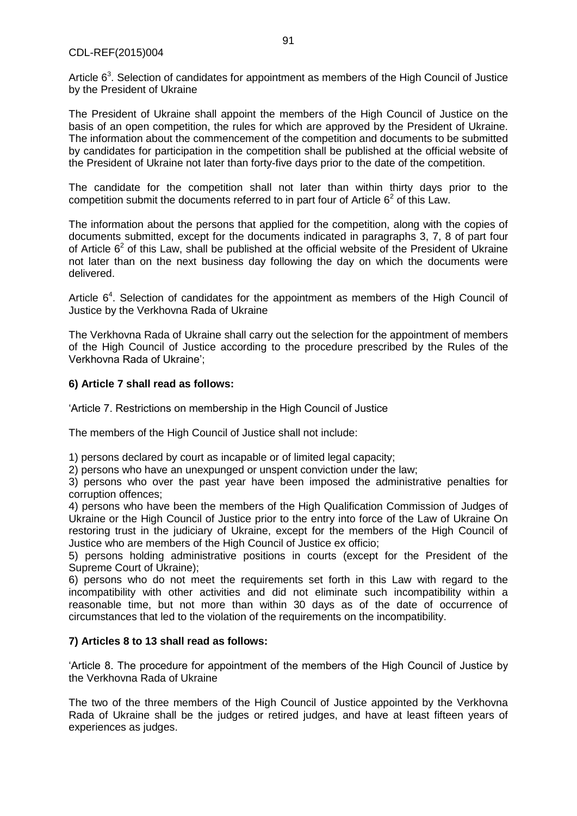CDL-REF(2015)004

Article  $6<sup>3</sup>$ . Selection of candidates for appointment as members of the High Council of Justice by the President of Ukraine

The President of Ukraine shall appoint the members of the High Council of Justice on the basis of an open competition, the rules for which are approved by the President of Ukraine. The information about the commencement of the competition and documents to be submitted by candidates for participation in the competition shall be published at the official website of the President of Ukraine not later than forty-five days prior to the date of the competition.

The candidate for the competition shall not later than within thirty days prior to the competition submit the documents referred to in part four of Article  $6^2$  of this Law.

The information about the persons that applied for the competition, along with the copies of documents submitted, except for the documents indicated in paragraphs 3, 7, 8 of part four of Article  $6<sup>2</sup>$  of this Law, shall be published at the official website of the President of Ukraine not later than on the next business day following the day on which the documents were delivered.

Article  $6<sup>4</sup>$ . Selection of candidates for the appointment as members of the High Council of Justice by the Verkhovna Rada of Ukraine

The Verkhovna Rada of Ukraine shall carry out the selection for the appointment of members of the High Council of Justice according to the procedure prescribed by the Rules of the Verkhovna Rada of Ukraine';

## **6) Article 7 shall read as follows:**

'Article 7. Restrictions on membership in the High Council of Justice

The members of the High Council of Justice shall not include:

1) persons declared by court as incapable or of limited legal capacity;

2) persons who have an unexpunged or unspent conviction under the law;

3) persons who over the past year have been imposed the administrative penalties for corruption offences;

4) persons who have been the members of the High Qualification Commission of Judges of Ukraine or the High Council of Justice prior to the entry into force of the Law of Ukraine On restoring trust in the judiciary of Ukraine, except for the members of the High Council of Justice who are members of the High Council of Justice ex officio;

5) persons holding administrative positions in courts (except for the President of the Supreme Court of Ukraine);

6) persons who do not meet the requirements set forth in this Law with regard to the incompatibility with other activities and did not eliminate such incompatibility within a reasonable time, but not more than within 30 days as of the date of occurrence of circumstances that led to the violation of the requirements on the incompatibility.

#### **7) Articles 8 to 13 shall read as follows:**

'Article 8. The procedure for appointment of the members of the High Council of Justice by the Verkhovna Rada of Ukraine

The two of the three members of the High Council of Justice appointed by the Verkhovna Rada of Ukraine shall be the judges or retired judges, and have at least fifteen years of experiences as judges.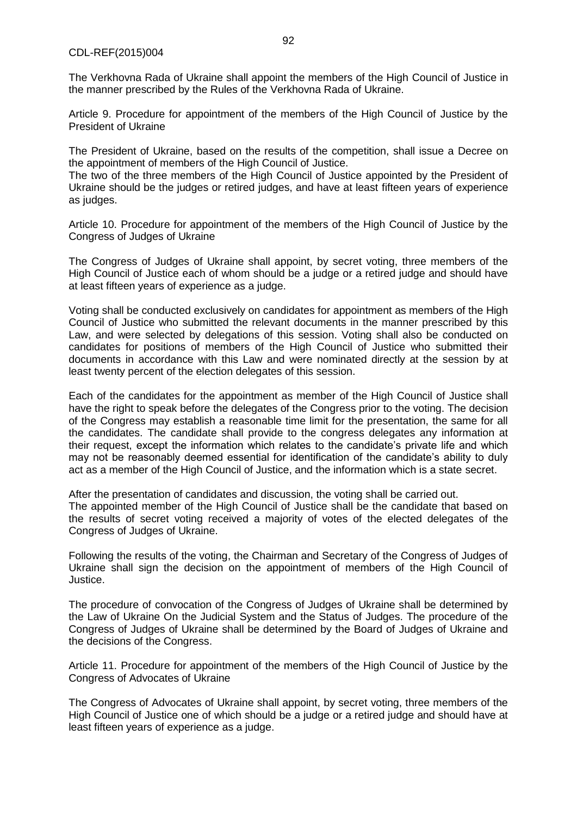#### CDL-REF(2015)004

The Verkhovna Rada of Ukraine shall appoint the members of the High Council of Justice in the manner prescribed by the Rules of the Verkhovna Rada of Ukraine.

Article 9. Procedure for appointment of the members of the High Council of Justice by the President of Ukraine

The President of Ukraine, based on the results of the competition, shall issue a Decree on the appointment of members of the High Council of Justice.

The two of the three members of the High Council of Justice appointed by the President of Ukraine should be the judges or retired judges, and have at least fifteen years of experience as judges.

Article 10. Procedure for appointment of the members of the High Council of Justice by the Congress of Judges of Ukraine

The Congress of Judges of Ukraine shall appoint, by secret voting, three members of the High Council of Justice each of whom should be a judge or a retired judge and should have at least fifteen years of experience as a judge.

Voting shall be conducted exclusively on candidates for appointment as members of the High Council of Justice who submitted the relevant documents in the manner prescribed by this Law, and were selected by delegations of this session. Voting shall also be conducted on candidates for positions of members of the High Council of Justice who submitted their documents in accordance with this Law and were nominated directly at the session by at least twenty percent of the election delegates of this session.

Each of the candidates for the appointment as member of the High Council of Justice shall have the right to speak before the delegates of the Congress prior to the voting. The decision of the Congress may establish a reasonable time limit for the presentation, the same for all the candidates. The candidate shall provide to the congress delegates any information at their request, except the information which relates to the candidate's private life and which may not be reasonably deemed essential for identification of the candidate's ability to duly act as a member of the High Council of Justice, and the information which is a state secret.

After the presentation of candidates and discussion, the voting shall be carried out. The appointed member of the High Council of Justice shall be the candidate that based on the results of secret voting received a majority of votes of the elected delegates of the Congress of Judges of Ukraine.

Following the results of the voting, the Chairman and Secretary of the Congress of Judges of Ukraine shall sign the decision on the appointment of members of the High Council of Justice.

The procedure of convocation of the Congress of Judges of Ukraine shall be determined by the Law of Ukraine On the Judicial System and the Status of Judges. The procedure of the Congress of Judges of Ukraine shall be determined by the Board of Judges of Ukraine and the decisions of the Congress.

Article 11. Procedure for appointment of the members of the High Council of Justice by the Congress of Advocates of Ukraine

The Congress of Advocates of Ukraine shall appoint, by secret voting, three members of the High Council of Justice one of which should be a judge or a retired judge and should have at least fifteen years of experience as a judge.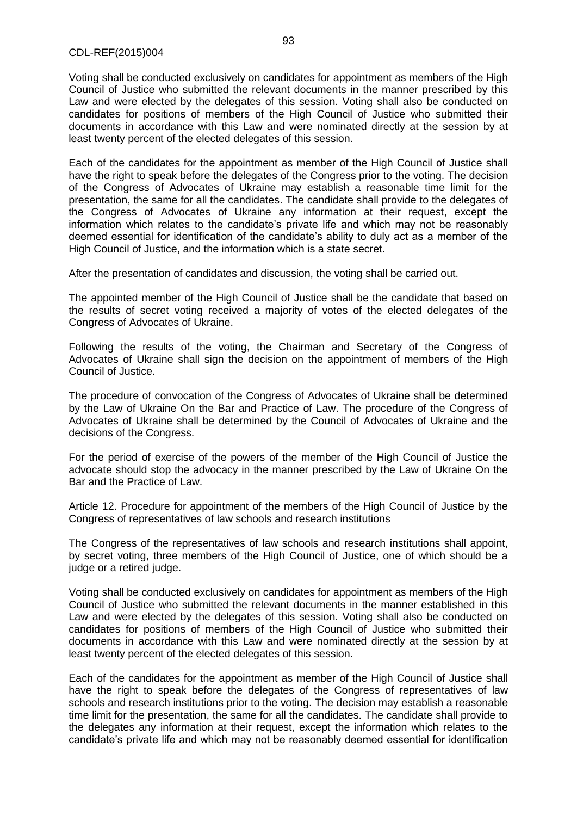Voting shall be conducted exclusively on candidates for appointment as members of the High Council of Justice who submitted the relevant documents in the manner prescribed by this Law and were elected by the delegates of this session. Voting shall also be conducted on candidates for positions of members of the High Council of Justice who submitted their documents in accordance with this Law and were nominated directly at the session by at least twenty percent of the elected delegates of this session.

Each of the candidates for the appointment as member of the High Council of Justice shall have the right to speak before the delegates of the Congress prior to the voting. The decision of the Congress of Advocates of Ukraine may establish a reasonable time limit for the presentation, the same for all the candidates. The candidate shall provide to the delegates of the Congress of Advocates of Ukraine any information at their request, except the information which relates to the candidate's private life and which may not be reasonably deemed essential for identification of the candidate's ability to duly act as a member of the High Council of Justice, and the information which is a state secret.

After the presentation of candidates and discussion, the voting shall be carried out.

The appointed member of the High Council of Justice shall be the candidate that based on the results of secret voting received a majority of votes of the elected delegates of the Congress of Advocates of Ukraine.

Following the results of the voting, the Chairman and Secretary of the Congress of Advocates of Ukraine shall sign the decision on the appointment of members of the High Council of Justice.

The procedure of convocation of the Congress of Advocates of Ukraine shall be determined by the Law of Ukraine On the Bar and Practice of Law. The procedure of the Congress of Advocates of Ukraine shall be determined by the Council of Advocates of Ukraine and the decisions of the Congress.

For the period of exercise of the powers of the member of the High Council of Justice the advocate should stop the advocacy in the manner prescribed by the Law of Ukraine On the Bar and the Practice of Law.

Article 12. Procedure for appointment of the members of the High Council of Justice by the Congress of representatives of law schools and research institutions

The Congress of the representatives of law schools and research institutions shall appoint, by secret voting, three members of the High Council of Justice, one of which should be a judge or a retired judge.

Voting shall be conducted exclusively on candidates for appointment as members of the High Council of Justice who submitted the relevant documents in the manner established in this Law and were elected by the delegates of this session. Voting shall also be conducted on candidates for positions of members of the High Council of Justice who submitted their documents in accordance with this Law and were nominated directly at the session by at least twenty percent of the elected delegates of this session.

Each of the candidates for the appointment as member of the High Council of Justice shall have the right to speak before the delegates of the Congress of representatives of law schools and research institutions prior to the voting. The decision may establish a reasonable time limit for the presentation, the same for all the candidates. The candidate shall provide to the delegates any information at their request, except the information which relates to the candidate's private life and which may not be reasonably deemed essential for identification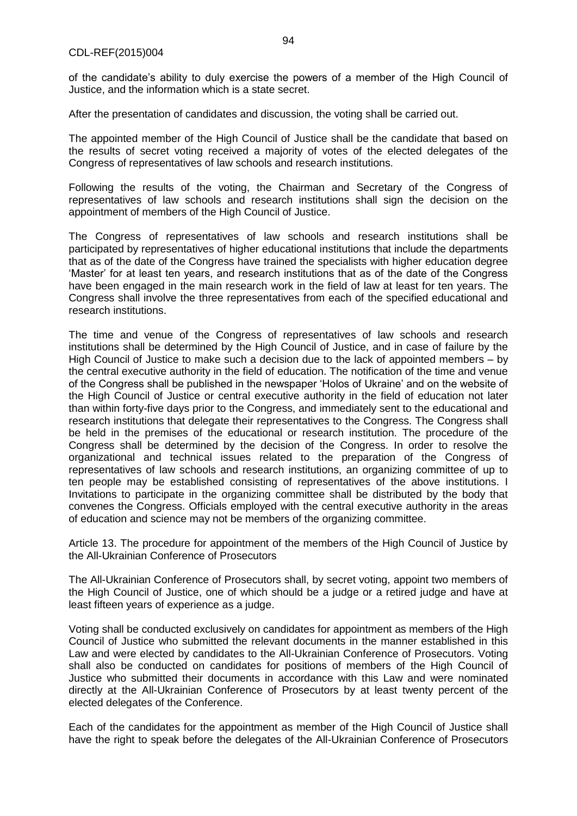of the candidate's ability to duly exercise the powers of a member of the High Council of Justice, and the information which is a state secret.

After the presentation of candidates and discussion, the voting shall be carried out.

The appointed member of the High Council of Justice shall be the candidate that based on the results of secret voting received a majority of votes of the elected delegates of the Congress of representatives of law schools and research institutions.

Following the results of the voting, the Chairman and Secretary of the Congress of representatives of law schools and research institutions shall sign the decision on the appointment of members of the High Council of Justice.

The Congress of representatives of law schools and research institutions shall be participated by representatives of higher educational institutions that include the departments that as of the date of the Congress have trained the specialists with higher education degree 'Master' for at least ten years, and research institutions that as of the date of the Congress have been engaged in the main research work in the field of law at least for ten years. The Congress shall involve the three representatives from each of the specified educational and research institutions.

The time and venue of the Congress of representatives of law schools and research institutions shall be determined by the High Council of Justice, and in case of failure by the High Council of Justice to make such a decision due to the lack of appointed members – by the central executive authority in the field of education. The notification of the time and venue of the Congress shall be published in the newspaper 'Holos of Ukraine' and on the website of the High Council of Justice or central executive authority in the field of education not later than within forty-five days prior to the Congress, and immediately sent to the educational and research institutions that delegate their representatives to the Congress. The Congress shall be held in the premises of the educational or research institution. The procedure of the Congress shall be determined by the decision of the Congress. In order to resolve the organizational and technical issues related to the preparation of the Congress of representatives of law schools and research institutions, an organizing committee of up to ten people may be established consisting of representatives of the above institutions. I Invitations to participate in the organizing committee shall be distributed by the body that convenes the Congress. Officials employed with the central executive authority in the areas of education and science may not be members of the organizing committee.

Article 13. The procedure for appointment of the members of the High Council of Justice by the All-Ukrainian Conference of Prosecutors

The All-Ukrainian Conference of Prosecutors shall, by secret voting, appoint two members of the High Council of Justice, one of which should be a judge or a retired judge and have at least fifteen years of experience as a judge.

Voting shall be conducted exclusively on candidates for appointment as members of the High Council of Justice who submitted the relevant documents in the manner established in this Law and were elected by candidates to the All-Ukrainian Conference of Prosecutors. Voting shall also be conducted on candidates for positions of members of the High Council of Justice who submitted their documents in accordance with this Law and were nominated directly at the All-Ukrainian Conference of Prosecutors by at least twenty percent of the elected delegates of the Conference.

Each of the candidates for the appointment as member of the High Council of Justice shall have the right to speak before the delegates of the All-Ukrainian Conference of Prosecutors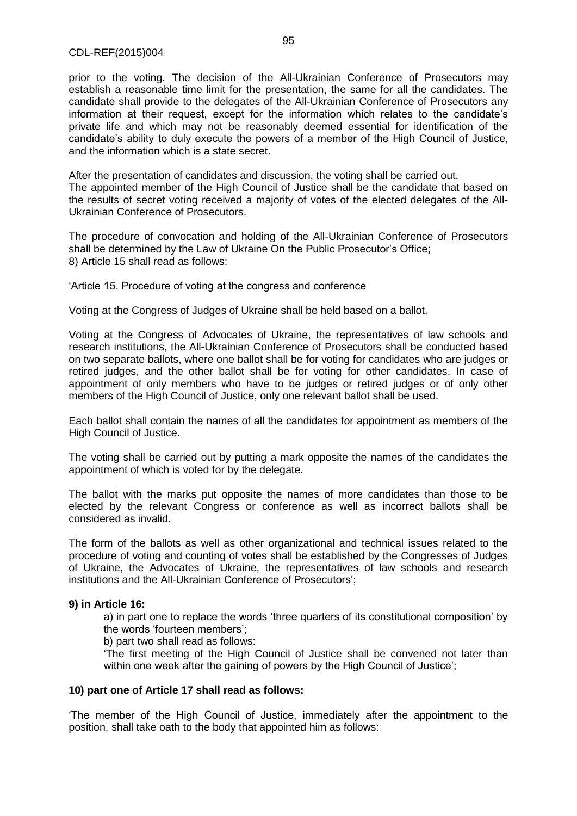prior to the voting. The decision of the All-Ukrainian Conference of Prosecutors may establish a reasonable time limit for the presentation, the same for all the candidates. The candidate shall provide to the delegates of the All-Ukrainian Conference of Prosecutors any information at their request, except for the information which relates to the candidate's private life and which may not be reasonably deemed essential for identification of the candidate's ability to duly execute the powers of a member of the High Council of Justice, and the information which is a state secret.

After the presentation of candidates and discussion, the voting shall be carried out. The appointed member of the High Council of Justice shall be the candidate that based on the results of secret voting received a majority of votes of the elected delegates of the All-Ukrainian Conference of Prosecutors.

The procedure of convocation and holding of the All-Ukrainian Conference of Prosecutors shall be determined by the Law of Ukraine On the Public Prosecutor's Office; 8) Article 15 shall read as follows:

'Article 15. Procedure of voting at the congress and conference

Voting at the Congress of Judges of Ukraine shall be held based on a ballot.

Voting at the Congress of Advocates of Ukraine, the representatives of law schools and research institutions, the All-Ukrainian Conference of Prosecutors shall be conducted based on two separate ballots, where one ballot shall be for voting for candidates who are judges or retired judges, and the other ballot shall be for voting for other candidates. In case of appointment of only members who have to be judges or retired judges or of only other members of the High Council of Justice, only one relevant ballot shall be used.

Each ballot shall contain the names of all the candidates for appointment as members of the High Council of Justice.

The voting shall be carried out by putting a mark opposite the names of the candidates the appointment of which is voted for by the delegate.

The ballot with the marks put opposite the names of more candidates than those to be elected by the relevant Congress or conference as well as incorrect ballots shall be considered as invalid.

The form of the ballots as well as other organizational and technical issues related to the procedure of voting and counting of votes shall be established by the Congresses of Judges of Ukraine, the Advocates of Ukraine, the representatives of law schools and research institutions and the All-Ukrainian Conference of Prosecutors';

#### **9) in Article 16:**

а) in part one to replace the words 'three quarters of its constitutional composition' by the words 'fourteen members';

b) part two shall read as follows:

'The first meeting of the High Council of Justice shall be convened not later than within one week after the gaining of powers by the High Council of Justice';

#### **10) part one of Article 17 shall read as follows:**

'The member of the High Council of Justice, immediately after the appointment to the position, shall take oath to the body that appointed him as follows: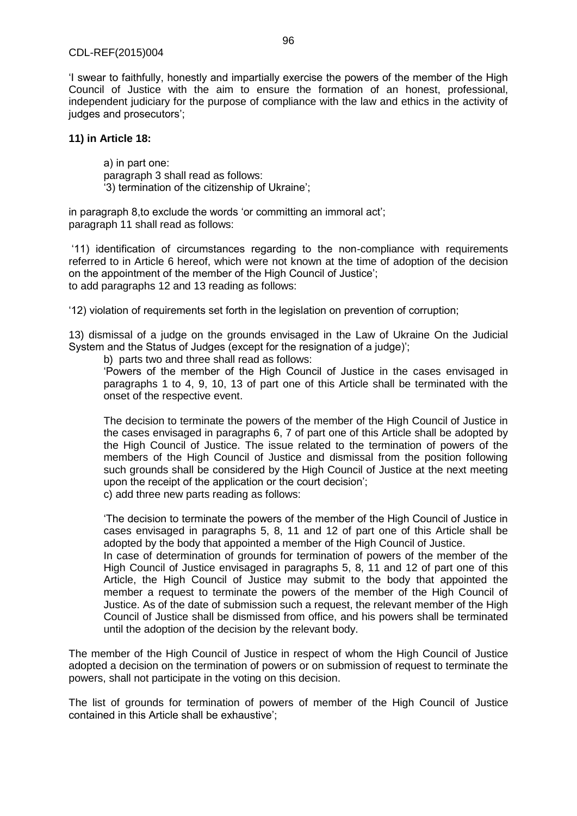'I swear to faithfully, honestly and impartially exercise the powers of the member of the High Council of Justice with the aim to ensure the formation of an honest, professional, independent judiciary for the purpose of compliance with the law and ethics in the activity of judges and prosecutors':

#### **11) in Article 18:**

а) in part one: paragraph 3 shall read as follows: '3) termination of the citizenship of Ukraine';

in paragraph 8,to exclude the words 'or committing an immoral act'; paragraph 11 shall read as follows:

'11) identification of circumstances regarding to the non-compliance with requirements referred to in Article 6 hereof, which were not known at the time of adoption of the decision on the appointment of the member of the High Council of Justice'; to add paragraphs 12 and 13 reading as follows:

'12) violation of requirements set forth in the legislation on prevention of corruption;

13) dismissal of a judge on the grounds envisaged in the Law of Ukraine On the Judicial System and the Status of Judges (except for the resignation of a judge)';

b) parts two and three shall read as follows:

'Powers of the member of the High Council of Justice in the cases envisaged in paragraphs 1 to 4, 9, 10, 13 of part one of this Article shall be terminated with the onset of the respective event.

The decision to terminate the powers of the member of the High Council of Justice in the cases envisaged in paragraphs 6, 7 of part one of this Article shall be adopted by the High Council of Justice. The issue related to the termination of powers of the members of the High Council of Justice and dismissal from the position following such grounds shall be considered by the High Council of Justice at the next meeting upon the receipt of the application or the court decision'; c) add three new parts reading as follows:

'The decision to terminate the powers of the member of the High Council of Justice in cases envisaged in paragraphs 5, 8, 11 and 12 of part one of this Article shall be adopted by the body that appointed a member of the High Council of Justice.

In case of determination of grounds for termination of powers of the member of the High Council of Justice envisaged in paragraphs 5, 8, 11 and 12 of part one of this Article, the High Council of Justice may submit to the body that appointed the member a request to terminate the powers of the member of the High Council of Justice. As of the date of submission such a request, the relevant member of the High Council of Justice shall be dismissed from office, and his powers shall be terminated until the adoption of the decision by the relevant body.

The member of the High Council of Justice in respect of whom the High Council of Justice adopted a decision on the termination of powers or on submission of request to terminate the powers, shall not participate in the voting on this decision.

The list of grounds for termination of powers of member of the High Council of Justice contained in this Article shall be exhaustive';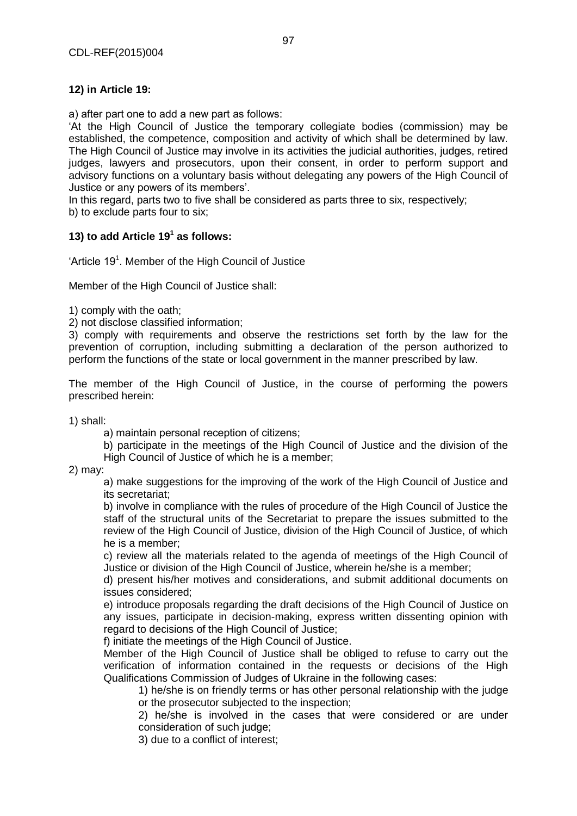# **12) in Article 19:**

а) after part one to add a new part as follows:

'At the High Council of Justice the temporary collegiate bodies (commission) may be established, the competence, composition and activity of which shall be determined by law. The High Council of Justice may involve in its activities the judicial authorities, judges, retired judges, lawyers and prosecutors, upon their consent, in order to perform support and advisory functions on a voluntary basis without delegating any powers of the High Council of Justice or any powers of its members'.

In this regard, parts two to five shall be considered as parts three to six, respectively;

b) to exclude parts four to six;

# **13) to add Article 19<sup>1</sup> as follows:**

'Article 19<sup>1</sup>. Member of the High Council of Justice

Member of the High Council of Justice shall:

1) comply with the oath;

2) not disclose classified information;

3) comply with requirements and observe the restrictions set forth by the law for the prevention of corruption, including submitting a declaration of the person authorized to perform the functions of the state or local government in the manner prescribed by law.

The member of the High Council of Justice, in the course of performing the powers prescribed herein:

1) shall:

а) maintain personal reception of citizens;

b) participate in the meetings of the High Council of Justice and the division of the High Council of Justice of which he is a member;

2) may:

а) make suggestions for the improving of the work of the High Council of Justice and its secretariat;

b) involve in compliance with the rules of procedure of the High Council of Justice the staff of the structural units of the Secretariat to prepare the issues submitted to the review of the High Council of Justice, division of the High Council of Justice, of which he is a member;

c) review all the materials related to the agenda of meetings of the High Council of Justice or division of the High Council of Justice, wherein he/she is a member:

d) present his/her motives and considerations, and submit additional documents on issues considered;

e) introduce proposals regarding the draft decisions of the High Council of Justice on any issues, participate in decision-making, express written dissenting opinion with regard to decisions of the High Council of Justice;

f) initiate the meetings of the High Council of Justice.

Member of the High Council of Justice shall be obliged to refuse to carry out the verification of information contained in the requests or decisions of the High Qualifications Commission of Judges of Ukraine in the following cases:

1) he/she is on friendly terms or has other personal relationship with the judge or the prosecutor subjected to the inspection;

2) he/she is involved in the cases that were considered or are under consideration of such judge;

3) due to a conflict of interest;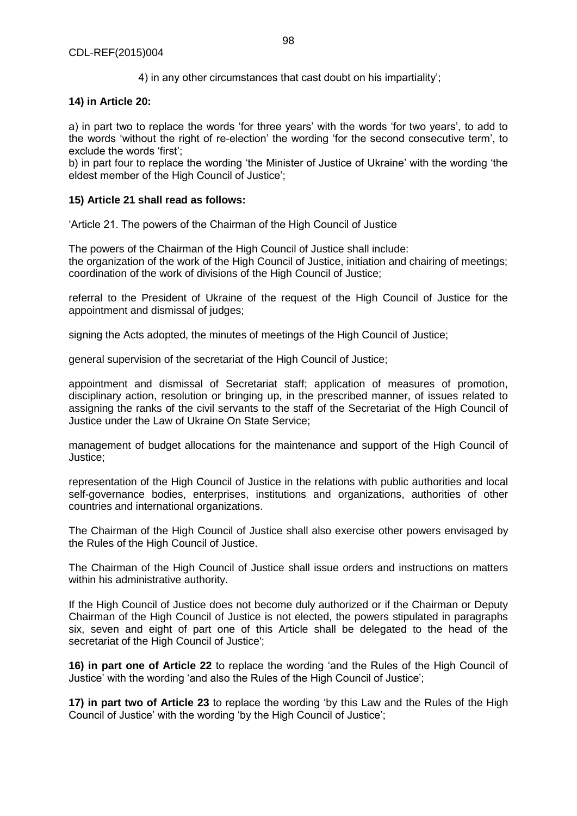4) in any other circumstances that cast doubt on his impartiality';

# **14) in Article 20:**

а) in part two to replace the words 'for three years' with the words 'for two years', to add to the words 'without the right of re-election' the wording 'for the second consecutive term', to exclude the words 'first';

b) in part four to replace the wording 'the Minister of Justice of Ukraine' with the wording 'the eldest member of the High Council of Justice';

## **15) Article 21 shall read as follows:**

'Article 21. The powers of the Chairman of the High Council of Justice

The powers of the Chairman of the High Council of Justice shall include: the organization of the work of the High Council of Justice, initiation and chairing of meetings; coordination of the work of divisions of the High Council of Justice;

referral to the President of Ukraine of the request of the High Council of Justice for the appointment and dismissal of judges;

signing the Acts adopted, the minutes of meetings of the High Council of Justice;

general supervision of the secretariat of the High Council of Justice;

appointment and dismissal of Secretariat staff; application of measures of promotion, disciplinary action, resolution or bringing up, in the prescribed manner, of issues related to assigning the ranks of the civil servants to the staff of the Secretariat of the High Council of Justice under the Law of Ukraine On State Service;

management of budget allocations for the maintenance and support of the High Council of Justice;

representation of the High Council of Justice in the relations with public authorities and local self-governance bodies, enterprises, institutions and organizations, authorities of other countries and international organizations.

The Chairman of the High Council of Justice shall also exercise other powers envisaged by the Rules of the High Council of Justice.

The Chairman of the High Council of Justice shall issue orders and instructions on matters within his administrative authority.

If the High Council of Justice does not become duly authorized or if the Chairman or Deputy Chairman of the High Council of Justice is not elected, the powers stipulated in paragraphs six, seven and eight of part one of this Article shall be delegated to the head of the secretariat of the High Council of Justice';

**16) in part one of Article 22** to replace the wording 'and the Rules of the High Council of Justice' with the wording 'and also the Rules of the High Council of Justice';

**17) in part two of Article 23** to replace the wording 'by this Law and the Rules of the High Council of Justice' with the wording 'by the High Council of Justice';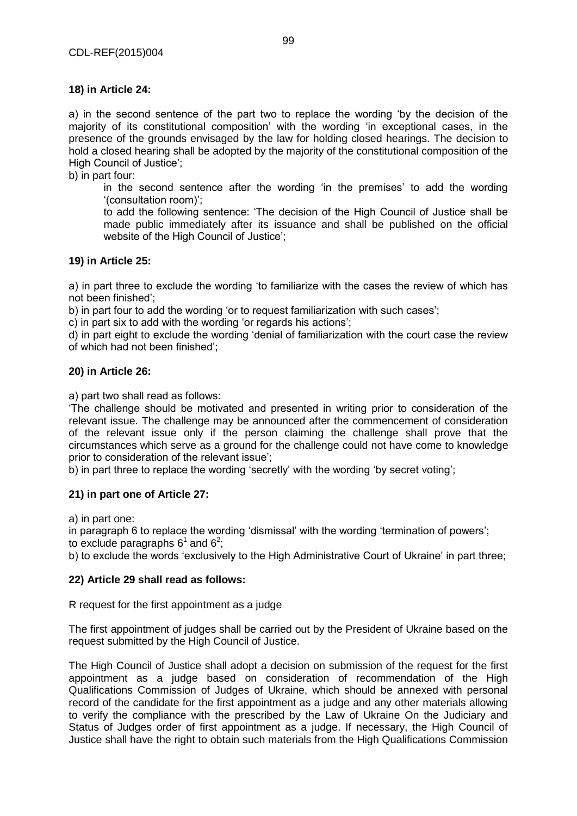а) in the second sentence of the part two to replace the wording 'by the decision of the majority of its constitutional composition' with the wording 'in exceptional cases, in the presence of the grounds envisaged by the law for holding closed hearings. The decision to hold a closed hearing shall be adopted by the majority of the constitutional composition of the High Council of Justice';

b) in part four:

in the second sentence after the wording 'in the premises' to add the wording '(consultation room)';

to add the following sentence: 'The decision of the High Council of Justice shall be made public immediately after its issuance and shall be published on the official website of the High Council of Justice';

# **19) in Article 25:**

а) in part three to exclude the wording 'to familiarize with the cases the review of which has not been finished';

b) in part four to add the wording 'or to request familiarization with such cases';

c) in part six to add with the wording 'or regards his actions';

d) in part eight to exclude the wording 'denial of familiarization with the court case the review of which had not been finished';

## **20) in Article 26:**

а) part two shall read as follows:

'The challenge should be motivated and presented in writing prior to consideration of the relevant issue. The challenge may be announced after the commencement of consideration of the relevant issue only if the person claiming the challenge shall prove that the circumstances which serve as a ground for the challenge could not have come to knowledge prior to consideration of the relevant issue';

b) in part three to replace the wording 'secretly' with the wording 'by secret voting';

#### **21) in part one of Article 27:**

a) in part one:

in paragraph 6 to replace the wording 'dismissal' with the wording 'termination of powers';

to exclude paragraphs 6<sup>1</sup> and 6<sup>2</sup>;

b) to exclude the words 'exclusively to the High Administrative Court of Ukraine' in part three;

#### **22) Article 29 shall read as follows:**

R request for the first appointment as a judge

The first appointment of judges shall be carried out by the President of Ukraine based on the request submitted by the High Council of Justice.

The High Council of Justice shall adopt a decision on submission of the request for the first appointment as a judge based on consideration of recommendation of the High Qualifications Commission of Judges of Ukraine, which should be annexed with personal record of the candidate for the first appointment as a judge and any other materials allowing to verify the compliance with the prescribed by the Law of Ukraine On the Judiciary and Status of Judges order of first appointment as a judge. If necessary, the High Council of Justice shall have the right to obtain such materials from the High Qualifications Commission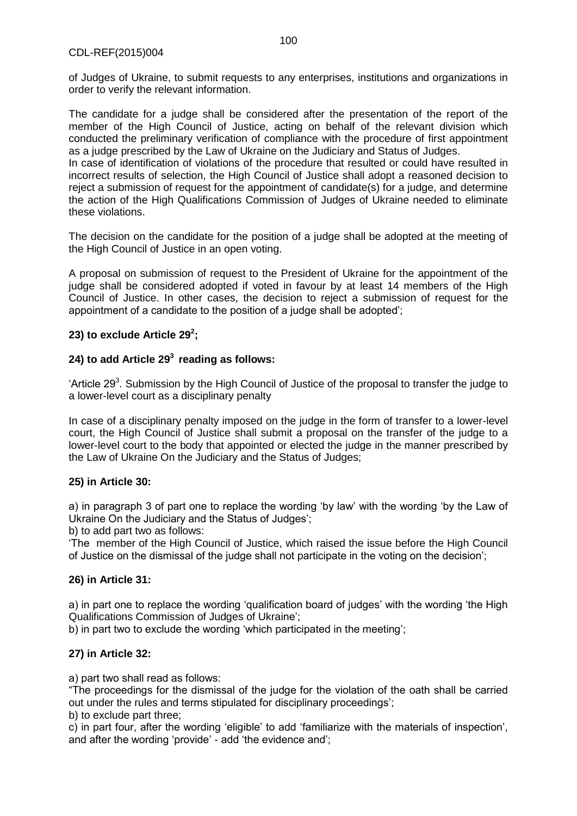of Judges of Ukraine, to submit requests to any enterprises, institutions and organizations in order to verify the relevant information.

The candidate for a judge shall be considered after the presentation of the report of the member of the High Council of Justice, acting on behalf of the relevant division which conducted the preliminary verification of compliance with the procedure of first appointment as a judge prescribed by the Law of Ukraine on the Judiciary and Status of Judges.

In case of identification of violations of the procedure that resulted or could have resulted in incorrect results of selection, the High Council of Justice shall adopt a reasoned decision to reject a submission of request for the appointment of candidate(s) for a judge, and determine the action of the High Qualifications Commission of Judges of Ukraine needed to eliminate these violations.

The decision on the candidate for the position of a judge shall be adopted at the meeting of the High Council of Justice in an open voting.

A proposal on submission of request to the President of Ukraine for the appointment of the judge shall be considered adopted if voted in favour by at least 14 members of the High Council of Justice. In other cases, the decision to reject a submission of request for the appointment of a candidate to the position of a judge shall be adopted';

# **23) to exclude Article 29<sup>2</sup> ;**

# **24) to add Article 29<sup>3</sup>reading as follows:**

'Article 29<sup>3</sup>. Submission by the High Council of Justice of the proposal to transfer the judge to a lower-level court as a disciplinary penalty

In case of a disciplinary penalty imposed on the judge in the form of transfer to a lower-level court, the High Council of Justice shall submit a proposal on the transfer of the judge to a lower-level court to the body that appointed or elected the judge in the manner prescribed by the Law of Ukraine On the Judiciary and the Status of Judges;

# **25) in Article 30:**

а) in paragraph 3 of part one to replace the wording 'by law' with the wording 'by the Law of Ukraine On the Judiciary and the Status of Judges';

b) to add part two as follows:

'The member of the High Council of Justice, which raised the issue before the High Council of Justice on the dismissal of the judge shall not participate in the voting on the decision';

# **26) in Article 31:**

а) in part one to replace the wording 'qualification board of judges' with the wording 'the High Qualifications Commission of Judges of Ukraine';

b) in part two to exclude the wording 'which participated in the meeting';

# **27) in Article 32:**

а) part two shall read as follows:

"The proceedings for the dismissal of the judge for the violation of the oath shall be carried out under the rules and terms stipulated for disciplinary proceedings';

b) to exclude part three;

c) in part four, after the wording 'eligible' to add 'familiarize with the materials of inspection', and after the wording 'provide' - add 'the evidence and';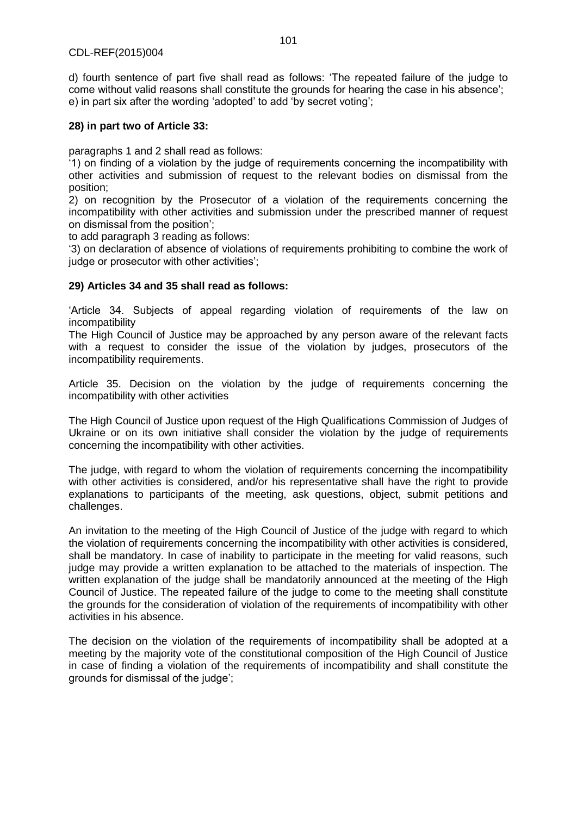d) fourth sentence of part five shall read as follows: 'The repeated failure of the judge to come without valid reasons shall constitute the grounds for hearing the case in his absence'; e) in part six after the wording 'adopted' to add 'by secret voting';

# **28) in part two of Article 33:**

paragraphs 1 and 2 shall read as follows:

'1) on finding of a violation by the judge of requirements concerning the incompatibility with other activities and submission of request to the relevant bodies on dismissal from the position;

2) on recognition by the Prosecutor of a violation of the requirements concerning the incompatibility with other activities and submission under the prescribed manner of request on dismissal from the position';

to add paragraph 3 reading as follows:

'3) on declaration of absence of violations of requirements prohibiting to combine the work of judge or prosecutor with other activities';

# **29) Articles 34 and 35 shall read as follows:**

'Article 34. Subjects of appeal regarding violation of requirements of the law on incompatibility

The High Council of Justice may be approached by any person aware of the relevant facts with a request to consider the issue of the violation by judges, prosecutors of the incompatibility requirements.

Article 35. Decision on the violation by the judge of requirements concerning the incompatibility with other activities

The High Council of Justice upon request of the High Qualifications Commission of Judges of Ukraine or on its own initiative shall consider the violation by the judge of requirements concerning the incompatibility with other activities.

The judge, with regard to whom the violation of requirements concerning the incompatibility with other activities is considered, and/or his representative shall have the right to provide explanations to participants of the meeting, ask questions, object, submit petitions and challenges.

An invitation to the meeting of the High Council of Justice of the judge with regard to which the violation of requirements concerning the incompatibility with other activities is considered, shall be mandatory. In case of inability to participate in the meeting for valid reasons, such judge may provide a written explanation to be attached to the materials of inspection. The written explanation of the judge shall be mandatorily announced at the meeting of the High Council of Justice. The repeated failure of the judge to come to the meeting shall constitute the grounds for the consideration of violation of the requirements of incompatibility with other activities in his absence.

The decision on the violation of the requirements of incompatibility shall be adopted at a meeting by the majority vote of the constitutional composition of the High Council of Justice in case of finding a violation of the requirements of incompatibility and shall constitute the grounds for dismissal of the judge';